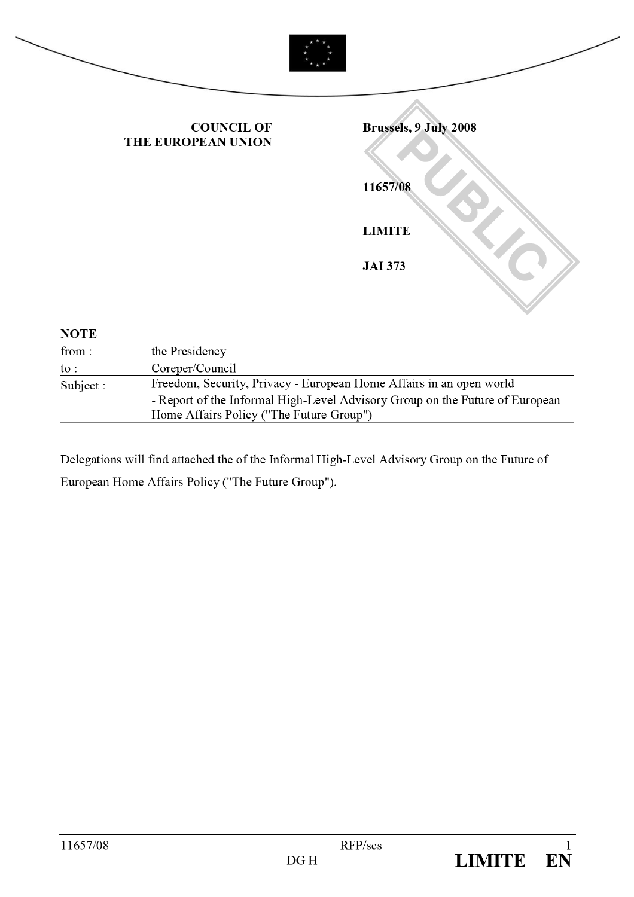|             | <b>COUNCIL OF</b><br>THE EUROPEAN UNION                             | Brussels, 9 July 2008 |
|-------------|---------------------------------------------------------------------|-----------------------|
|             |                                                                     | 11657/08              |
|             |                                                                     | <b>LIMITE</b>         |
|             |                                                                     | <b>JAI 373</b>        |
| <b>NOTE</b> |                                                                     |                       |
| from:       | the Presidency                                                      |                       |
| to :        | Coreper/Council                                                     |                       |
| Subject:    | Freedom, Security, Privacy - European Home Affairs in an open world |                       |

| $\text{subject}:$ | Freedom, Security, Privacy - European Home Affairs in an open world          |
|-------------------|------------------------------------------------------------------------------|
|                   | - Report of the Informal High-Level Advisory Group on the Future of European |
|                   | Home Affairs Policy ("The Future Group")                                     |
|                   |                                                                              |

Delegations will find attached the of the Informal High-Level Advisory Group on the Future of European Home Affairs Policy ("The Future Group").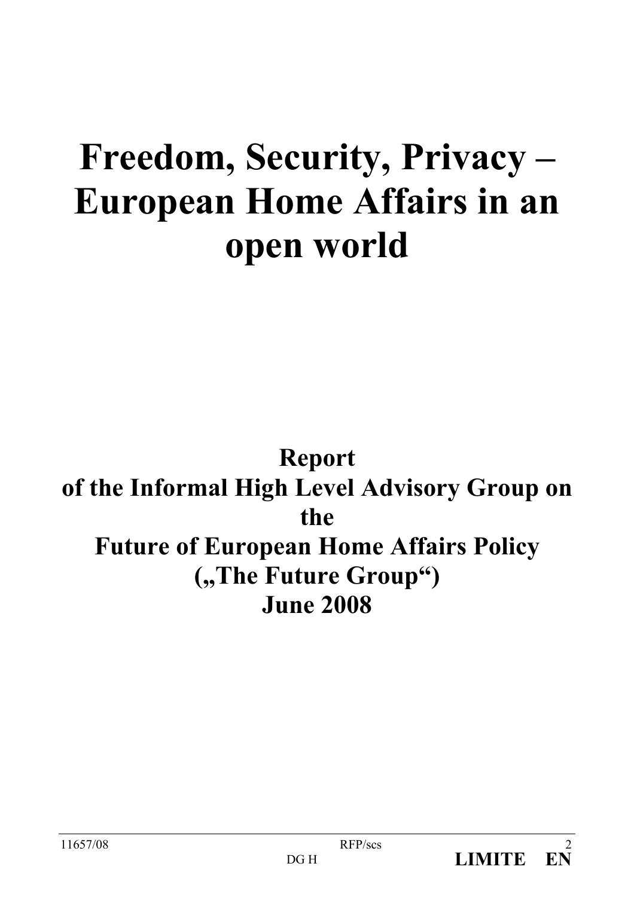# Freedom, Security, Privacy -**European Home Affairs in an** open world

# **Report** of the Informal High Level Advisory Group on the **Future of European Home Affairs Policy** ("The Future Group") **June 2008**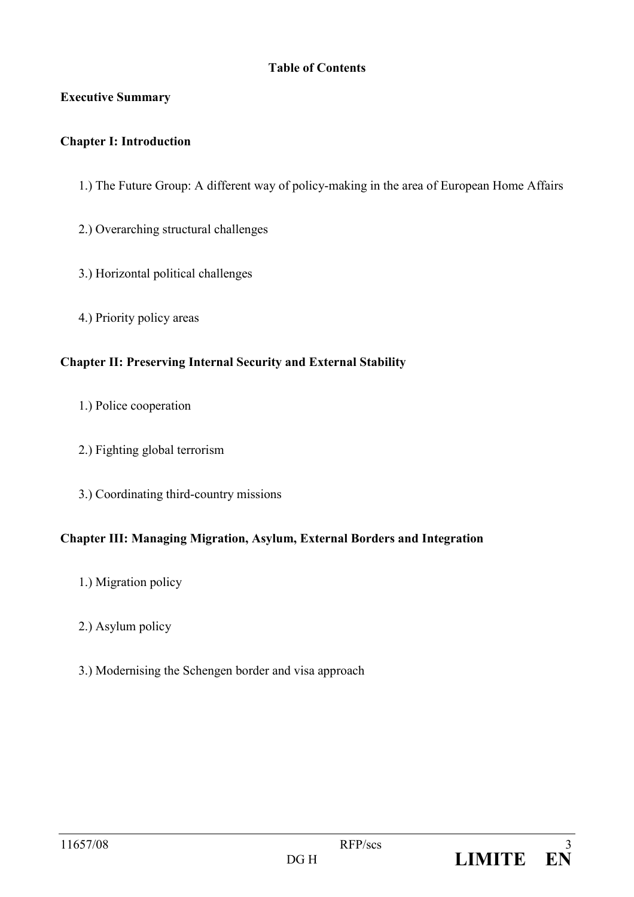#### **Table of Contents**

#### **Executive Summary**

#### **Chapter I: Introduction**

- 1.) The Future Group: A different way of policy-making in the area of European Home Affairs
- 2.) Overarching structural challenges
- 3.) Horizontal political challenges
- 4.) Priority policy areas

#### **Chapter II: Preserving Internal Security and External Stability**

- 1.) Police cooperation
- 2.) Fighting global terrorism
- 3.) Coordinating third-country missions

#### Chapter III: Managing Migration, Asylum, External Borders and Integration

- 1.) Migration policy
- 2.) Asylum policy
- 3.) Modernising the Schengen border and visa approach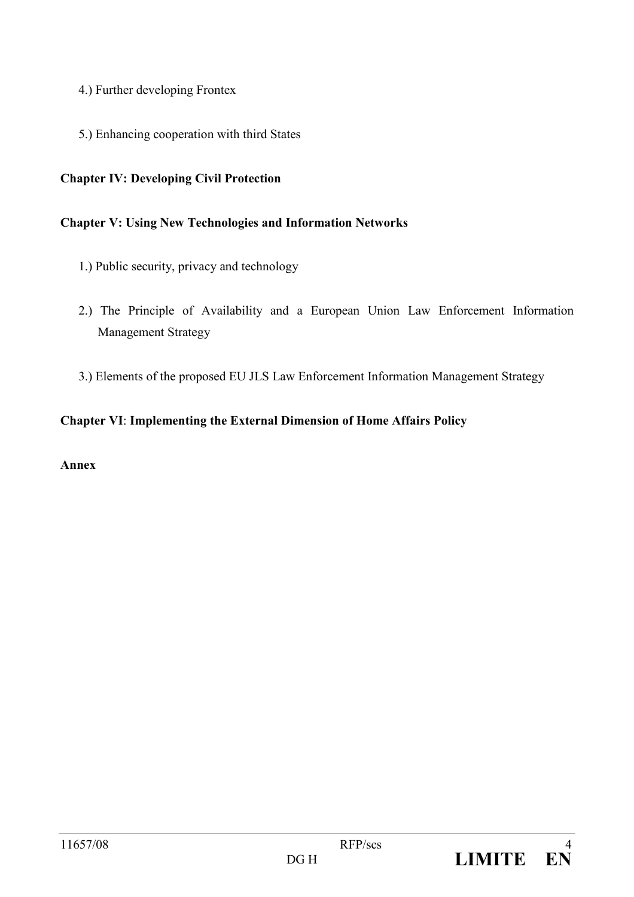- 4.) Further developing Frontex
- 5.) Enhancing cooperation with third States

#### **Chapter IV: Developing Civil Protection**

#### **Chapter V: Using New Technologies and Information Networks**

- 1.) Public security, privacy and technology
- 2.) The Principle of Availability and a European Union Law Enforcement Information **Management Strategy**
- 3.) Elements of the proposed EU JLS Law Enforcement Information Management Strategy

#### **Chapter VI: Implementing the External Dimension of Home Affairs Policy**

#### Anney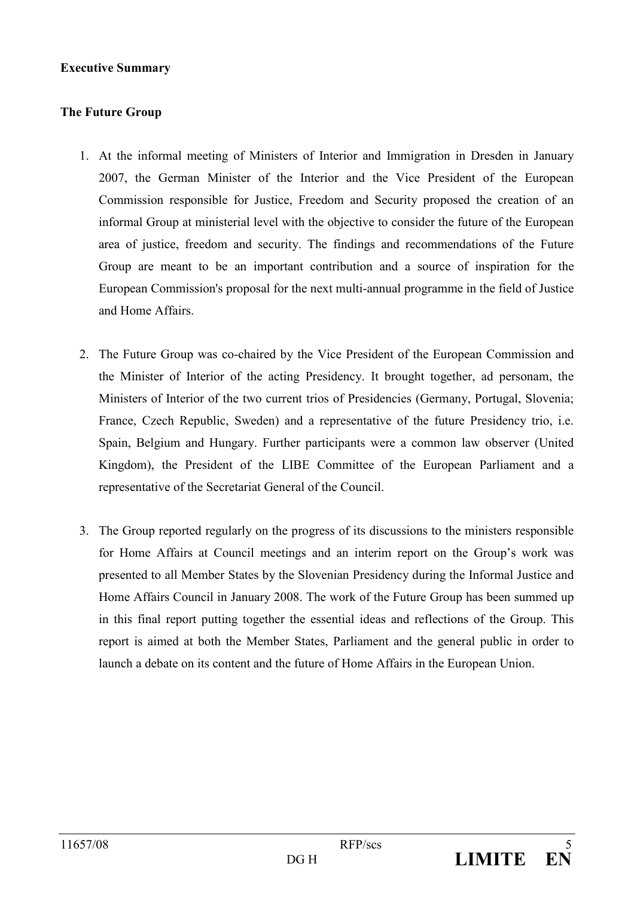#### **Executive Summary**

#### **The Future Group**

- 1. At the informal meeting of Ministers of Interior and Immigration in Dresden in January 2007, the German Minister of the Interior and the Vice President of the European Commission responsible for Justice. Freedom and Security proposed the creation of an informal Group at ministerial level with the objective to consider the future of the European area of justice, freedom and security. The findings and recommendations of the Future Group are meant to be an important contribution and a source of inspiration for the European Commission's proposal for the next multi-annual programme in the field of Justice and Home Affairs.
- 2. The Future Group was co-chaired by the Vice President of the European Commission and the Minister of Interior of the acting Presidency. It brought together, ad personam, the Ministers of Interior of the two current trios of Presidencies (Germany, Portugal, Slovenia; France, Czech Republic, Sweden) and a representative of the future Presidency trio, i.e. Spain, Belgium and Hungary. Further participants were a common law observer (United Kingdom), the President of the LIBE Committee of the European Parliament and a representative of the Secretariat General of the Council.
- 3. The Group reported regularly on the progress of its discussions to the ministers responsible for Home Affairs at Council meetings and an interim report on the Group's work was presented to all Member States by the Slovenian Presidency during the Informal Justice and Home Affairs Council in January 2008. The work of the Future Group has been summed up in this final report putting together the essential ideas and reflections of the Group. This report is aimed at both the Member States, Parliament and the general public in order to launch a debate on its content and the future of Home Affairs in the European Union.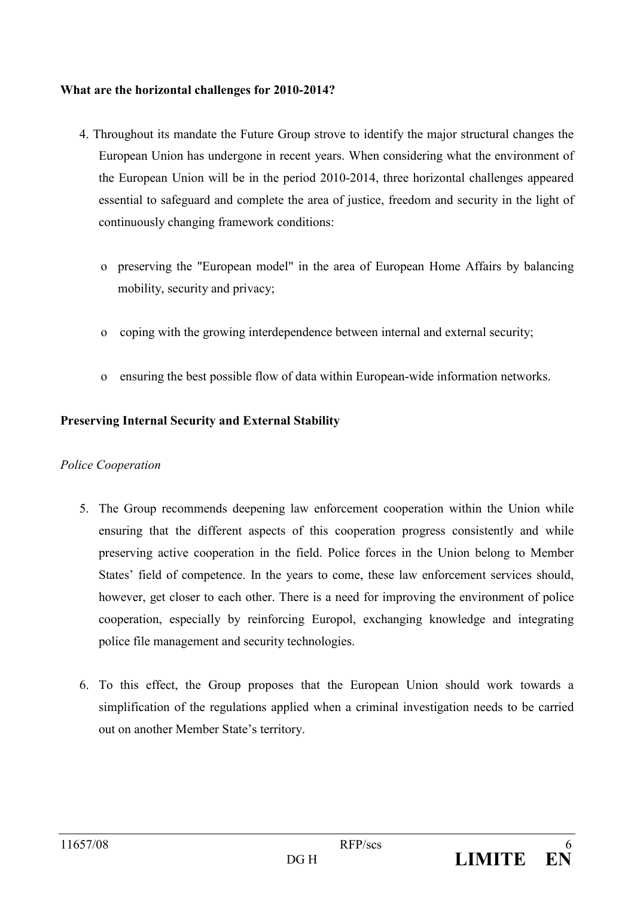#### What are the horizontal challenges for 2010-2014?

- 4. Throughout its mandate the Future Group strove to identify the major structural changes the European Union has undergone in recent years. When considering what the environment of the European Union will be in the period 2010-2014, three horizontal challenges appeared essential to safeguard and complete the area of justice, freedom and security in the light of continuously changing framework conditions:
	- o preserving the "European model" in the area of European Home Affairs by balancing mobility, security and privacy;
	- coping with the growing interdependence between internal and external security.  $\overline{O}$
	- ensuring the best possible flow of data within European-wide information networks.  $\overline{O}$

#### **Preserving Internal Security and External Stability**

#### **Police Cooperation**

- 5. The Group recommends deepening law enforcement cooperation within the Union while ensuring that the different aspects of this cooperation progress consistently and while preserving active cooperation in the field. Police forces in the Union belong to Member States' field of competence. In the years to come, these law enforcement services should, however, get closer to each other. There is a need for improving the environment of police cooperation, especially by reinforcing Europol, exchanging knowledge and integrating police file management and security technologies.
- 6. To this effect, the Group proposes that the European Union should work towards a simplification of the regulations applied when a criminal investigation needs to be carried out on another Member State's territory.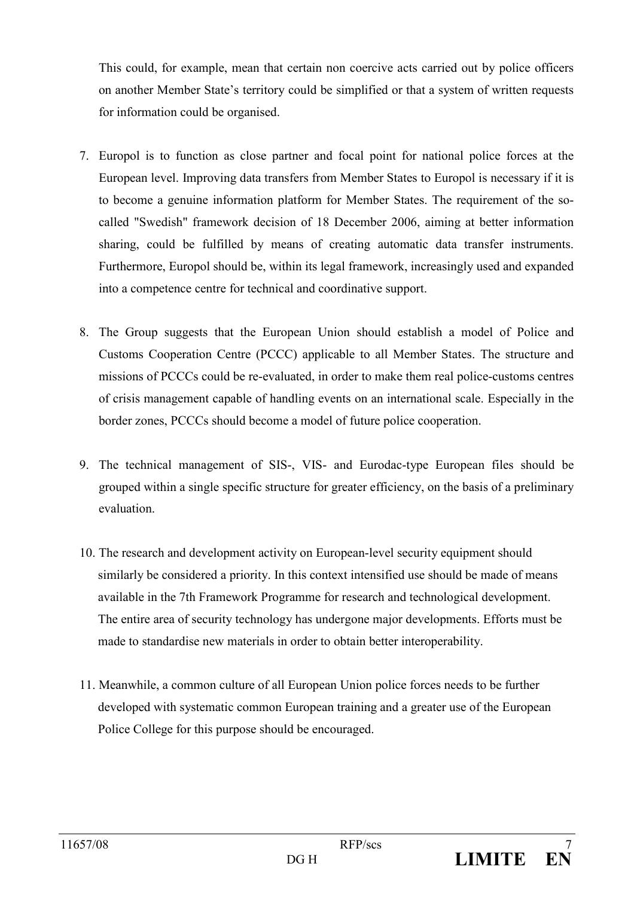This could, for example, mean that certain non coercive acts carried out by police officers on another Member State's territory could be simplified or that a system of written requests for information could be organised.

- 7. Europol is to function as close partner and focal point for national police forces at the European level. Improving data transfers from Member States to Europol is necessary if it is to become a genuine information platform for Member States. The requirement of the socalled "Swedish" framework decision of 18 December 2006, aiming at better information sharing, could be fulfilled by means of creating automatic data transfer instruments. Furthermore, Europol should be, within its legal framework, increasingly used and expanded into a competence centre for technical and coordinative support.
- 8. The Group suggests that the European Union should establish a model of Police and Customs Cooperation Centre (PCCC) applicable to all Member States. The structure and missions of PCCCs could be re-evaluated, in order to make them real police-customs centres of crisis management capable of handling events on an international scale. Especially in the border zones, PCCCs should become a model of future police cooperation.
- 9. The technical management of SIS-, VIS- and Eurodac-type European files should be grouped within a single specific structure for greater efficiency, on the basis of a preliminary evaluation
- 10. The research and development activity on European-level security equipment should similarly be considered a priority. In this context intensified use should be made of means available in the 7th Framework Programme for research and technological development. The entire area of security technology has undergone major developments. Efforts must be made to standardise new materials in order to obtain better interoperability.
- 11. Meanwhile, a common culture of all European Union police forces needs to be further developed with systematic common European training and a greater use of the European Police College for this purpose should be encouraged.

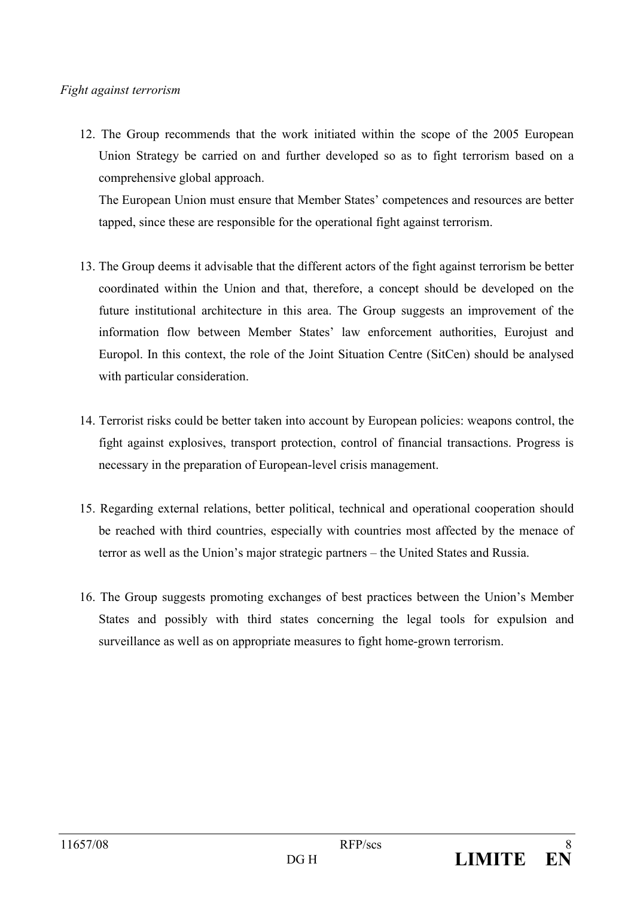#### Fight against terrorism

12. The Group recommends that the work initiated within the scope of the 2005 European Union Strategy be carried on and further developed so as to fight terrorism based on a comprehensive global approach.

The European Union must ensure that Member States' competences and resources are better tapped, since these are responsible for the operational fight against terrorism.

- 13. The Group deems it advisable that the different actors of the fight against terrorism be better coordinated within the Union and that, therefore, a concept should be developed on the future institutional architecture in this area. The Group suggests an improvement of the information flow between Member States' law enforcement authorities. Eurojust and Europol. In this context, the role of the Joint Situation Centre (SitCen) should be analysed with particular consideration.
- 14. Terrorist risks could be better taken into account by European policies: we apons control, the fight against explosives, transport protection, control of financial transactions. Progress is necessary in the preparation of European-level crisis management.
- 15. Regarding external relations, better political, technical and operational cooperation should be reached with third countries, especially with countries most affected by the menace of terror as well as the Union's major strategic partners – the United States and Russia.
- 16. The Group suggests promoting exchanges of best practices between the Union's Member States and possibly with third states concerning the legal tools for expulsion and surveillance as well as on appropriate measures to fight home-grown terrorism.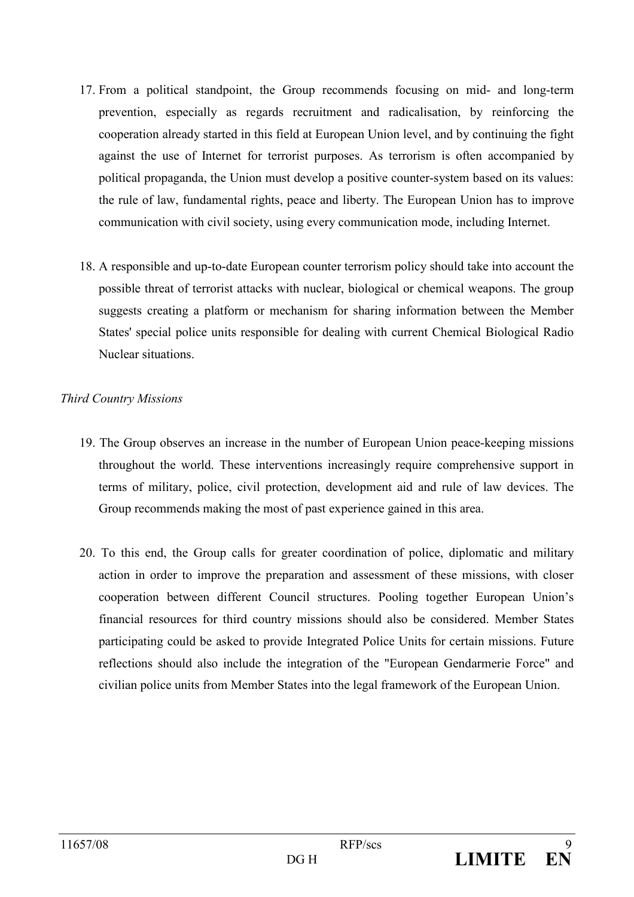- 17. From a political standpoint, the Group recommends focusing on mid- and long-term prevention, especially as regards recruitment and radicalisation, by reinforcing the cooperation already started in this field at European Union level, and by continuing the fight against the use of Internet for terrorist purposes. As terrorism is often accompanied by political propaganda, the Union must develop a positive counter-system based on its values: the rule of law, fundamental rights, peace and liberty. The European Union has to improve communication with civil society, using every communication mode, including Internet.
- 18. A responsible and up-to-date European counter terrorism policy should take into account the possible threat of terrorist attacks with nuclear, biological or chemical weapons. The group suggests creating a platform or mechanism for sharing information between the Member States' special police units responsible for dealing with current Chemical Biological Radio Nuclear situations.

#### **Third Country Missions**

- 19. The Group observes an increase in the number of European Union peace-keeping missions throughout the world. These interventions increasingly require comprehensive support in terms of military, police, civil protection, development aid and rule of law devices. The Group recommends making the most of past experience gained in this area.
- 20. To this end, the Group calls for greater coordination of police, diplomatic and military action in order to improve the preparation and assessment of these missions, with closer cooperation between different Council structures. Pooling together European Union's financial resources for third country missions should also be considered. Member States participating could be asked to provide Integrated Police Units for certain missions. Future reflections should also include the integration of the "European Gendarmerie Force" and civilian police units from Member States into the legal framework of the European Union.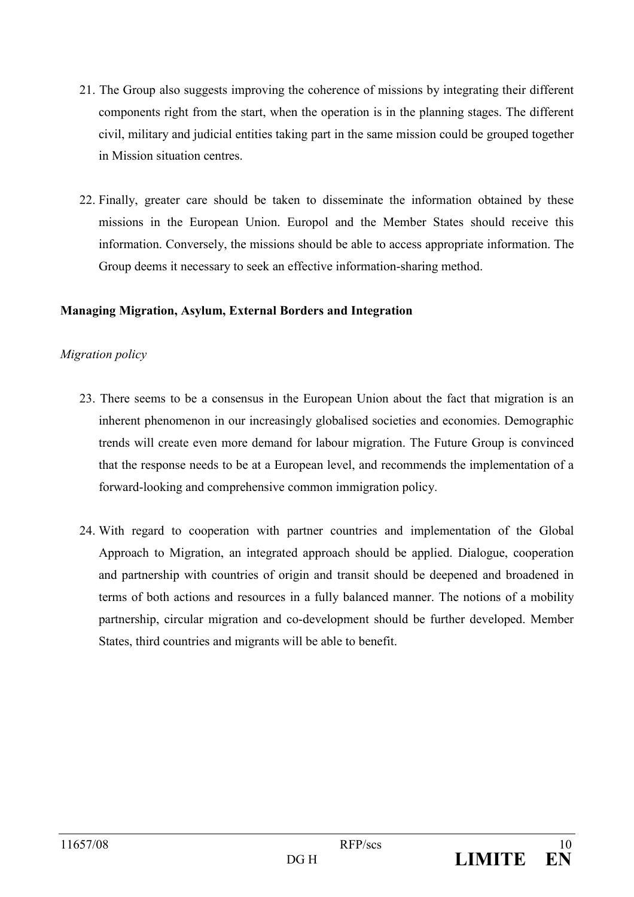- 21. The Group also suggests improving the coherence of missions by integrating their different components right from the start, when the operation is in the planning stages. The different civil, military and judicial entities taking part in the same mission could be grouped together in Mission situation centres.
- 22. Finally, greater care should be taken to disseminate the information obtained by these missions in the European Union. Europol and the Member States should receive this information. Conversely, the missions should be able to access appropriate information. The Group deems it necessary to seek an effective information-sharing method.

#### **Managing Migration, Asylum, External Borders and Integration**

#### Migration policy

- 23. There seems to be a consensus in the European Union about the fact that migration is an inherent phenomenon in our increasingly globalised societies and economies. Demographic trends will create even more demand for labour migration. The Future Group is convinced that the response needs to be at a European level, and recommends the implementation of a forward-looking and comprehensive common immigration policy.
- 24. With regard to cooperation with partner countries and implementation of the Global Approach to Migration, an integrated approach should be applied. Dialogue, cooperation and partnership with countries of origin and transit should be deepened and broadened in terms of both actions and resources in a fully balanced manner. The notions of a mobility partnership, circular migration and co-development should be further developed. Member States, third countries and migrants will be able to benefit.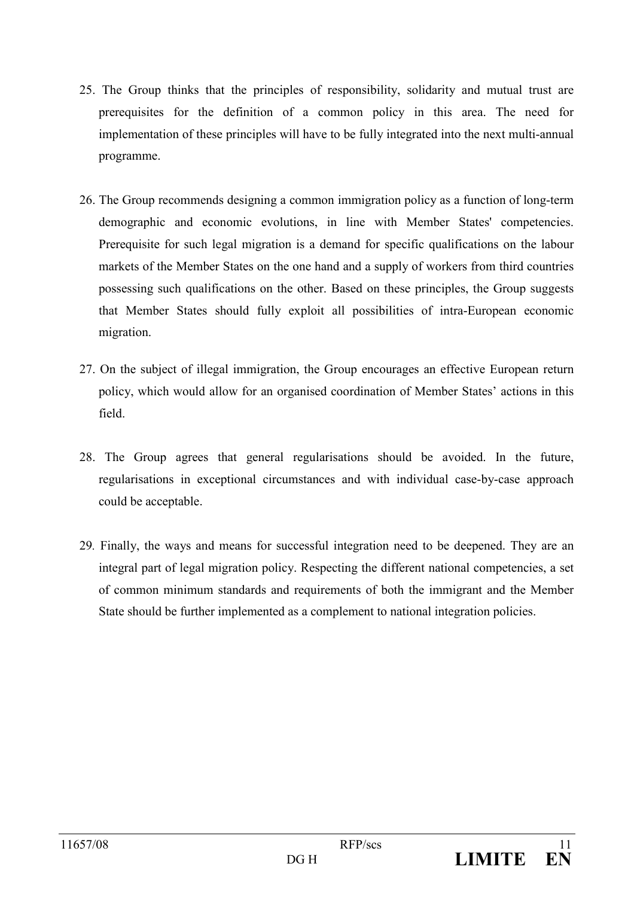- 25. The Group thinks that the principles of responsibility, solidarity and mutual trust are prerequisites for the definition of a common policy in this area. The need for implementation of these principles will have to be fully integrated into the next multi-annual programme.
- 26. The Group recommends designing a common immigration policy as a function of long-term demographic and economic evolutions, in line with Member States' competencies. Prerequisite for such legal migration is a demand for specific qualifications on the labour markets of the Member States on the one hand and a supply of workers from third countries possessing such qualifications on the other. Based on these principles, the Group suggests that Member States should fully exploit all possibilities of intra-European economic migration.
- 27. On the subject of illegal immigration, the Group encourages an effective European return policy, which would allow for an organised coordination of Member States' actions in this field.
- 28. The Group agrees that general regularisations should be avoided. In the future, regularisations in exceptional circumstances and with individual case-by-case approach could be acceptable.
- 29. Finally, the ways and means for successful integration need to be deepened. They are an integral part of legal migration policy. Respecting the different national competencies, a set of common minimum standards and requirements of both the immigrant and the Member State should be further implemented as a complement to national integration policies.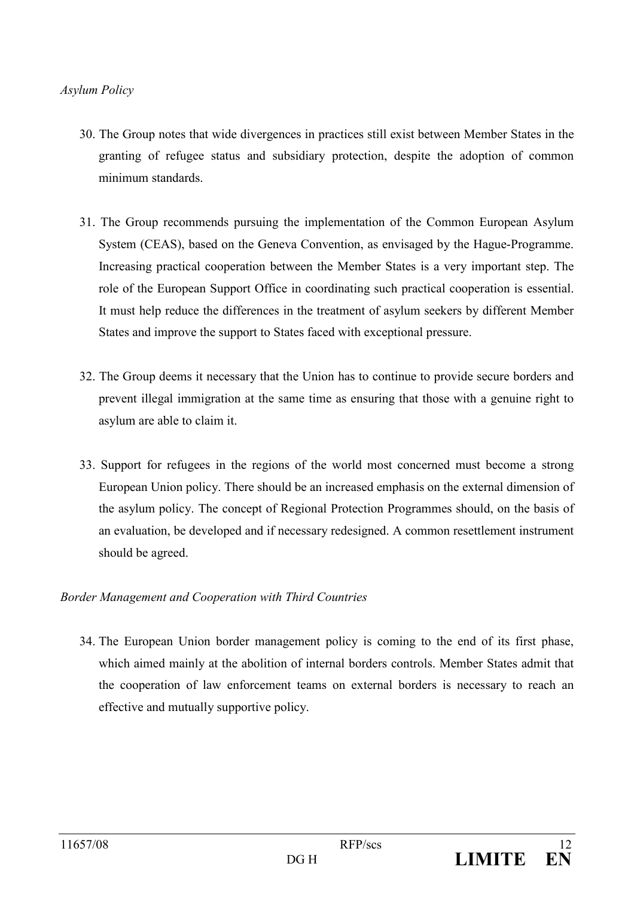#### **Asylum Policy**

- 30. The Group notes that wide divergences in practices still exist between Member States in the granting of refugee status and subsidiary protection, despite the adoption of common minimum standards.
- 31. The Group recommends pursuing the implementation of the Common European Asylum System (CEAS), based on the Geneva Convention, as envisaged by the Hague-Programme. Increasing practical cooperation between the Member States is a very important step. The role of the European Support Office in coordinating such practical cooperation is essential. It must help reduce the differences in the treatment of asylum seekers by different Member States and improve the support to States faced with exceptional pressure.
- 32. The Group deems it necessary that the Union has to continue to provide secure borders and prevent illegal immigration at the same time as ensuring that those with a genuine right to asylum are able to claim it.
- 33. Support for refugees in the regions of the world most concerned must become a strong European Union policy. There should be an increased emphasis on the external dimension of the asylum policy. The concept of Regional Protection Programmes should, on the basis of an evaluation, be developed and if necessary redesigned. A common resettlement instrument should be agreed.

#### Border Management and Cooperation with Third Countries

34. The European Union border management policy is coming to the end of its first phase, which aimed mainly at the abolition of internal borders controls. Member States admit that the cooperation of law enforcement teams on external borders is necessary to reach an effective and mutually supportive policy.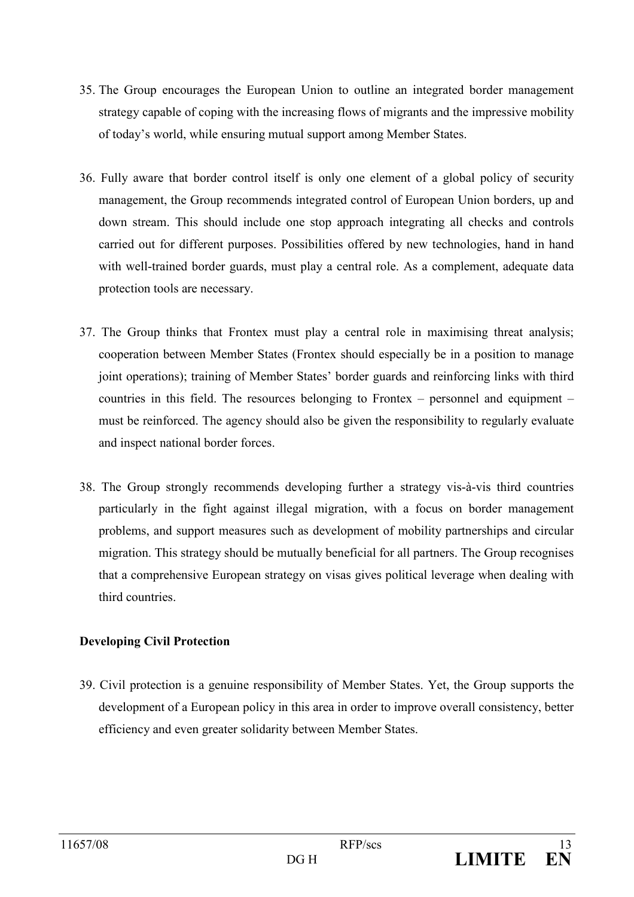- 35. The Group encourages the European Union to outline an integrated border management strategy capable of coping with the increasing flows of migrants and the impressive mobility of today's world, while ensuring mutual support among Member States.
- 36. Fully aware that border control itself is only one element of a global policy of security management, the Group recommends integrated control of European Union borders, up and down stream. This should include one stop approach integrating all checks and controls carried out for different purposes. Possibilities offered by new technologies, hand in hand with well-trained border guards, must play a central role. As a complement, adequate data protection tools are necessary.
- 37. The Group thinks that Frontex must play a central role in maximising threat analysis; cooperation between Member States (Frontex should especially be in a position to manage joint operations); training of Member States' border guards and reinforcing links with third countries in this field. The resources belonging to Frontex – personnel and equipment – must be reinforced. The agency should also be given the responsibility to regularly evaluate and inspect national border forces.
- 38. The Group strongly recommends developing further a strategy vis-à-vis third countries particularly in the fight against illegal migration, with a focus on border management problems, and support measures such as development of mobility partnerships and circular migration. This strategy should be mutually beneficial for all partners. The Group recognises that a comprehensive European strategy on visas gives political leverage when dealing with third countries.

#### **Developing Civil Protection**

39. Civil protection is a genuine responsibility of Member States. Yet, the Group supports the development of a European policy in this area in order to improve overall consistency, better efficiency and even greater solidarity between Member States.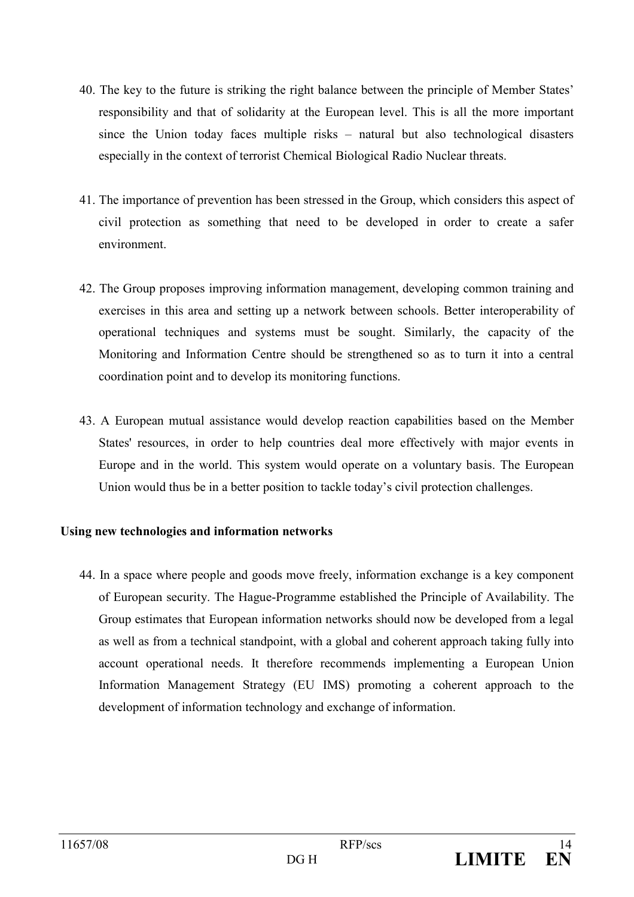- 40. The key to the future is striking the right balance between the principle of Member States' responsibility and that of solidarity at the European level. This is all the more important since the Union today faces multiple risks – natural but also technological disasters especially in the context of terrorist Chemical Biological Radio Nuclear threats.
- 41. The importance of prevention has been stressed in the Group, which considers this aspect of civil protection as something that need to be developed in order to create a safer environment.
- 42. The Group proposes improving information management, developing common training and exercises in this area and setting up a network between schools. Better interoperability of operational techniques and systems must be sought. Similarly, the capacity of the Monitoring and Information Centre should be strengthened so as to turn it into a central coordination point and to develop its monitoring functions.
- 43. A European mutual assistance would develop reaction capabilities based on the Member States' resources, in order to help countries deal more effectively with major events in Europe and in the world. This system would operate on a voluntary basis. The European Union would thus be in a better position to tackle today's civil protection challenges.

#### Using new technologies and information networks

44. In a space where people and goods move freely, information exchange is a key component of European security. The Hague-Programme established the Principle of Availability. The Group estimates that European information networks should now be developed from a legal as well as from a technical standpoint, with a global and coherent approach taking fully into account operational needs. It therefore recommends implementing a European Union Information Management Strategy (EU IMS) promoting a coherent approach to the development of information technology and exchange of information.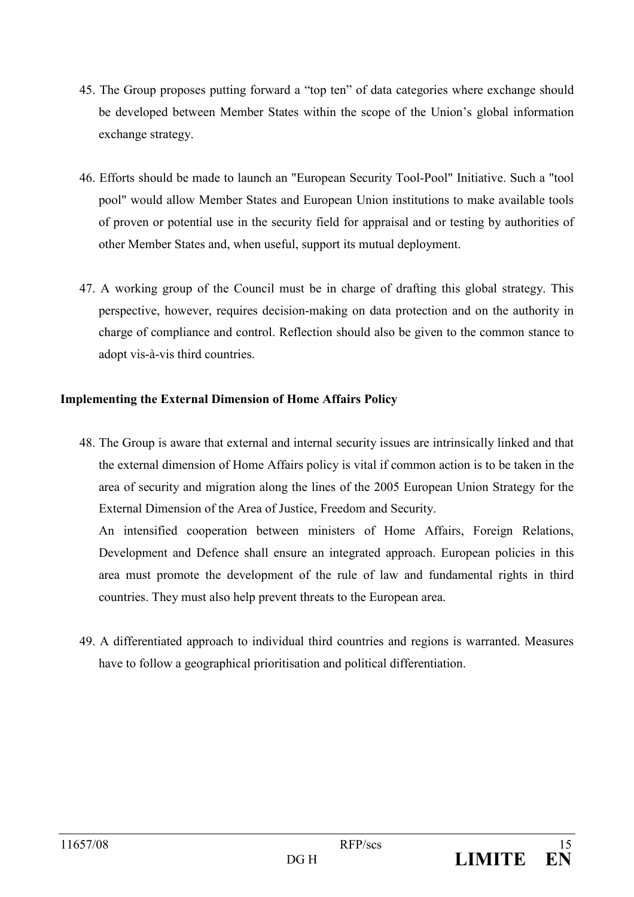- 45. The Group proposes putting forward a "top ten" of data categories where exchange should be developed between Member States within the scope of the Union's global information exchange strategy.
- 46. Efforts should be made to launch an "European Security Tool-Pool" Initiative. Such a "tool pool" would allow Member States and European Union institutions to make available tools of proven or potential use in the security field for appraisal and or testing by authorities of other Member States and, when useful, support its mutual deployment.
- 47. A working group of the Council must be in charge of drafting this global strategy. This perspective, however, requires decision-making on data protection and on the authority in charge of compliance and control. Reflection should also be given to the common stance to adopt vis-à-vis third countries.

#### **Implementing the External Dimension of Home Affairs Policy**

48. The Group is aware that external and internal security issues are intrinsically linked and that the external dimension of Home Affairs policy is vital if common action is to be taken in the area of security and migration along the lines of the 2005 European Union Strategy for the External Dimension of the Area of Justice, Freedom and Security.

An intensified cooperation between ministers of Home Affairs, Foreign Relations, Development and Defence shall ensure an integrated approach. European policies in this area must promote the development of the rule of law and fundamental rights in third countries. They must also help prevent threats to the European area.

49. A differentiated approach to individual third countries and regions is warranted. Measures have to follow a geographical prioritisation and political differentiation.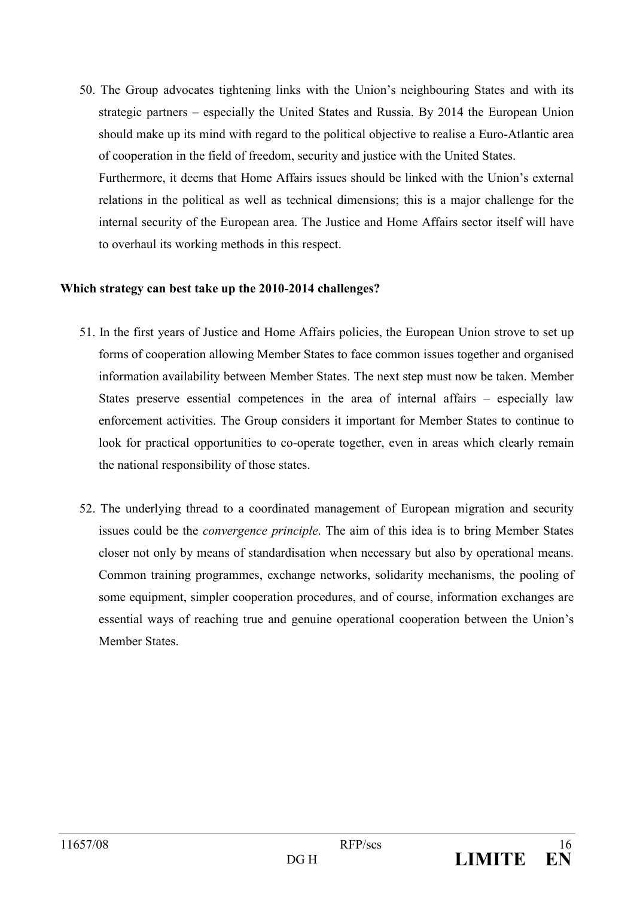50. The Group advocates tightening links with the Union's neighbouring States and with its strategic partners – especially the United States and Russia. By 2014 the European Union should make up its mind with regard to the political objective to realise a Euro-Atlantic area of cooperation in the field of freedom, security and justice with the United States. Furthermore, it deems that Home Affairs issues should be linked with the Union's external relations in the political as well as technical dimensions; this is a major challenge for the internal security of the European area. The Justice and Home Affairs sector itself will have to overhaul its working methods in this respect.

#### Which strategy can best take up the 2010-2014 challenges?

- 51. In the first years of Justice and Home Affairs policies, the European Union strove to set up forms of cooperation allowing Member States to face common issues together and organised information availability between Member States. The next step must now be taken. Member States preserve essential competences in the area of internal affairs – especially law enforcement activities. The Group considers it important for Member States to continue to look for practical opportunities to co-operate together, even in areas which clearly remain the national responsibility of those states.
- 52. The underlying thread to a coordinated management of European migration and security issues could be the *convergence principle*. The aim of this idea is to bring Member States closer not only by means of standardisation when necessary but also by operational means. Common training programmes, exchange networks, solidarity mechanisms, the pooling of some equipment, simpler cooperation procedures, and of course, information exchanges are essential ways of reaching true and genuine operational cooperation between the Union's **Member States**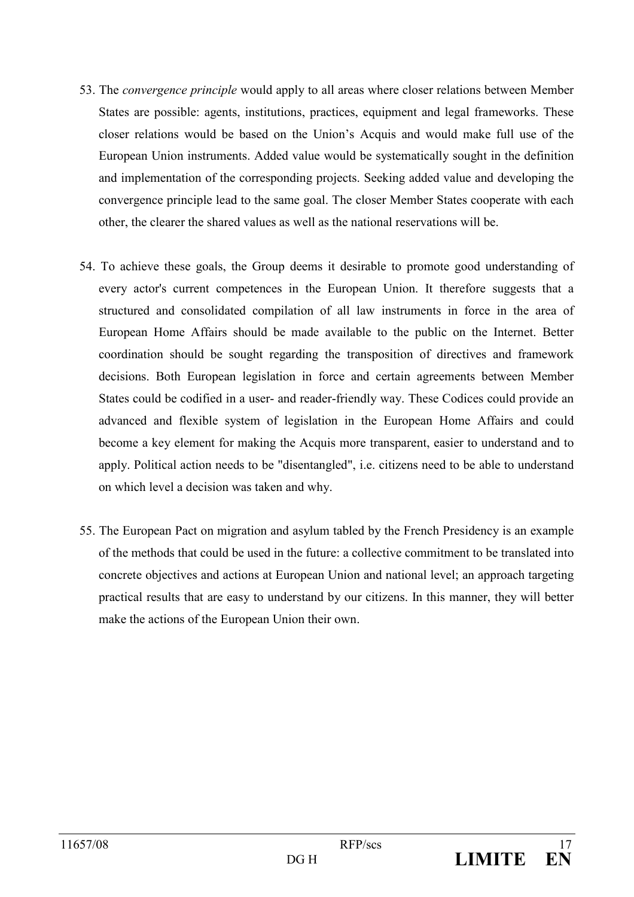- 53. The *convergence principle* would apply to all areas where closer relations between Member States are possible: agents, institutions, practices, equipment and legal frameworks. These closer relations would be based on the Union's Acquis and would make full use of the European Union instruments. Added value would be systematically sought in the definition and implementation of the corresponding projects. Seeking added value and developing the convergence principle lead to the same goal. The closer Member States cooperate with each other, the clearer the shared values as well as the national reservations will be.
- 54. To achieve these goals, the Group deems it desirable to promote good understanding of every actor's current competences in the European Union. It therefore suggests that a structured and consolidated compilation of all law instruments in force in the area of European Home Affairs should be made available to the public on the Internet. Better coordination should be sought regarding the transposition of directives and framework decisions. Both European legislation in force and certain agreements between Member States could be codified in a user- and reader-friendly way. These Codices could provide an advanced and flexible system of legislation in the European Home Affairs and could become a key element for making the Acquis more transparent, easier to understand and to apply. Political action needs to be "disentangled", *i.e.* citizens need to be able to understand on which level a decision was taken and why.
- 55. The European Pact on migration and asylum tabled by the French Presidency is an example of the methods that could be used in the future: a collective commitment to be translated into concrete objectives and actions at European Union and national level; an approach targeting practical results that are easy to understand by our citizens. In this manner, they will better make the actions of the European Union their own.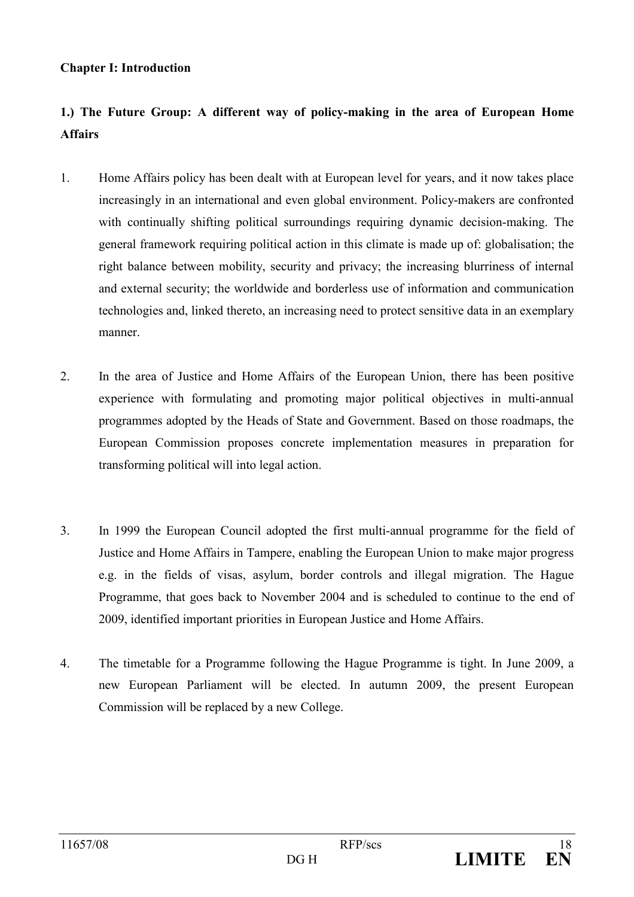#### **Chapter I: Introduction**

### 1.) The Future Group: A different way of policy-making in the area of European Home **Affairs**

- $1.$ Home Affairs policy has been dealt with at European level for years, and it now takes place increasingly in an international and even global environment. Policy-makers are confronted with continually shifting political surroundings requiring dynamic decision-making. The general framework requiring political action in this climate is made up of: globalisation; the right balance between mobility, security and privacy; the increasing blurriness of internal and external security; the worldwide and borderless use of information and communication technologies and, linked thereto, an increasing need to protect sensitive data in an exemplary manner
- 2. In the area of Justice and Home Affairs of the European Union, there has been positive experience with formulating and promoting major political objectives in multi-annual programmes adopted by the Heads of State and Government. Based on those roadmaps, the European Commission proposes concrete implementation measures in preparation for transforming political will into legal action.
- $3<sub>1</sub>$ In 1999 the European Council adopted the first multi-annual programme for the field of Justice and Home Affairs in Tampere, enabling the European Union to make major progress e.g. in the fields of visas, asylum, border controls and illegal migration. The Hague Programme, that goes back to November 2004 and is scheduled to continue to the end of 2009, identified important priorities in European Justice and Home Affairs.
- $\overline{4}$ . The timetable for a Programme following the Hague Programme is tight. In June 2009, a new European Parliament will be elected. In autumn 2009, the present European Commission will be replaced by a new College.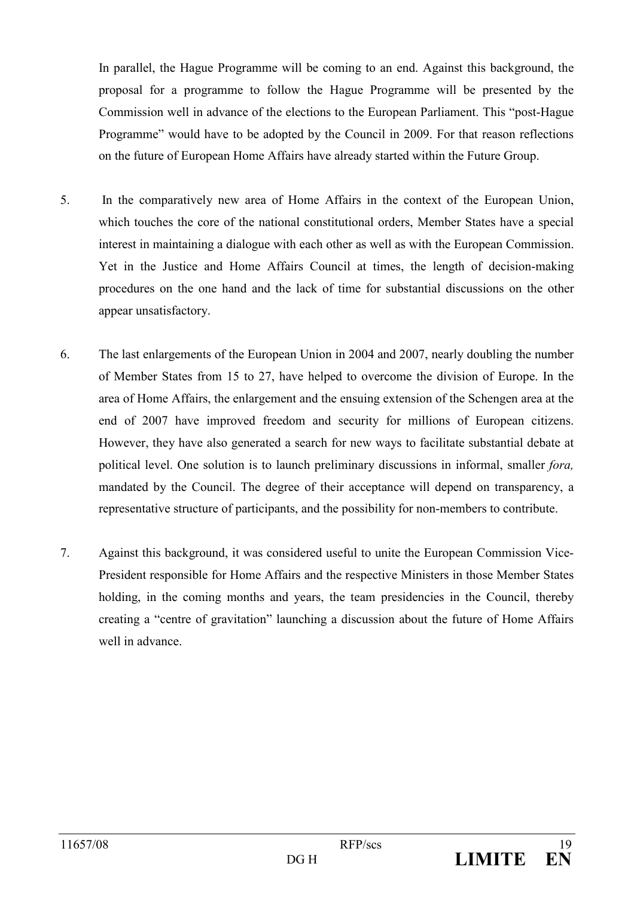In parallel, the Hague Programme will be coming to an end. Against this background, the proposal for a programme to follow the Hague Programme will be presented by the Commission well in advance of the elections to the European Parliament. This "post-Hague" Programme" would have to be adopted by the Council in 2009. For that reason reflections on the future of European Home Affairs have already started within the Future Group.

- $5<sub>1</sub>$ In the comparatively new area of Home Affairs in the context of the European Union, which touches the core of the national constitutional orders, Member States have a special interest in maintaining a dialogue with each other as well as with the European Commission. Yet in the Justice and Home Affairs Council at times, the length of decision-making procedures on the one hand and the lack of time for substantial discussions on the other appear unsatisfactory.
- 6. The last enlargements of the European Union in 2004 and 2007, nearly doubling the number of Member States from 15 to 27, have helped to overcome the division of Europe. In the area of Home Affairs, the enlargement and the ensuing extension of the Schengen area at the end of 2007 have improved freedom and security for millions of European citizens. However, they have also generated a search for new ways to facilitate substantial debate at political level. One solution is to launch preliminary discussions in informal, smaller fora, mandated by the Council. The degree of their acceptance will depend on transparency, a representative structure of participants, and the possibility for non-members to contribute.
- $7.$ Against this background, it was considered useful to unite the European Commission Vice-President responsible for Home Affairs and the respective Ministers in those Member States holding, in the coming months and years, the team presidencies in the Council, thereby creating a "centre of gravitation" launching a discussion about the future of Home Affairs well in advance.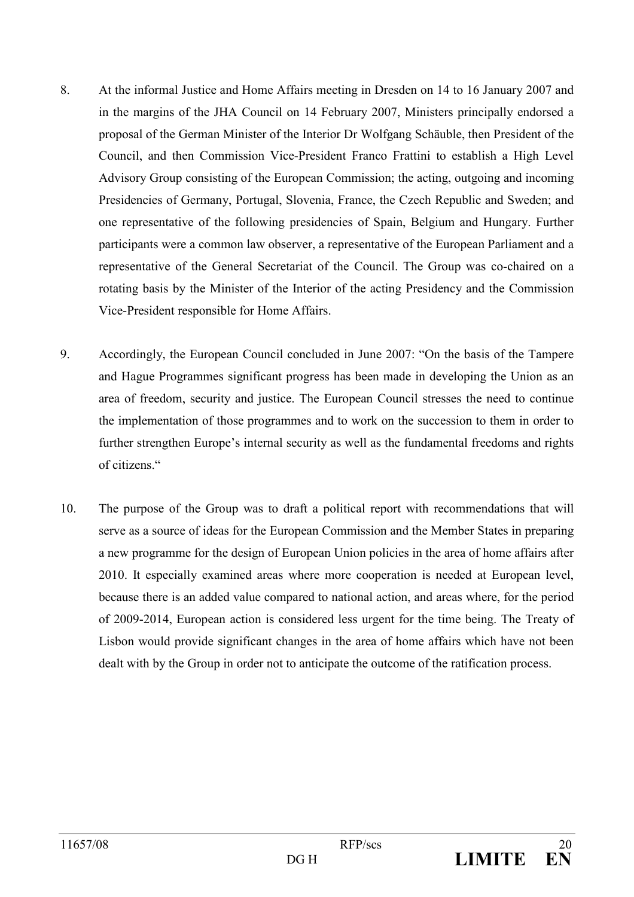- 8. At the informal Justice and Home Affairs meeting in Dresden on 14 to 16 January 2007 and in the margins of the JHA Council on 14 February 2007, Ministers principally endorsed a proposal of the German Minister of the Interior Dr Wolfgang Schäuble, then President of the Council, and then Commission Vice-President Franco Frattini to establish a High Level Advisory Group consisting of the European Commission; the acting, outgoing and incoming Presidencies of Germany, Portugal, Slovenia, France, the Czech Republic and Sweden; and one representative of the following presidencies of Spain, Belgium and Hungary. Further participants were a common law observer, a representative of the European Parliament and a representative of the General Secretariat of the Council. The Group was co-chaired on a rotating basis by the Minister of the Interior of the acting Presidency and the Commission Vice-President responsible for Home Affairs.
- 9. Accordingly, the European Council concluded in June 2007: "On the basis of the Tampere" and Hague Programmes significant progress has been made in developing the Union as an area of freedom, security and justice. The European Council stresses the need to continue the implementation of those programmes and to work on the succession to them in order to further strengthen Europe's internal security as well as the fundamental freedoms and rights of citizens "
- $10<sup>1</sup>$ The purpose of the Group was to draft a political report with recommendations that will serve as a source of ideas for the European Commission and the Member States in preparing a new programme for the design of European Union policies in the area of home affairs after 2010. It especially examined areas where more cooperation is needed at European level, because there is an added value compared to national action, and areas where, for the period of 2009-2014, European action is considered less urgent for the time being. The Treaty of Lisbon would provide significant changes in the area of home affairs which have not been dealt with by the Group in order not to anticipate the outcome of the ratification process.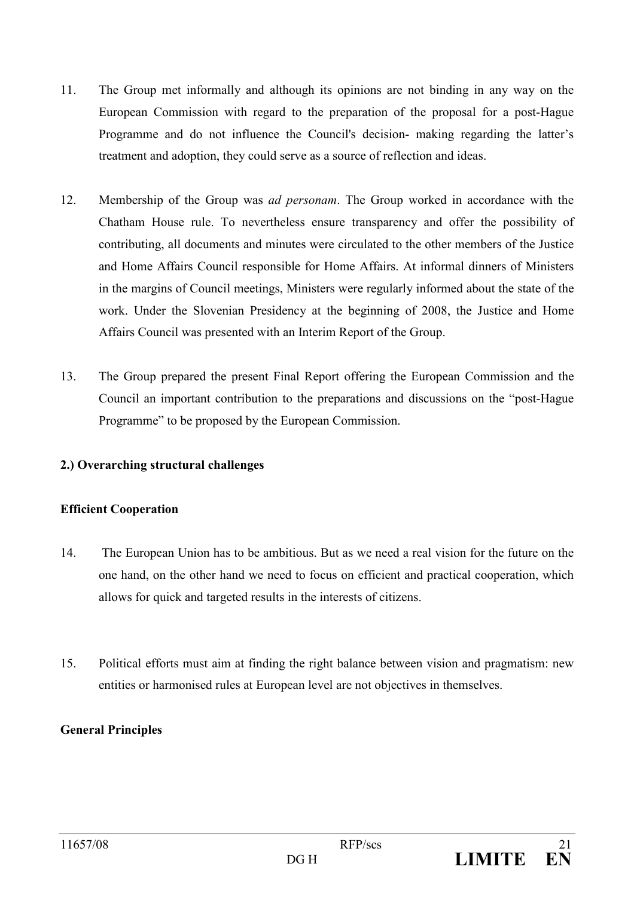- $11$ The Group met informally and although its opinions are not binding in any way on the European Commission with regard to the preparation of the proposal for a post-Hague Programme and do not influence the Council's decision- making regarding the latter's treatment and adoption, they could serve as a source of reflection and ideas.
- $12.$ Membership of the Group was *ad personam*. The Group worked in accordance with the Chatham House rule. To nevertheless ensure transparency and offer the possibility of contributing, all documents and minutes were circulated to the other members of the Justice and Home Affairs Council responsible for Home Affairs. At informal dinners of Ministers in the margins of Council meetings, Ministers were regularly informed about the state of the work. Under the Slovenian Presidency at the beginning of 2008, the Justice and Home Affairs Council was presented with an Interim Report of the Group.
- 13. The Group prepared the present Final Report offering the European Commission and the Council an important contribution to the preparations and discussions on the "post-Hague" Programme" to be proposed by the European Commission.

#### 2.) Overarching structural challenges

#### **Efficient Cooperation**

- 14. The European Union has to be ambitious. But as we need a real vision for the future on the one hand, on the other hand we need to focus on efficient and practical cooperation, which allows for quick and targeted results in the interests of citizens.
- 15. Political efforts must aim at finding the right balance between vision and pragmatism: new entities or harmonised rules at European level are not objectives in themselves.

#### **General Principles**

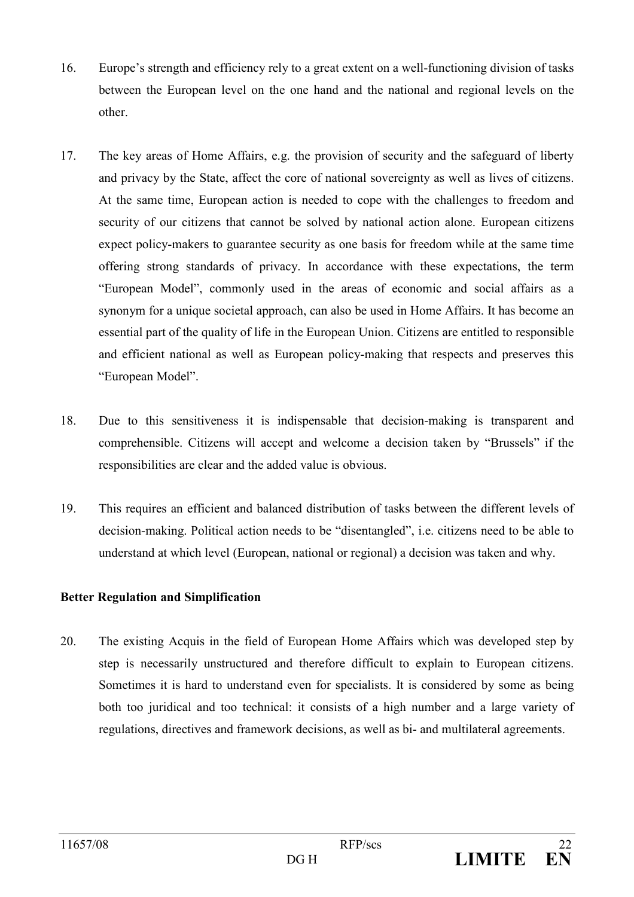- $16.$ Europe's strength and efficiency rely to a great extent on a well-functioning division of tasks between the European level on the one hand and the national and regional levels on the other.
- 17. The key areas of Home Affairs, e.g. the provision of security and the safeguard of liberty and privacy by the State, affect the core of national sovereignty as well as lives of citizens. At the same time. European action is needed to cope with the challenges to freedom and security of our citizens that cannot be solved by national action alone. European citizens expect policy-makers to guarantee security as one basis for freedom while at the same time offering strong standards of privacy. In accordance with these expectations, the term "European Model", commonly used in the areas of economic and social affairs as a synonym for a unique societal approach, can also be used in Home Affairs. It has become an essential part of the quality of life in the European Union. Citizens are entitled to responsible and efficient national as well as European policy-making that respects and preserves this "European Model".
- 18. Due to this sensitiveness it is indispensable that decision-making is transparent and comprehensible. Citizens will accept and welcome a decision taken by "Brussels" if the responsibilities are clear and the added value is obvious.
- 19 This requires an efficient and balanced distribution of tasks between the different levels of decision-making. Political action needs to be "disentangled", i.e. citizens need to be able to understand at which level (European, national or regional) a decision was taken and why.

#### **Better Regulation and Simplification**

20. The existing Acquis in the field of European Home Affairs which was developed step by step is necessarily unstructured and therefore difficult to explain to European citizens. Sometimes it is hard to understand even for specialists. It is considered by some as being both too juridical and too technical: it consists of a high number and a large variety of regulations, directives and framework decisions, as well as bi- and multilateral agreements.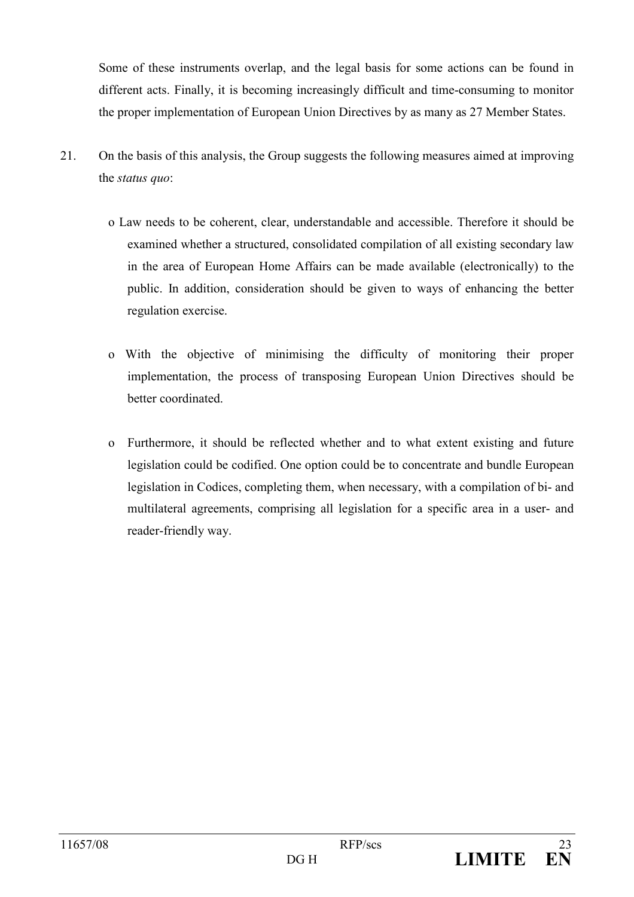Some of these instruments overlap, and the legal basis for some actions can be found in different acts. Finally, it is becoming increasingly difficult and time-consuming to monitor the proper implementation of European Union Directives by as many as 27 Member States.

- 21. On the basis of this analysis, the Group suggests the following measures aimed at improving the *status* quo:
	- o Law needs to be coherent, clear, understandable and accessible. Therefore it should be examined whether a structured, consolidated compilation of all existing secondary law in the area of European Home Affairs can be made available (electronically) to the public. In addition, consideration should be given to ways of enhancing the better regulation exercise.
	- o With the objective of minimising the difficulty of monitoring their proper implementation, the process of transposing European Union Directives should be better coordinated
	- o Furthermore, it should be reflected whether and to what extent existing and future legislation could be codified. One option could be to concentrate and bundle European legislation in Codices, completing them, when necessary, with a compilation of bi- and multilateral agreements, comprising all legislation for a specific area in a user- and reader-friendly way.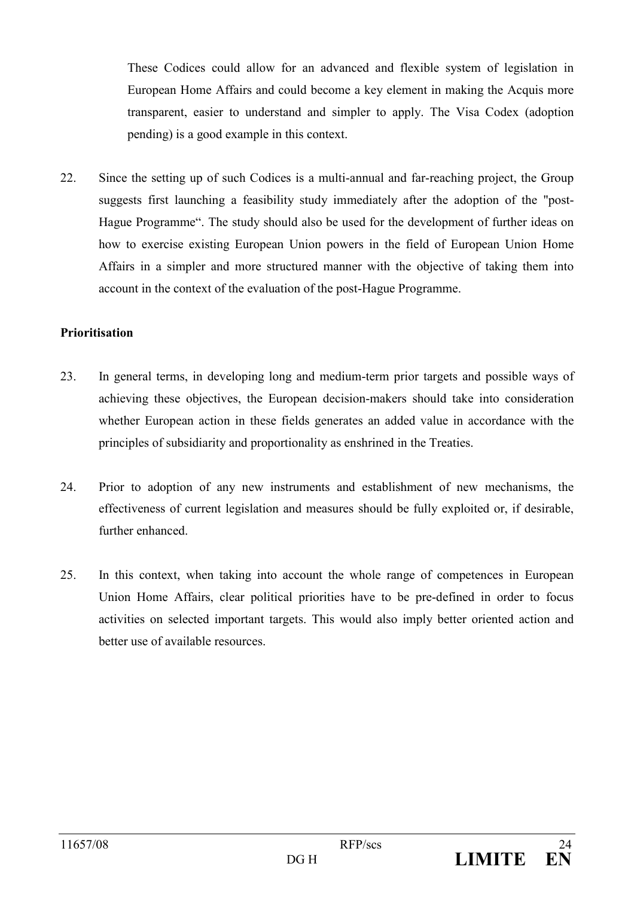These Codices could allow for an advanced and flexible system of legislation in European Home Affairs and could become a key element in making the Acquis more transparent, easier to understand and simpler to apply. The Visa Codex (adoption pending) is a good example in this context.

22. Since the setting up of such Codices is a multi-annual and far-reaching project, the Group suggests first launching a feasibility study immediately after the adoption of the "post-Hague Programme". The study should also be used for the development of further ideas on how to exercise existing European Union powers in the field of European Union Home Affairs in a simpler and more structured manner with the objective of taking them into account in the context of the evaluation of the post-Hague Programme.

#### **Prioritisation**

- 23. In general terms, in developing long and medium-term prior targets and possible ways of achieving these objectives, the European decision-makers should take into consideration whether European action in these fields generates an added value in accordance with the principles of subsidiarity and proportionality as enshrined in the Treaties.
- 24. Prior to adoption of any new instruments and establishment of new mechanisms, the effectiveness of current legislation and measures should be fully exploited or, if desirable, further enhanced.
- 25. In this context, when taking into account the whole range of competences in European Union Home Affairs, clear political priorities have to be pre-defined in order to focus activities on selected important targets. This would also imply better oriented action and better use of available resources.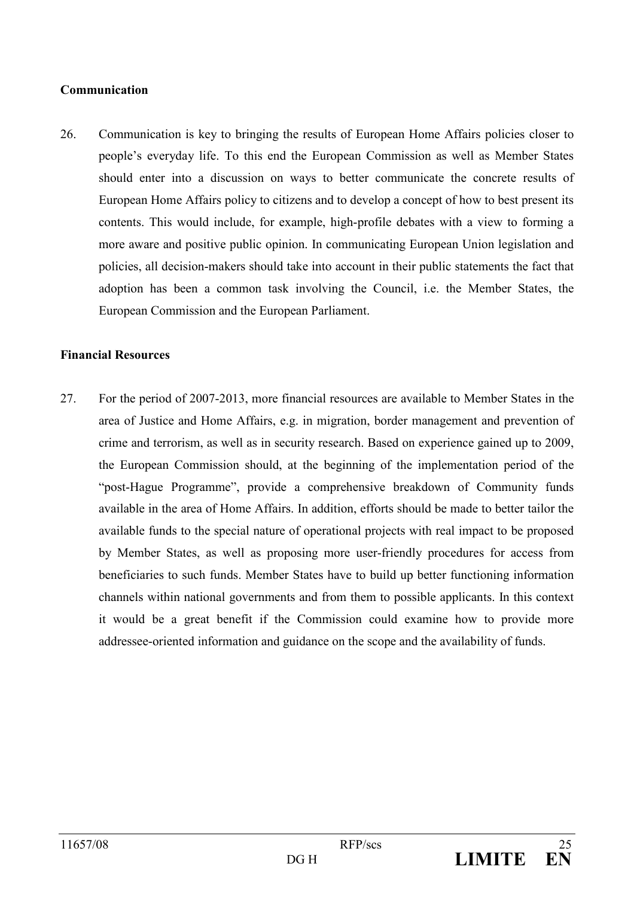#### Communication

26. Communication is key to bringing the results of European Home Affairs policies closer to people's everyday life. To this end the European Commission as well as Member States should enter into a discussion on ways to better communicate the concrete results of European Home Affairs policy to citizens and to develop a concept of how to best present its contents. This would include, for example, high-profile debates with a view to forming a more aware and positive public opinion. In communicating European Union legislation and policies, all decision-makers should take into account in their public statements the fact that adoption has been a common task involving the Council, i.e. the Member States, the European Commission and the European Parliament.

#### **Financial Resources**

27 For the period of 2007-2013, more financial resources are available to Member States in the area of Justice and Home Affairs, e.g. in migration, border management and prevention of crime and terrorism, as well as in security research. Based on experience gained up to 2009, the European Commission should, at the beginning of the implementation period of the "post-Hague Programme", provide a comprehensive breakdown of Community funds available in the area of Home Affairs. In addition, efforts should be made to better tailor the available funds to the special nature of operational projects with real impact to be proposed by Member States, as well as proposing more user-friendly procedures for access from beneficiaries to such funds. Member States have to build up better functioning information channels within national governments and from them to possible applicants. In this context it would be a great benefit if the Commission could examine how to provide more addressee-oriented information and guidance on the scope and the availability of funds.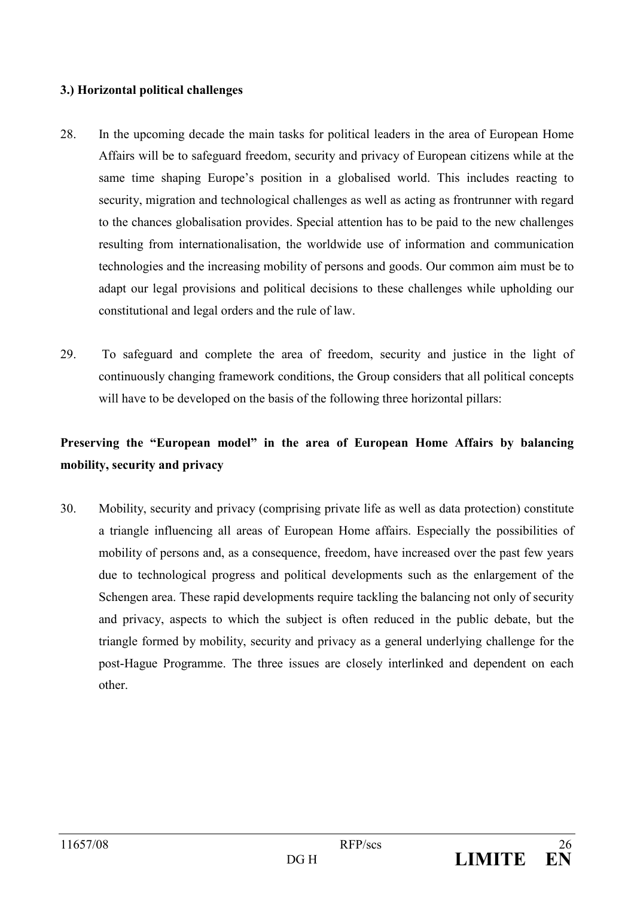#### 3.) Horizontal political challenges

- 28. In the upcoming decade the main tasks for political leaders in the area of European Home Affairs will be to safeguard freedom, security and privacy of European citizens while at the same time shaping Europe's position in a globalised world. This includes reacting to security, migration and technological challenges as well as acting as frontrunner with regard to the chances globalisation provides. Special attention has to be paid to the new challenges resulting from internationalisation, the worldwide use of information and communication technologies and the increasing mobility of persons and goods. Our common aim must be to adapt our legal provisions and political decisions to these challenges while upholding our constitutional and legal orders and the rule of law.
- 29. To safeguard and complete the area of freedom, security and justice in the light of continuously changing framework conditions, the Group considers that all political concepts will have to be developed on the basis of the following three horizontal pillars:

## Preserving the "European model" in the area of European Home Affairs by balancing mobility, security and privacy

 $30<sup>°</sup>$ Mobility, security and privacy (comprising private life as well as data protection) constitute a triangle influencing all areas of European Home affairs. Especially the possibilities of mobility of persons and, as a consequence, freedom, have increased over the past few years due to technological progress and political developments such as the enlargement of the Schengen area. These rapid developments require tackling the balancing not only of security and privacy, aspects to which the subject is often reduced in the public debate, but the triangle formed by mobility, security and privacy as a general underlying challenge for the post-Hague Programme. The three issues are closely interlinked and dependent on each other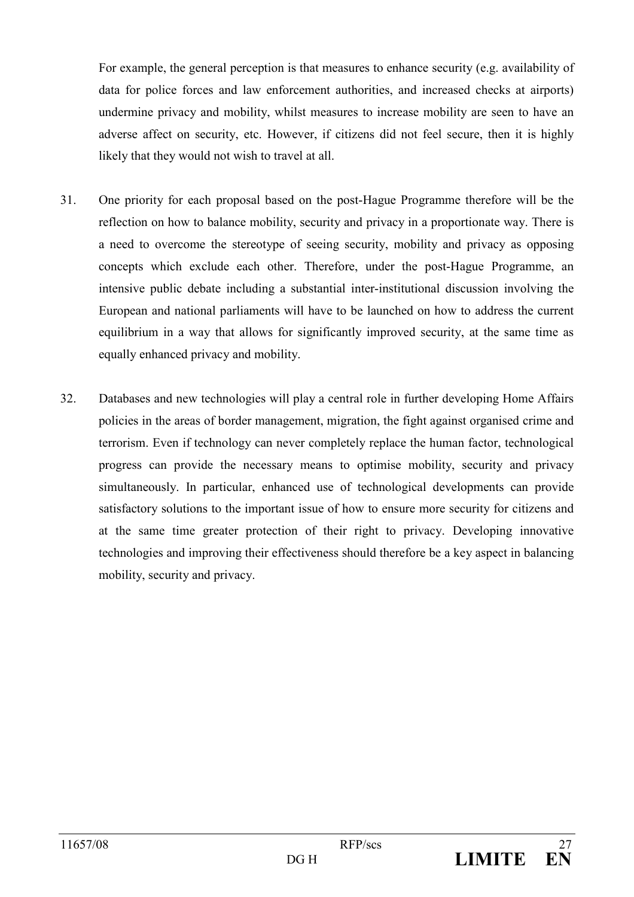For example, the general perception is that measures to enhance security (e.g. availability of data for police forces and law enforcement authorities, and increased checks at airports) undermine privacy and mobility, whilst measures to increase mobility are seen to have an adverse affect on security, etc. However, if citizens did not feel secure, then it is highly likely that they would not wish to travel at all.

- $31.$ One priority for each proposal based on the post-Hague Programme therefore will be the reflection on how to balance mobility, security and privacy in a proportionate way. There is a need to overcome the stereotype of seeing security, mobility and privacy as opposing concepts which exclude each other. Therefore, under the post-Hague Programme, an intensive public debate including a substantial inter-institutional discussion involving the European and national parliaments will have to be launched on how to address the current equilibrium in a way that allows for significantly improved security, at the same time as equally enhanced privacy and mobility.
- $32$ Databases and new technologies will play a central role in further developing Home Affairs policies in the areas of border management, migration, the fight against organised crime and terrorism. Even if technology can never completely replace the human factor, technological progress can provide the necessary means to optimise mobility, security and privacy simultaneously. In particular, enhanced use of technological developments can provide satisfactory solutions to the important issue of how to ensure more security for citizens and at the same time greater protection of their right to privacy. Developing innovative technologies and improving their effectiveness should therefore be a key aspect in balancing mobility, security and privacy.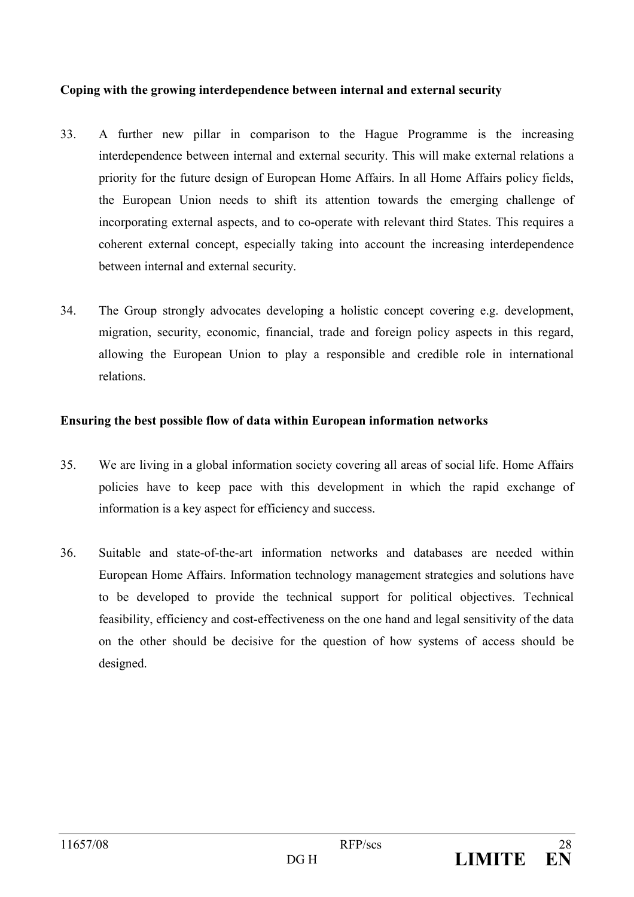#### Coping with the growing interdependence between internal and external security

- 33. A further new pillar in comparison to the Hague Programme is the increasing interdependence between internal and external security. This will make external relations a priority for the future design of European Home Affairs. In all Home Affairs policy fields, the European Union needs to shift its attention towards the emerging challenge of incorporating external aspects, and to co-operate with relevant third States. This requires a coherent external concept, especially taking into account the increasing interdependence between internal and external security.
- $34$ The Group strongly advocates developing a holistic concept covering e.g. development, migration, security, economic, financial, trade and foreign policy aspects in this regard. allowing the European Union to play a responsible and credible role in international relations.

#### Ensuring the best possible flow of data within European information networks

- 35. We are living in a global information society covering all areas of social life. Home Affairs policies have to keep pace with this development in which the rapid exchange of information is a key aspect for efficiency and success.
- 36. Suitable and state-of-the-art information networks and databases are needed within European Home Affairs. Information technology management strategies and solutions have to be developed to provide the technical support for political objectives. Technical feasibility, efficiency and cost-effectiveness on the one hand and legal sensitivity of the data on the other should be decisive for the question of how systems of access should be designed.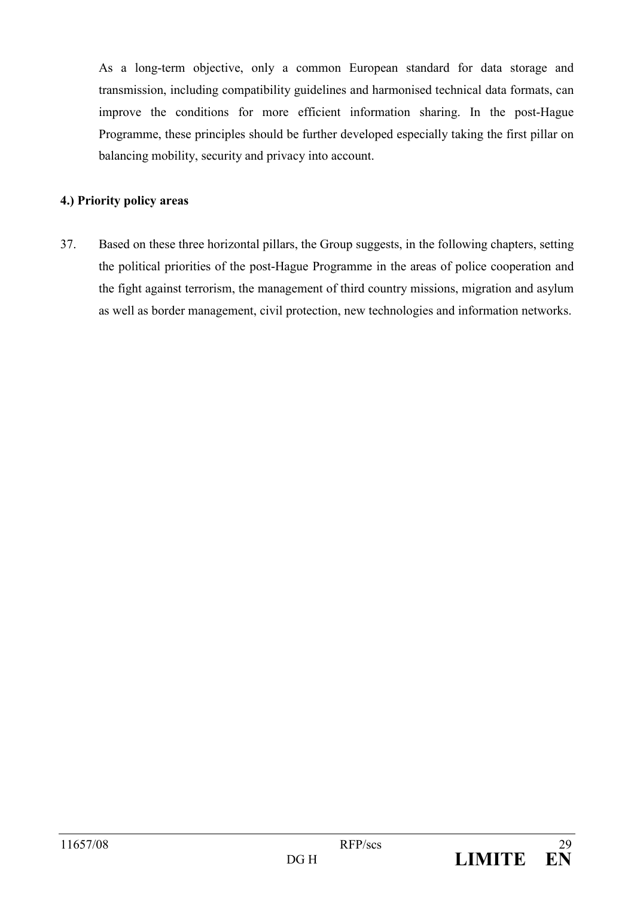As a long-term objective, only a common European standard for data storage and transmission, including compatibility guidelines and harmonised technical data formats, can improve the conditions for more efficient information sharing. In the post-Hague Programme, these principles should be further developed especially taking the first pillar on balancing mobility, security and privacy into account.

#### 4.) Priority policy areas

37. Based on these three horizontal pillars, the Group suggests, in the following chapters, setting the political priorities of the post-Hague Programme in the areas of police cooperation and the fight against terrorism, the management of third country missions, migration and asylum as well as border management, civil protection, new technologies and information networks.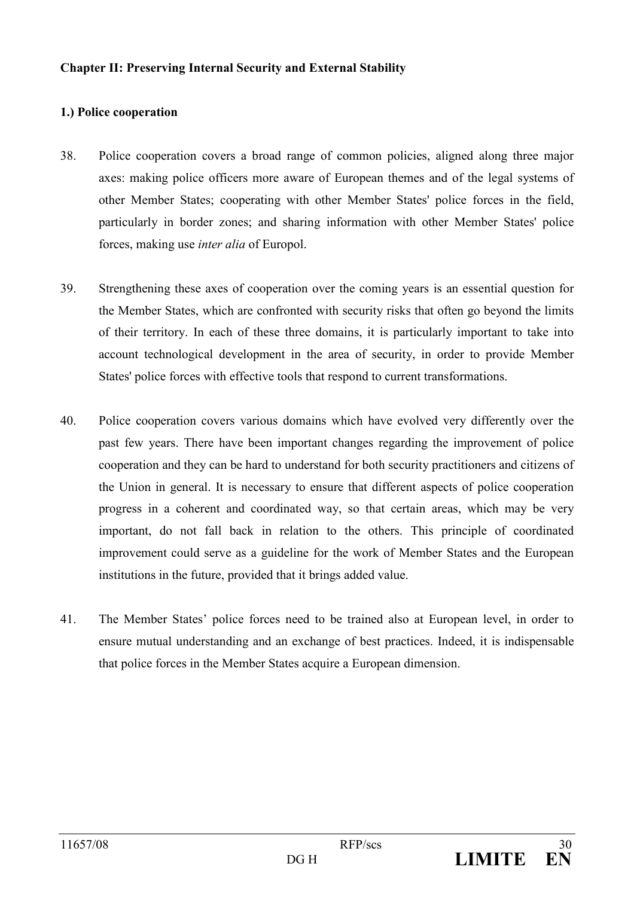#### **Chapter II: Preserving Internal Security and External Stability**

#### 1.) Police cooperation

- 38. Police cooperation covers a broad range of common policies, aligned along three major axes: making police officers more aware of European themes and of the legal systems of other Member States; cooperating with other Member States' police forces in the field, particularly in border zones; and sharing information with other Member States' police forces, making use *inter alia* of Europol.
- 39. Strengthening these axes of cooperation over the coming years is an essential question for the Member States, which are confronted with security risks that often go beyond the limits of their territory. In each of these three domains, it is particularly important to take into account technological development in the area of security, in order to provide Member States' police forces with effective tools that respond to current transformations.
- 40. Police cooperation covers various domains which have evolved very differently over the past few years. There have been important changes regarding the improvement of police cooperation and they can be hard to understand for both security practitioners and citizens of the Union in general. It is necessary to ensure that different aspects of police cooperation progress in a coherent and coordinated way, so that certain areas, which may be very important, do not fall back in relation to the others. This principle of coordinated improvement could serve as a guideline for the work of Member States and the European institutions in the future, provided that it brings added value.
- $41.$ The Member States' police forces need to be trained also at European level, in order to ensure mutual understanding and an exchange of best practices. Indeed, it is indispensable that police forces in the Member States acquire a European dimension.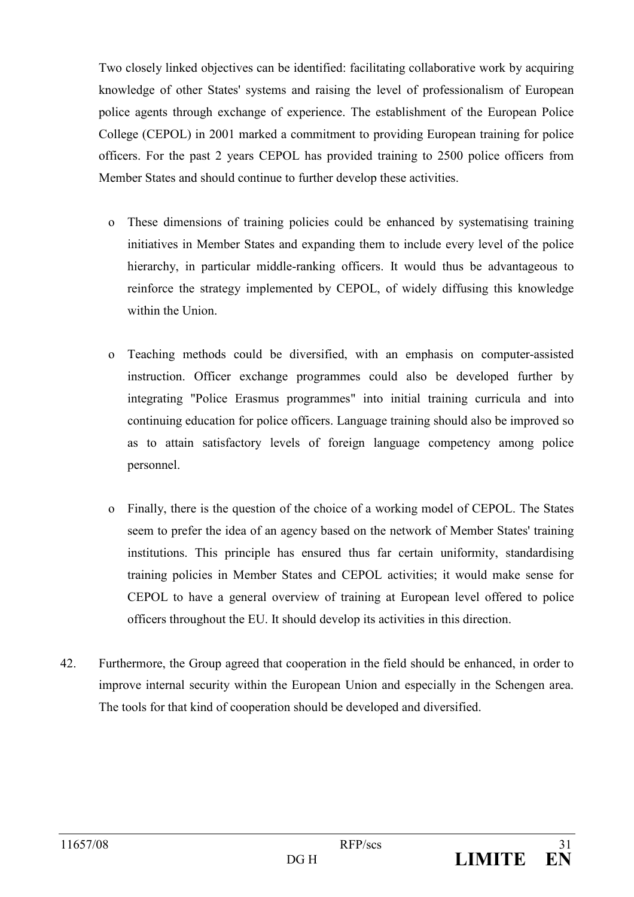Two closely linked objectives can be identified: facilitating collaborative work by acquiring knowledge of other States' systems and raising the level of professionalism of European police agents through exchange of experience. The establishment of the European Police College (CEPOL) in 2001 marked a commitment to providing European training for police officers. For the past 2 years CEPOL has provided training to 2500 police officers from Member States and should continue to further develop these activities.

- o These dimensions of training policies could be enhanced by systematising training initiatives in Member States and expanding them to include every level of the police hierarchy, in particular middle-ranking officers. It would thus be advantageous to reinforce the strategy implemented by CEPOL, of widely diffusing this knowledge within the Union
- o Teaching methods could be diversified, with an emphasis on computer-assisted instruction. Officer exchange programmes could also be developed further by integrating "Police Erasmus programmes" into initial training curricula and into continuing education for police officers. Language training should also be improved so as to attain satisfactory levels of foreign language competency among police personnel.
- Finally, there is the question of the choice of a working model of CEPOL. The States  $\Omega$ seem to prefer the idea of an agency based on the network of Member States' training institutions. This principle has ensured thus far certain uniformity, standardising training policies in Member States and CEPOL activities; it would make sense for CEPOL to have a general overview of training at European level offered to police officers throughout the EU. It should develop its activities in this direction.
- 42. Furthermore, the Group agreed that cooperation in the field should be enhanced, in order to improve internal security within the European Union and especially in the Schengen area. The tools for that kind of cooperation should be developed and diversified.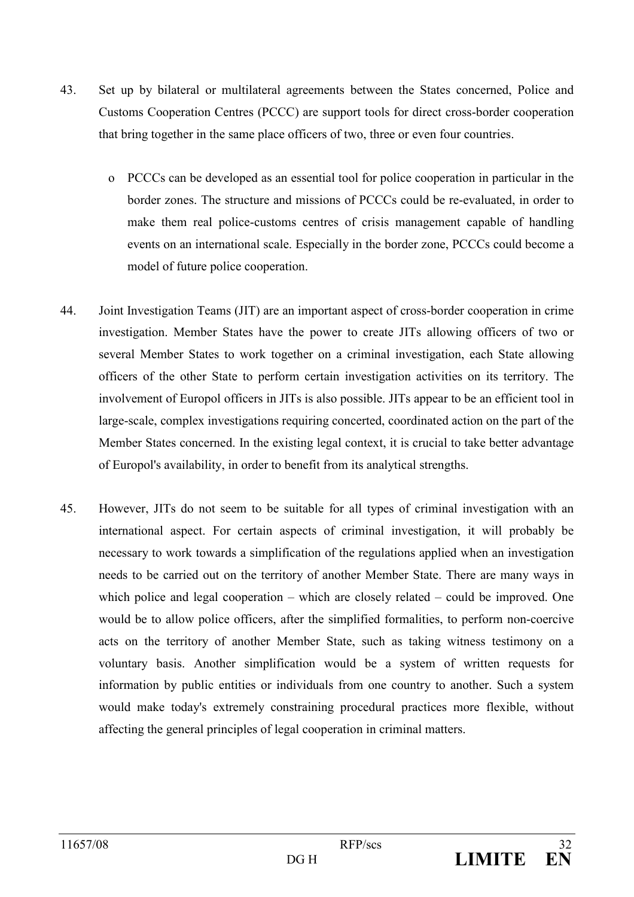- 43 Set up by bilateral or multilateral agreements between the States concerned, Police and Customs Cooperation Centres (PCCC) are support tools for direct cross-border cooperation that bring together in the same place officers of two, three or even four countries.
	- o PCCCs can be developed as an essential tool for police cooperation in particular in the border zones. The structure and missions of PCCCs could be re-evaluated, in order to make them real police-customs centres of crisis management capable of handling events on an international scale. Especially in the border zone, PCCCs could become a model of future police cooperation.
- 44 Joint Investigation Teams (JIT) are an important aspect of cross-border cooperation in crime investigation. Member States have the power to create JITs allowing officers of two or several Member States to work together on a criminal investigation, each State allowing officers of the other State to perform certain investigation activities on its territory. The involvement of Europol officers in JITs is also possible. JITs appear to be an efficient tool in large-scale, complex investigations requiring concerted, coordinated action on the part of the Member States concerned. In the existing legal context, it is crucial to take better advantage of Europol's availability, in order to benefit from its analytical strengths.
- $45$ However, JITs do not seem to be suitable for all types of criminal investigation with an international aspect. For certain aspects of criminal investigation, it will probably be necessary to work towards a simplification of the regulations applied when an investigation needs to be carried out on the territory of another Member State. There are many ways in which police and legal cooperation  $-$  which are closely related  $-$  could be improved. One would be to allow police officers, after the simplified formalities, to perform non-coercive acts on the territory of another Member State, such as taking witness testimony on a voluntary basis. Another simplification would be a system of written requests for information by public entities or individuals from one country to another. Such a system would make today's extremely constraining procedural practices more flexible, without affecting the general principles of legal cooperation in criminal matters.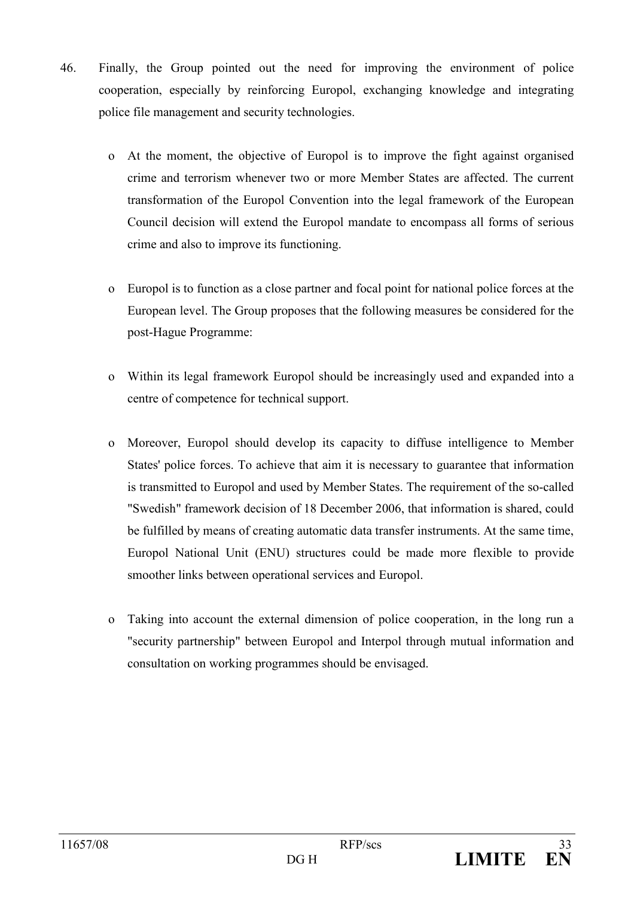- $46.$ Finally, the Group pointed out the need for improving the environment of police cooperation, especially by reinforcing Europol, exchanging knowledge and integrating police file management and security technologies.
	- o At the moment, the objective of Europol is to improve the fight against organised crime and terrorism whenever two or more Member States are affected. The current transformation of the Europol Convention into the legal framework of the European Council decision will extend the Europol mandate to encompass all forms of serious crime and also to improve its functioning.
	- Europol is to function as a close partner and focal point for national police forces at the  $\Omega$ European level. The Group proposes that the following measures be considered for the post-Hague Programme:
	- o Within its legal framework Europol should be increasingly used and expanded into a centre of competence for technical support.
	- o Moreover, Europol should develop its capacity to diffuse intelligence to Member States' police forces. To achieve that aim it is necessary to guarantee that information is transmitted to Europol and used by Member States. The requirement of the so-called "Swedish" framework decision of 18 December 2006, that information is shared, could be fulfilled by means of creating automatic data transfer instruments. At the same time, Europol National Unit (ENU) structures could be made more flexible to provide smoother links between operational services and Europol.
	- Taking into account the external dimension of police cooperation, in the long run a  $\Omega$ "security partnership" between Europol and Interpol through mutual information and consultation on working programmes should be envisaged.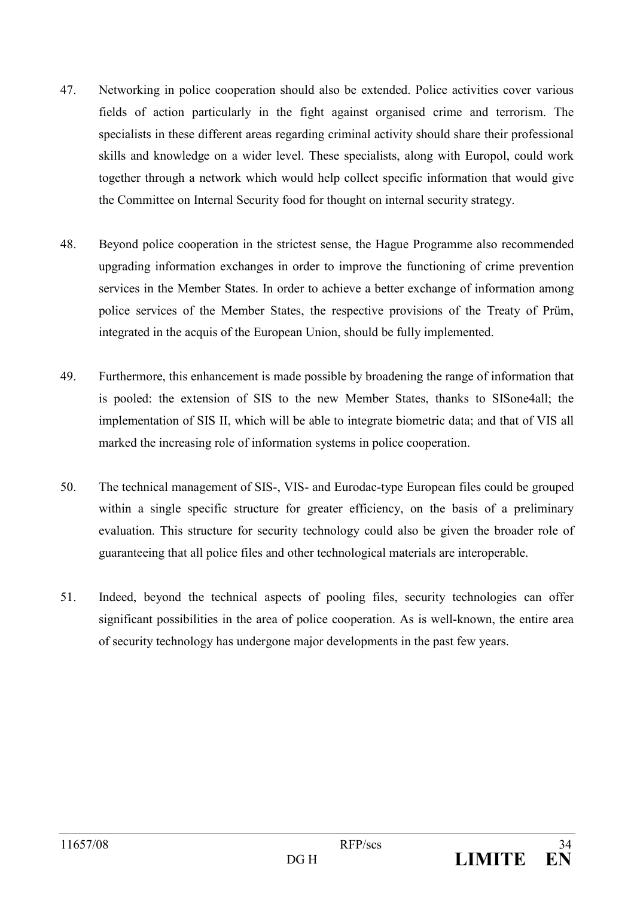- 47 Networking in police cooperation should also be extended. Police activities cover various fields of action particularly in the fight against organised crime and terrorism. The specialists in these different areas regarding criminal activity should share their professional skills and knowledge on a wider level. These specialists, along with Europol, could work together through a network which would help collect specific information that would give the Committee on Internal Security food for thought on internal security strategy.
- 48. Beyond police cooperation in the strictest sense, the Hague Programme also recommended upgrading information exchanges in order to improve the functioning of crime prevention services in the Member States. In order to achieve a better exchange of information among police services of the Member States, the respective provisions of the Treaty of Prüm, integrated in the acquis of the European Union, should be fully implemented.
- 49. Furthermore, this enhancement is made possible by broadening the range of information that is pooled: the extension of SIS to the new Member States, thanks to SISone4all; the implementation of SIS II, which will be able to integrate biometric data; and that of VIS all marked the increasing role of information systems in police cooperation.
- 50. The technical management of SIS-, VIS- and Eurodac-type European files could be grouped within a single specific structure for greater efficiency, on the basis of a preliminary evaluation. This structure for security technology could also be given the broader role of guaranteeing that all police files and other technological materials are interoperable.
- Indeed, beyond the technical aspects of pooling files, security technologies can offer 51. significant possibilities in the area of police cooperation. As is well-known, the entire area of security technology has undergone major developments in the past few years.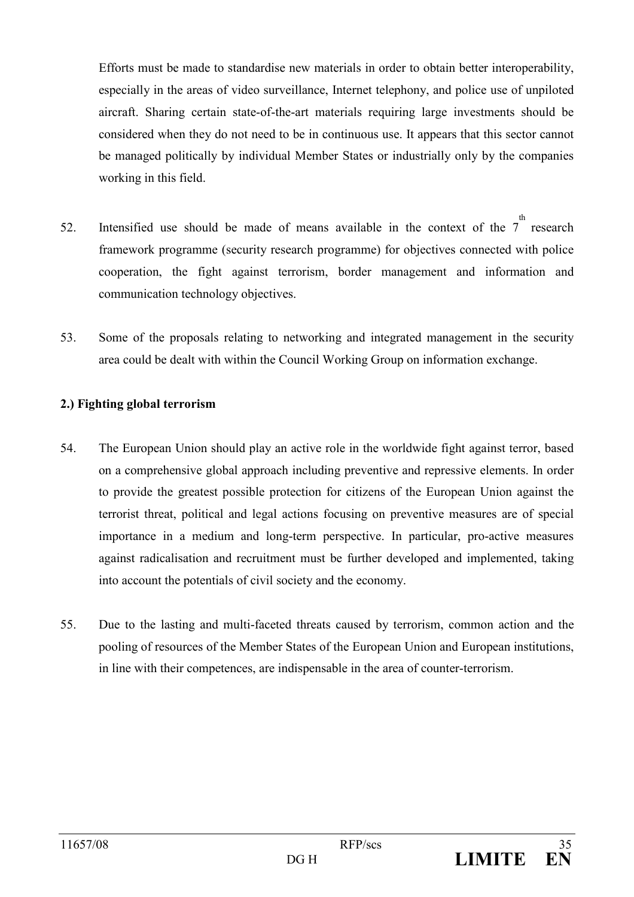Efforts must be made to standardise new materials in order to obtain better interoperability, especially in the areas of video surveillance, Internet telephony, and police use of unpiloted aircraft. Sharing certain state-of-the-art materials requiring large investments should be considered when they do not need to be in continuous use. It appears that this sector cannot be managed politically by individual Member States or industrially only by the companies working in this field.

- Intensified use should be made of means available in the context of the  $7^{\circ}$  research 52. framework programme (security research programme) for objectives connected with police cooperation, the fight against terrorism, border management and information and communication technology objectives.
- 53. Some of the proposals relating to networking and integrated management in the security area could be dealt with within the Council Working Group on information exchange.

#### 2.) Fighting global terrorism

- 54. The European Union should play an active role in the worldwide fight against terror, based on a comprehensive global approach including preventive and repressive elements. In order to provide the greatest possible protection for citizens of the European Union against the terrorist threat, political and legal actions focusing on preventive measures are of special importance in a medium and long-term perspective. In particular, pro-active measures against radicalisation and recruitment must be further developed and implemented, taking into account the potentials of civil society and the economy.
- 55. Due to the lasting and multi-faceted threats caused by terrorism, common action and the pooling of resources of the Member States of the European Union and European institutions, in line with their competences, are indispensable in the area of counter-terrorism.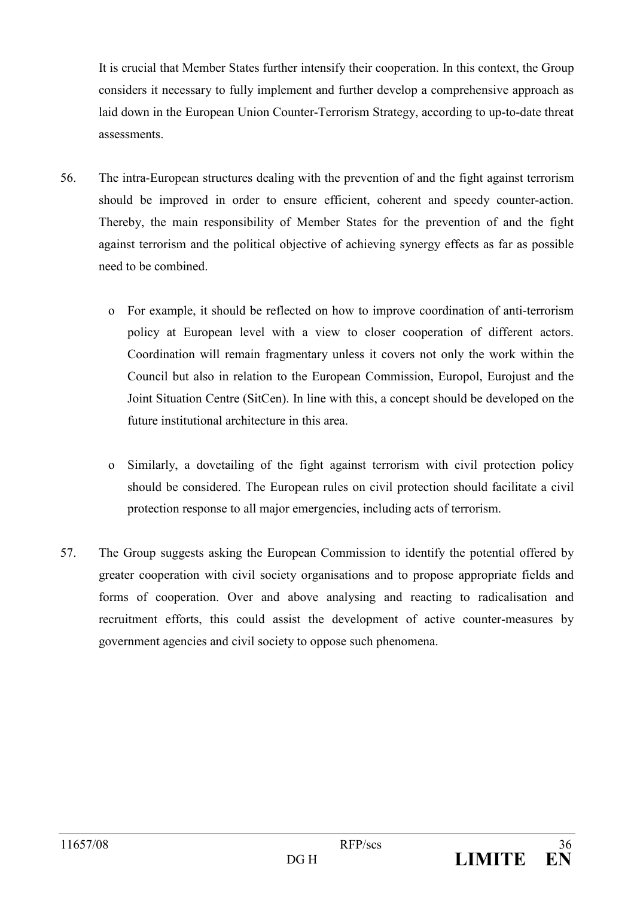It is crucial that Member States further intensify their cooperation. In this context, the Group considers it necessary to fully implement and further develop a comprehensive approach as laid down in the European Union Counter-Terrorism Strategy, according to up-to-date threat assessments.

- 56. The intra-European structures dealing with the prevention of and the fight against terrorism should be improved in order to ensure efficient, coherent and speedy counter-action. Thereby, the main responsibility of Member States for the prevention of and the fight against terrorism and the political objective of achieving synergy effects as far as possible need to be combined
	- o For example, it should be reflected on how to improve coordination of anti-terrorism policy at European level with a view to closer cooperation of different actors. Coordination will remain fragmentary unless it covers not only the work within the Council but also in relation to the European Commission, Europol, Eurojust and the Joint Situation Centre (SitCen). In line with this, a concept should be developed on the future institutional architecture in this area.
	- o Similarly, a dovetailing of the fight against terrorism with civil protection policy should be considered. The European rules on civil protection should facilitate a civil protection response to all major emergencies, including acts of terrorism.
- 57. The Group suggests asking the European Commission to identify the potential offered by greater cooperation with civil society organisations and to propose appropriate fields and forms of cooperation. Over and above analysing and reacting to radicalisation and recruitment efforts, this could assist the development of active counter-measures by government agencies and civil society to oppose such phenomena.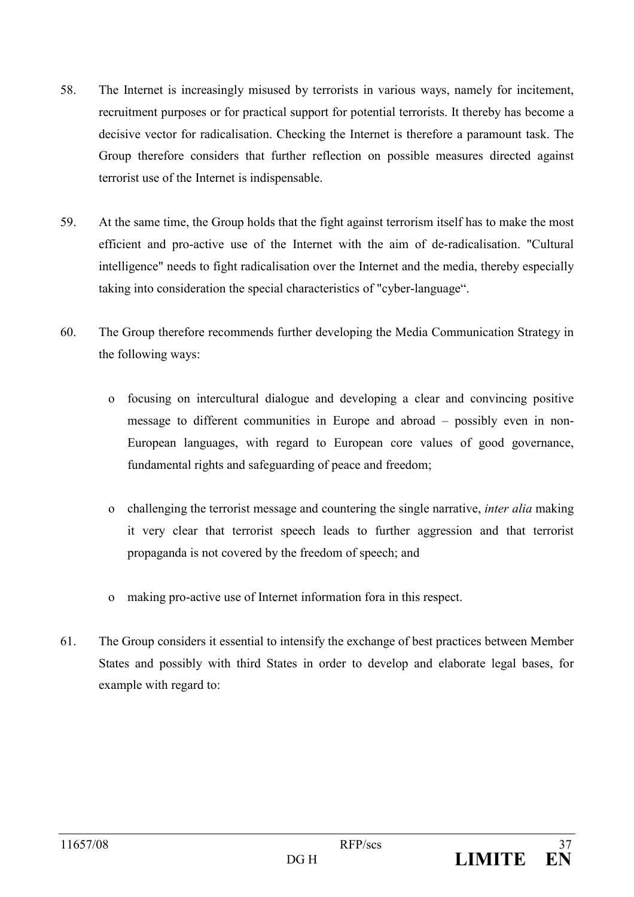- 58 The Internet is increasingly misused by terrorists in various ways, namely for incitement, recruitment purposes or for practical support for potential terrorists. It thereby has become a decisive vector for radicalisation. Checking the Internet is therefore a paramount task. The Group therefore considers that further reflection on possible measures directed against terrorist use of the Internet is indispensable.
- 59 At the same time, the Group holds that the fight against terrorism itself has to make the most efficient and pro-active use of the Internet with the aim of de-radicalisation. "Cultural intelligence" needs to fight radicalisation over the Internet and the media, thereby especially taking into consideration the special characteristics of "cyber-language".
- 60 The Group therefore recommends further developing the Media Communication Strategy in the following ways:
	- o focusing on intercultural dialogue and developing a clear and convincing positive message to different communities in Europe and abroad – possibly even in non-European languages, with regard to European core values of good governance, fundamental rights and safeguarding of peace and freedom;
	- o challenging the terrorist message and countering the single narrative, *inter alia* making it very clear that terrorist speech leads to further aggression and that terrorist propaganda is not covered by the freedom of speech; and
	- making pro-active use of Internet information for ain this respect.  $\overline{O}$
- 61. The Group considers it essential to intensify the exchange of best practices between Member States and possibly with third States in order to develop and elaborate legal bases, for example with regard to: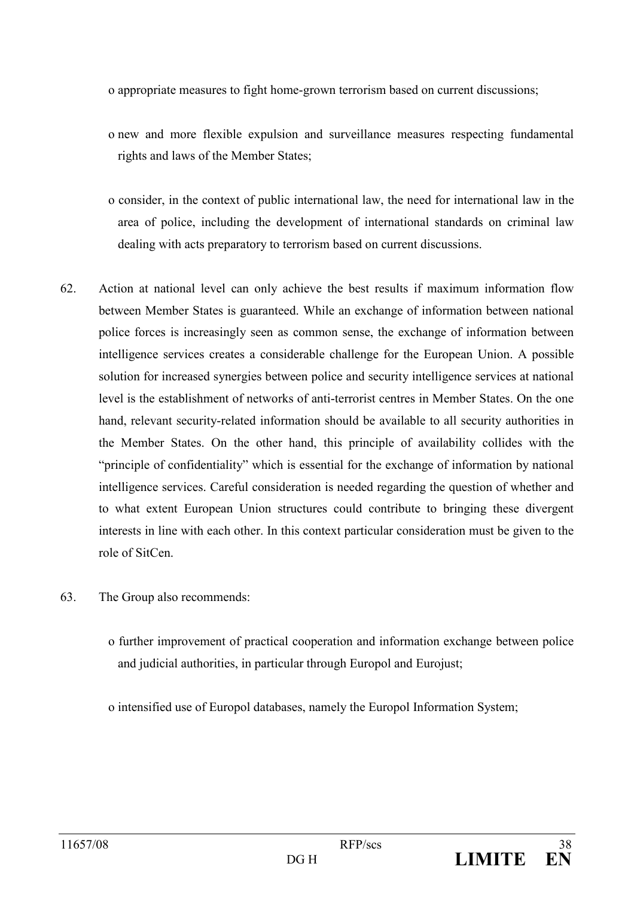o appropriate measures to fight home-grown terrorism based on current discussions;

- o new and more flexible expulsion and surveillance measures respecting fundamental rights and laws of the Member States;
- o consider, in the context of public international law, the need for international law in the area of police, including the development of international standards on criminal law dealing with acts preparatory to terrorism based on current discussions.
- 62 Action at national level can only achieve the best results if maximum information flow between Member States is guaranteed. While an exchange of information between national police forces is increasingly seen as common sense, the exchange of information between intelligence services creates a considerable challenge for the European Union. A possible solution for increased synergies between police and security intelligence services at national level is the establishment of networks of anti-terrorist centres in Member States. On the one hand, relevant security-related information should be available to all security authorities in the Member States. On the other hand, this principle of availability collides with the "principle of confidentiality" which is essential for the exchange of information by national intelligence services. Careful consideration is needed regarding the question of whether and to what extent European Union structures could contribute to bringing these divergent interests in line with each other. In this context particular consideration must be given to the role of SitCen.
- 63. The Group also recommends:
	- o further improvement of practical cooperation and information exchange between police and judicial authorities, in particular through Europol and Eurojust;

o intensified use of Europol databases, namely the Europol Information System;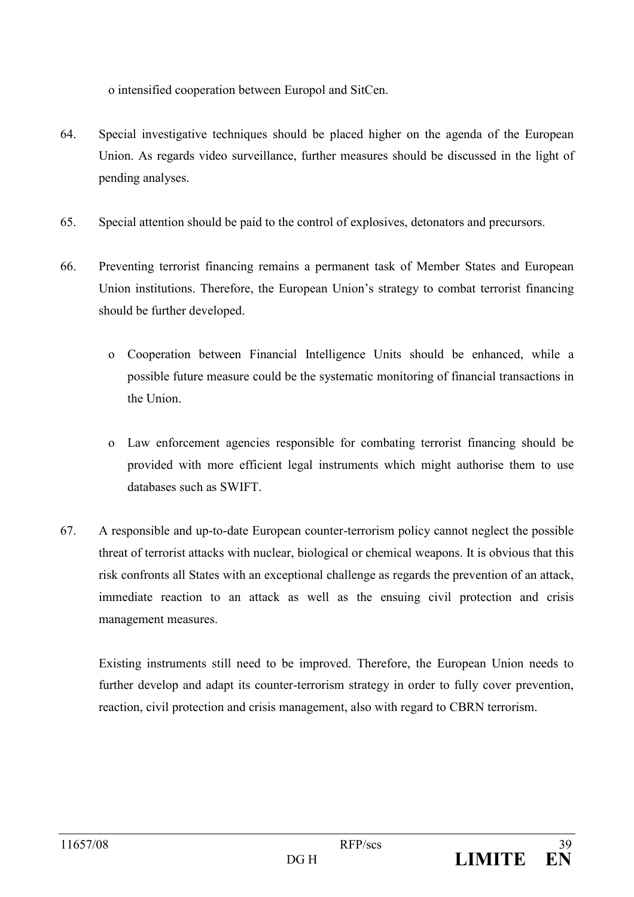o intensified cooperation between Europol and SitCen.

- 64. Special investigative techniques should be placed higher on the agenda of the European Union. As regards video surveillance, further measures should be discussed in the light of pending analyses.
- 65 Special attention should be paid to the control of explosives, detonators and precursors.
- 66 Preventing terrorist financing remains a permanent task of Member States and European Union institutions. Therefore, the European Union's strategy to combat terrorist financing should be further developed.
	- o Cooperation between Financial Intelligence Units should be enhanced, while a possible future measure could be the systematic monitoring of financial transactions in the Union
	- o Law enforcement agencies responsible for combating terrorist financing should be provided with more efficient legal instruments which might authorise them to use databases such as SWIFT.
- 67. A responsible and up-to-date European counter-terrorism policy cannot neglect the possible threat of terrorist attacks with nuclear, biological or chemical weapons. It is obvious that this risk confronts all States with an exceptional challenge as regards the prevention of an attack, immediate reaction to an attack as well as the ensuing civil protection and crisis management measures.

Existing instruments still need to be improved. Therefore, the European Union needs to further develop and adapt its counter-terrorism strategy in order to fully cover prevention, reaction, civil protection and crisis management, also with regard to CBRN terrorism.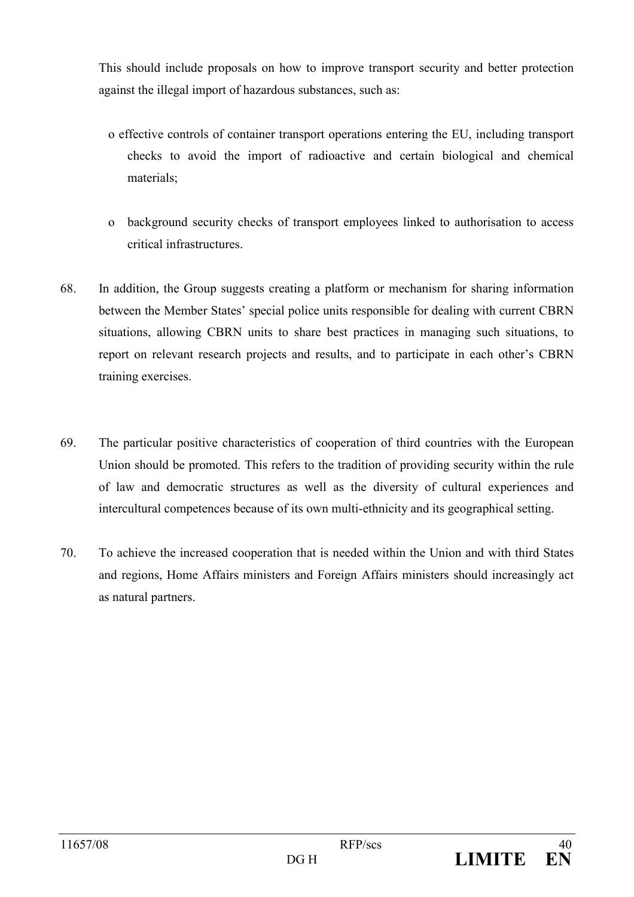This should include proposals on how to improve transport security and better protection against the illegal import of hazardous substances, such as:

- o effective controls of container transport operations entering the EU, including transport checks to avoid the import of radioactive and certain biological and chemical materials:
- o background security checks of transport employees linked to authorisation to access critical infrastructures.
- 68 In addition, the Group suggests creating a platform or mechanism for sharing information between the Member States' special police units responsible for dealing with current CBRN situations, allowing CBRN units to share best practices in managing such situations, to report on relevant research projects and results, and to participate in each other's CBRN training exercises.
- 69. The particular positive characteristics of cooperation of third countries with the European Union should be promoted. This refers to the tradition of providing security within the rule of law and democratic structures as well as the diversity of cultural experiences and intercultural competences because of its own multi-ethnicity and its geographical setting.
- 70. To achieve the increased cooperation that is needed within the Union and with third States and regions, Home Affairs ministers and Foreign Affairs ministers should increasingly act as natural partners.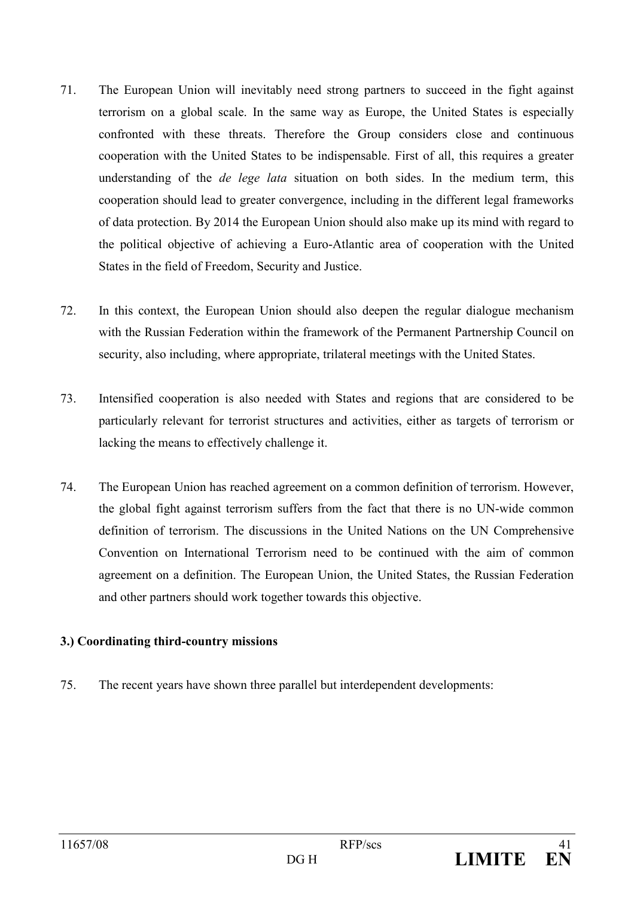- 71 The European Union will inevitably need strong partners to succeed in the fight against terrorism on a global scale. In the same way as Europe, the United States is especially confronted with these threats. Therefore the Group considers close and continuous cooperation with the United States to be indispensable. First of all, this requires a greater understanding of the *de lege lata* situation on both sides. In the medium term, this cooperation should lead to greater convergence, including in the different legal frameworks of data protection. By 2014 the European Union should also make up its mind with regard to the political objective of achieving a Euro-Atlantic area of cooperation with the United States in the field of Freedom, Security and Justice.
- $72$ In this context, the European Union should also deepen the regular dialogue mechanism with the Russian Federation within the framework of the Permanent Partnership Council on security, also including, where appropriate, trilateral meetings with the United States.
- 73 Intensified cooperation is also needed with States and regions that are considered to be particularly relevant for terrorist structures and activities, either as targets of terrorism or lacking the means to effectively challenge it.
- 74. The European Union has reached agreement on a common definition of terrorism. However, the global fight against terrorism suffers from the fact that there is no UN-wide common definition of terrorism. The discussions in the United Nations on the UN Comprehensive Convention on International Terrorism need to be continued with the aim of common agreement on a definition. The European Union, the United States, the Russian Federation and other partners should work together towards this objective.

## 3.) Coordinating third-country missions

75 The recent years have shown three parallel but interdependent developments: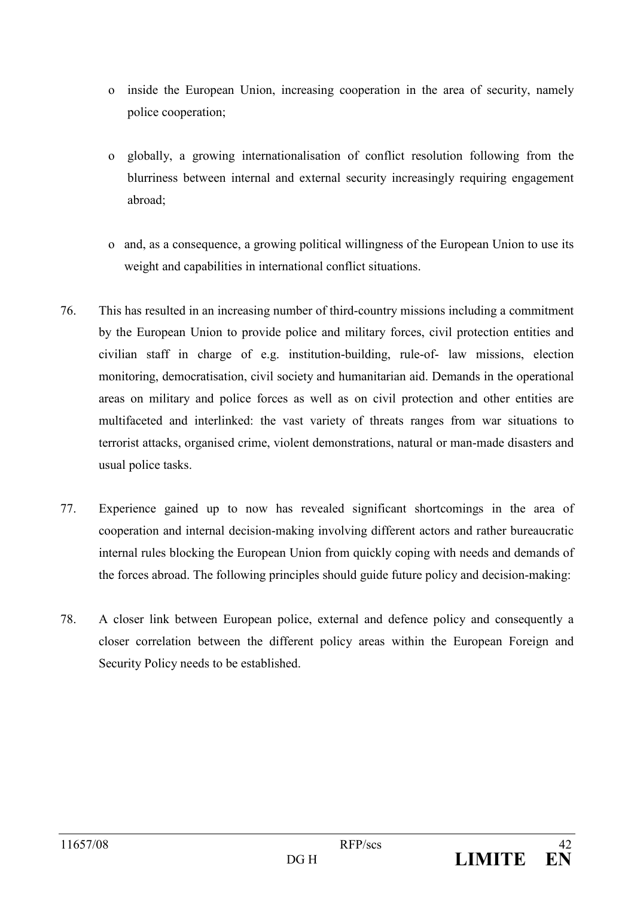- o inside the European Union, increasing cooperation in the area of security, namely police cooperation:
- globally, a growing internationalisation of conflict resolution following from the  $\mathbf{O}$ blurriness between internal and external security increasingly requiring engagement abroad:
- o and, as a consequence, a growing political willingness of the European Union to use its weight and capabilities in international conflict situations.
- 76 This has resulted in an increasing number of third-country missions including a commitment by the European Union to provide police and military forces, civil protection entities and civilian staff in charge of e.g. institution-building, rule-of- law missions, election monitoring, democratisation, civil society and humanitarian aid. Demands in the operational areas on military and police forces as well as on civil protection and other entities are multifaceted and interlinked: the vast variety of threats ranges from war situations to terrorist attacks, organised crime, violent demonstrations, natural or man-made disasters and usual police tasks.
- 77 Experience gained up to now has revealed significant shortcomings in the area of cooperation and internal decision-making involving different actors and rather bureaucratic internal rules blocking the European Union from quickly coping with needs and demands of the forces abroad. The following principles should guide future policy and decision-making:
- 78. A closer link between European police, external and defence policy and consequently a closer correlation between the different policy areas within the European Foreign and Security Policy needs to be established.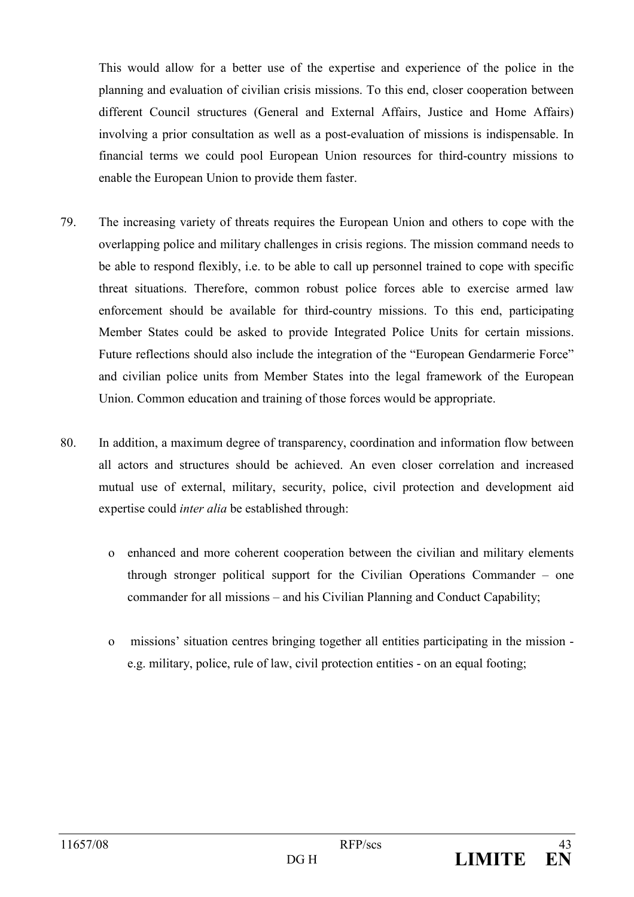This would allow for a better use of the expertise and experience of the police in the planning and evaluation of civilian crisis missions. To this end, closer cooperation between different Council structures (General and External Affairs, Justice and Home Affairs) involving a prior consultation as well as a post-evaluation of missions is indispensable. In financial terms we could pool European Union resources for third-country missions to enable the European Union to provide them faster.

- 79 The increasing variety of threats requires the European Union and others to cope with the overlapping police and military challenges in crisis regions. The mission command needs to be able to respond flexibly, i.e. to be able to call up personnel trained to cope with specific threat situations. Therefore, common robust police forces able to exercise armed law enforcement should be available for third-country missions. To this end, participating Member States could be asked to provide Integrated Police Units for certain missions. Future reflections should also include the integration of the "European Gendarmerie Force" and civilian police units from Member States into the legal framework of the European Union. Common education and training of those forces would be appropriate.
- In addition, a maximum degree of transparency, coordination and information flow between 80. all actors and structures should be achieved. An even closer correlation and increased mutual use of external, military, security, police, civil protection and development aid expertise could *inter alia* be established through:
	- o enhanced and more coherent cooperation between the civilian and military elements through stronger political support for the Civilian Operations Commander  $-$  one commander for all missions – and his Civilian Planning and Conduct Capability;
	- missions' situation centres bringing together all entities participating in the mission - $\Omega$ e.g. military, police, rule of law, civil protection entities - on an equal footing;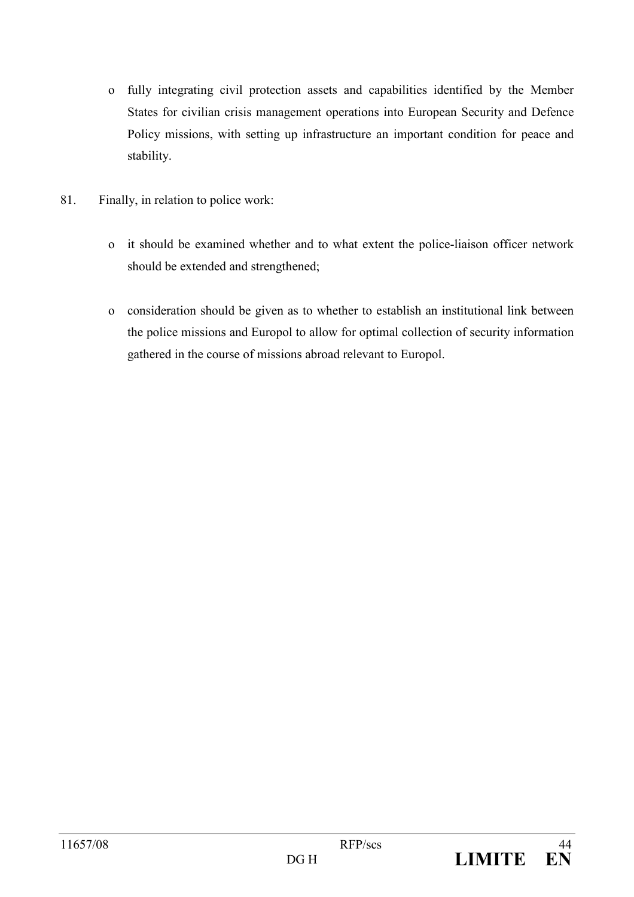- o fully integrating civil protection assets and capabilities identified by the Member States for civilian crisis management operations into European Security and Defence Policy missions, with setting up infrastructure an important condition for peace and stability.
- 81. Finally, in relation to police work:
	- o it should be examined whether and to what extent the police-liaison officer network should be extended and strengthened;
	- o consideration should be given as to whether to establish an institutional link between the police missions and Europol to allow for optimal collection of security information gathered in the course of missions abroad relevant to Europol.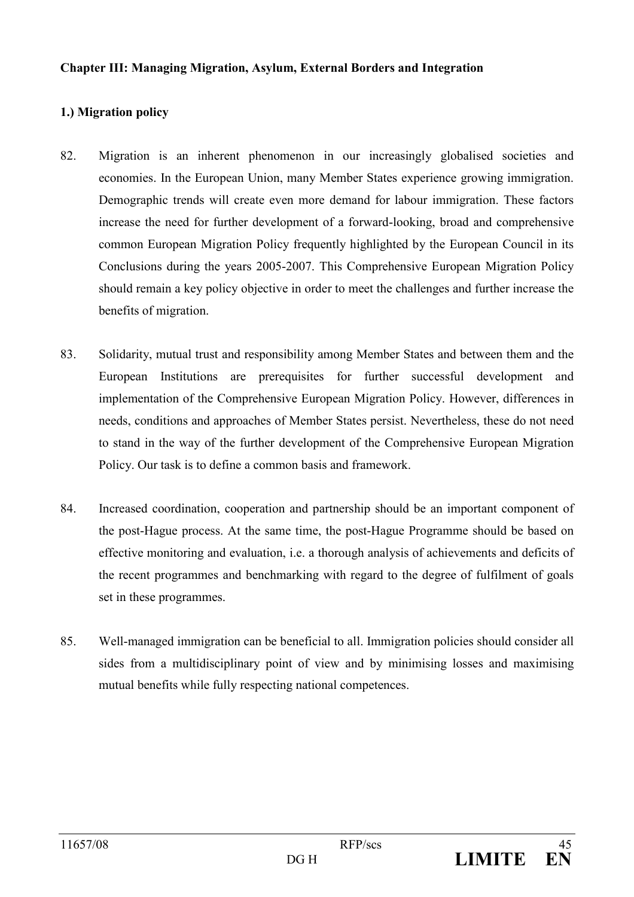### **Chapter III: Managing Migration, Asylum, External Borders and Integration**

# 1.) Migration policy

- 82. Migration is an inherent phenomenon in our increasingly globalised societies and economies. In the European Union, many Member States experience growing immigration. Demographic trends will create even more demand for labour immigration. These factors increase the need for further development of a forward-looking, broad and comprehensive common European Migration Policy frequently highlighted by the European Council in its Conclusions during the years 2005-2007. This Comprehensive European Migration Policy should remain a key policy objective in order to meet the challenges and further increase the benefits of migration.
- 83. Solidarity, mutual trust and responsibility among Member States and between them and the European Institutions are prerequisites for further successful development and implementation of the Comprehensive European Migration Policy. However, differences in needs, conditions and approaches of Member States persist. Nevertheless, these do not need to stand in the way of the further development of the Comprehensive European Migration Policy. Our task is to define a common basis and framework.
- 84 Increased coordination, cooperation and partnership should be an important component of the post-Hague process. At the same time, the post-Hague Programme should be based on effective monitoring and evaluation, i.e. a thorough analysis of achievements and deficits of the recent programmes and benchmarking with regard to the degree of fulfilment of goals set in these programmes.
- 85. Well-managed immigration can be beneficial to all. Immigration policies should consider all sides from a multidisciplinary point of view and by minimising losses and maximising mutual benefits while fully respecting national competences.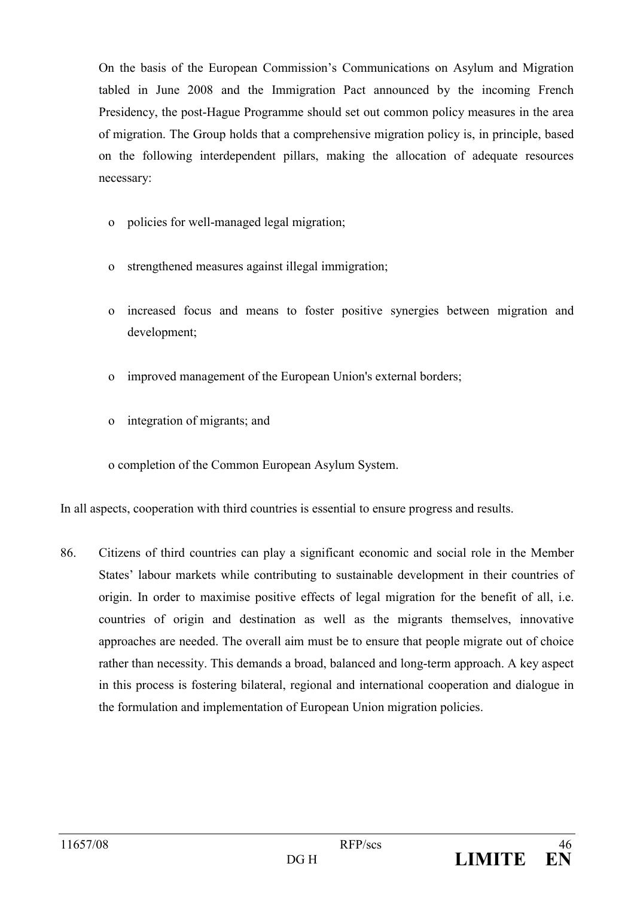On the basis of the European Commission's Communications on Asylum and Migration tabled in June 2008 and the Immigration Pact announced by the incoming French Presidency, the post-Hague Programme should set out common policy measures in the area of migration. The Group holds that a comprehensive migration policy is, in principle, based on the following interdependent pillars, making the allocation of adequate resources necessary:

- policies for well-managed legal migration;  $\Omega$
- strengthened measures against illegal immigration;  $\mathbf{o}$
- increased focus and means to foster positive synergies between migration and  $\mathbf{O}$ development:
- improved management of the European Union's external borders;  $\Omega$
- integration of migrants; and  $\Omega$

o completion of the Common European Asylum System.

In all aspects, cooperation with third countries is essential to ensure progress and results.

86. Citizens of third countries can play a significant economic and social role in the Member States' labour markets while contributing to sustainable development in their countries of origin. In order to maximise positive effects of legal migration for the benefit of all, i.e. countries of origin and destination as well as the migrants themselves, innovative approaches are needed. The overall aim must be to ensure that people migrate out of choice rather than necessity. This demands a broad, balanced and long-term approach. A key aspect in this process is fostering bilateral, regional and international cooperation and dialogue in the formulation and implementation of European Union migration policies.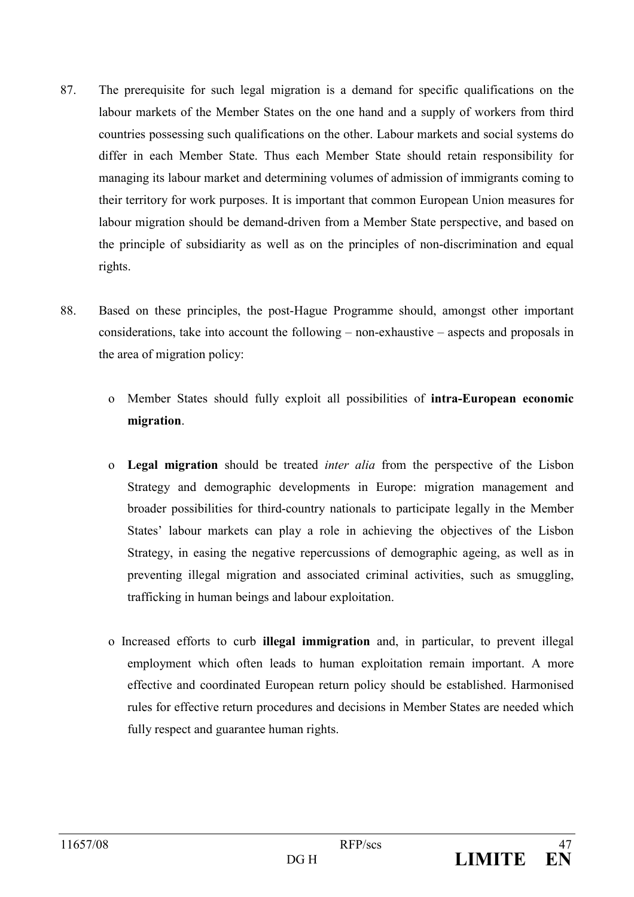- 87 The prerequisite for such legal migration is a demand for specific qualifications on the labour markets of the Member States on the one hand and a supply of workers from third countries possessing such qualifications on the other. Labour markets and social systems do differ in each Member State. Thus each Member State should retain responsibility for managing its labour market and determining volumes of admission of immigrants coming to their territory for work purposes. It is important that common European Union measures for labour migration should be demand-driven from a Member State perspective, and based on the principle of subsidiarity as well as on the principles of non-discrimination and equal rights.
- 88 Based on these principles, the post-Hague Programme should, amongst other important considerations, take into account the following  $-$  non-exhaustive  $-$  aspects and proposals in the area of migration policy:
	- o Member States should fully exploit all possibilities of intra-European economic migration.
	- o Legal migration should be treated *inter alia* from the perspective of the Lisbon Strategy and demographic developments in Europe: migration management and broader possibilities for third-country nationals to participate legally in the Member States' labour markets can play a role in achieving the objectives of the Lisbon Strategy, in easing the negative repercussions of demographic ageing, as well as in preventing illegal migration and associated criminal activities, such as smuggling, trafficking in human beings and labour exploitation.
	- o Increased efforts to curb **illegal immigration** and, in particular, to prevent illegal employment which often leads to human exploitation remain important. A more effective and coordinated European return policy should be established. Harmonised rules for effective return procedures and decisions in Member States are needed which fully respect and guarantee human rights.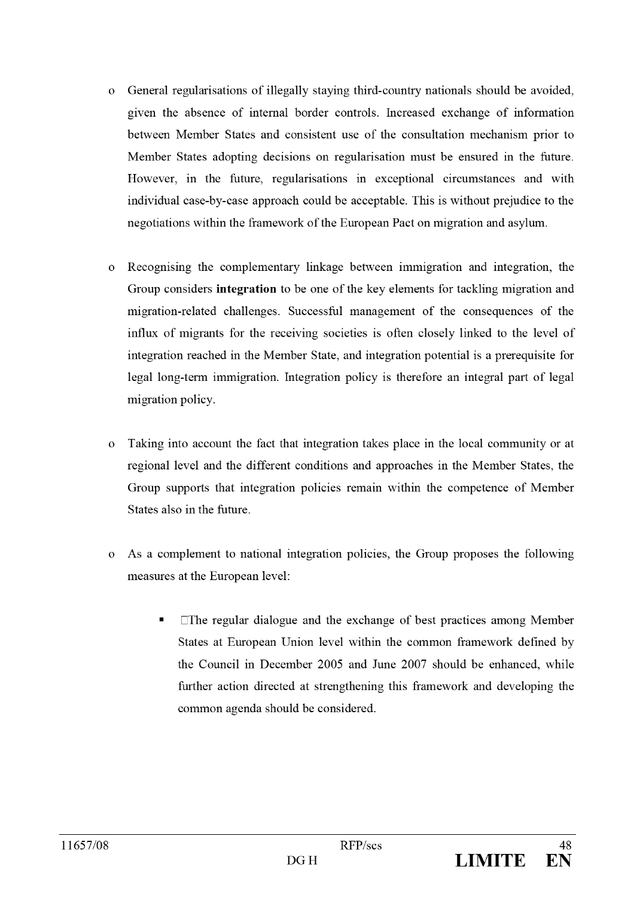- General regularisations of illegally staying third-country nationals should be avoided,  $\Omega$ given the absence of internal border controls. Increased exchange of information between Member States and consistent use of the consultation mechanism prior to Member States adopting decisions on regularisation must be ensured in the future. However, in the future, regularisations in exceptional circumstances and with individual case-by-case approach could be acceptable. This is without prejudice to the negotiations within the framework of the European Pact on migration and asylum.
- Recognising the complementary linkage between immigration and integration, the  $\Omega$ Group considers integration to be one of the key elements for tackling migration and migration-related challenges. Successful management of the consequences of the influx of migrants for the receiving societies is often closely linked to the level of integration reached in the Member State, and integration potential is a prerequisite for legal long-term immigration. Integration policy is therefore an integral part of legal migration policy.
- Taking into account the fact that integration takes place in the local community or at  $\mathbf{o}$ regional level and the different conditions and approaches in the Member States, the Group supports that integration policies remain within the competence of Member States also in the future
- As a complement to national integration policies, the Group proposes the following  $\overline{O}$ measures at the European level:
	- $\square$ The regular dialogue and the exchange of best practices among Member States at European Union level within the common framework defined by the Council in December 2005 and June 2007 should be enhanced, while further action directed at strengthening this framework and developing the common agenda should be considered.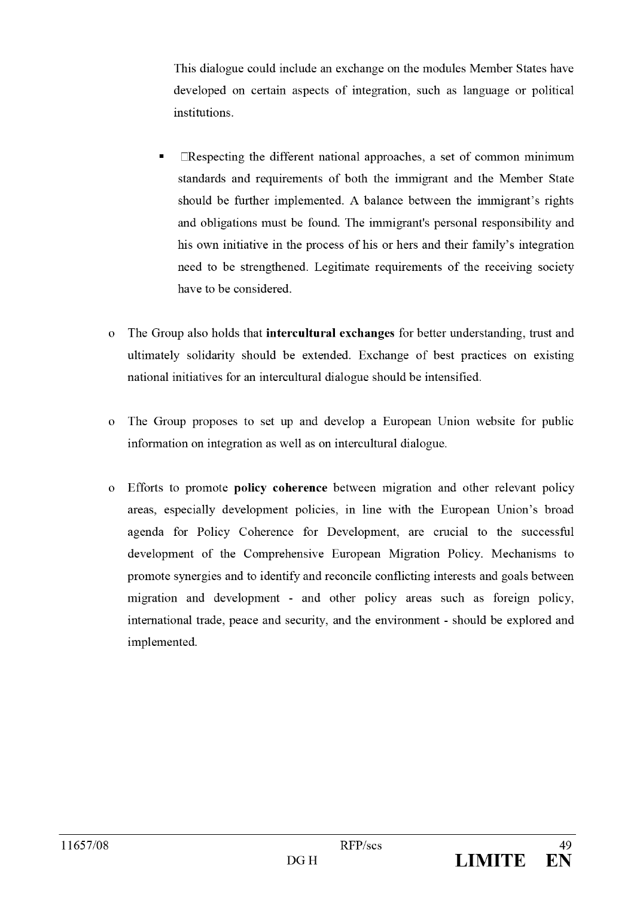This dialogue could include an exchange on the modules Member States have developed on certain aspects of integration, such as language or political institutions.

- $\Box$ Respecting the different national approaches, a set of common minimum standards and requirements of both the immigrant and the Member State should be further implemented. A balance between the immigrant's rights and obligations must be found. The immigrant's personal responsibility and his own initiative in the process of his or hers and their family's integration need to be strengthened. Legitimate requirements of the receiving society have to be considered.
- The Group also holds that intercultural exchanges for better understanding, trust and  $\mathbf{o}$ ultimately solidarity should be extended. Exchange of best practices on existing national initiatives for an intercultural dialogue should be intensified.
- The Group proposes to set up and develop a European Union website for public  $\Omega$ information on integration as well as on intercultural dialogue.
- Efforts to promote **policy coherence** between migration and other relevant policy  $\Omega$ areas, especially development policies, in line with the European Union's broad agenda for Policy Coherence for Development, are crucial to the successful development of the Comprehensive European Migration Policy. Mechanisms to promote synergies and to identify and reconcile conflicting interests and goals between migration and development - and other policy areas such as foreign policy, international trade, peace and security, and the environment - should be explored and implemented.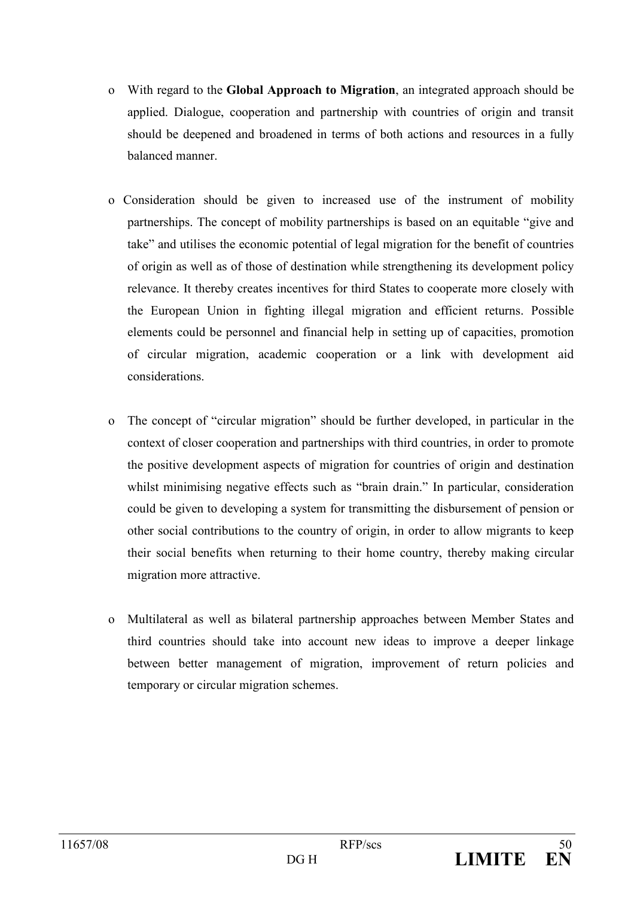- o With regard to the **Global Approach to Migration**, an integrated approach should be applied. Dialogue, cooperation and partnership with countries of origin and transit should be deepened and broadened in terms of both actions and resources in a fully balanced manner.
- o Consideration should be given to increased use of the instrument of mobility partnerships. The concept of mobility partnerships is based on an equitable "give and take" and utilises the economic potential of legal migration for the benefit of countries of origin as well as of those of destination while strengthening its development policy relevance. It thereby creates incentives for third States to cooperate more closely with the European Union in fighting illegal migration and efficient returns. Possible elements could be personnel and financial help in setting up of capacities, promotion of circular migration, academic cooperation or a link with development aid considerations.
- The concept of "circular migration" should be further developed, in particular in the  $\mathbf{O}$ context of closer cooperation and partnerships with third countries, in order to promote the positive development aspects of migration for countries of origin and destination whilst minimising negative effects such as "brain drain." In particular, consideration could be given to developing a system for transmitting the disbursement of pension or other social contributions to the country of origin, in order to allow migrants to keep their social benefits when returning to their home country, thereby making circular migration more attractive.
- Multilateral as well as bilateral partnership approaches between Member States and  $\Omega$ third countries should take into account new ideas to improve a deeper linkage between better management of migration, improvement of return policies and temporary or circular migration schemes.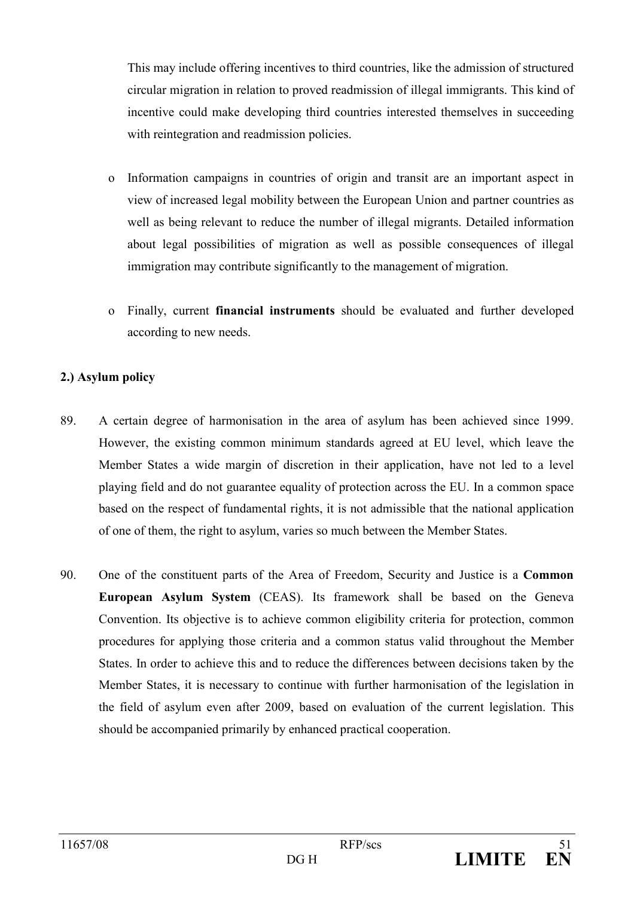This may include offering incentives to third countries, like the admission of structured circular migration in relation to proved readmission of illegal immigrants. This kind of incentive could make developing third countries interested themselves in succeeding with reintegration and readmission policies.

- o Information campaigns in countries of origin and transit are an important aspect in view of increased legal mobility between the European Union and partner countries as well as being relevant to reduce the number of illegal migrants. Detailed information about legal possibilities of migration as well as possible consequences of illegal immigration may contribute significantly to the management of migration.
- o Finally, current **financial instruments** should be evaluated and further developed according to new needs.

# 2.) Asylum policy

- 89. A certain degree of harmonisation in the area of asylum has been achieved since 1999. However, the existing common minimum standards agreed at EU level, which leave the Member States a wide margin of discretion in their application, have not led to a level playing field and do not guarantee equality of protection across the EU. In a common space based on the respect of fundamental rights, it is not admissible that the national application of one of them, the right to asylum, varies so much between the Member States.
- 90. One of the constituent parts of the Area of Freedom, Security and Justice is a Common European Asylum System (CEAS). Its framework shall be based on the Geneva Convention. Its objective is to achieve common eligibility criteria for protection, common procedures for applying those criteria and a common status valid throughout the Member States. In order to achieve this and to reduce the differences between decisions taken by the Member States, it is necessary to continue with further harmonisation of the legislation in the field of asylum even after 2009, based on evaluation of the current legislation. This should be accompanied primarily by enhanced practical cooperation.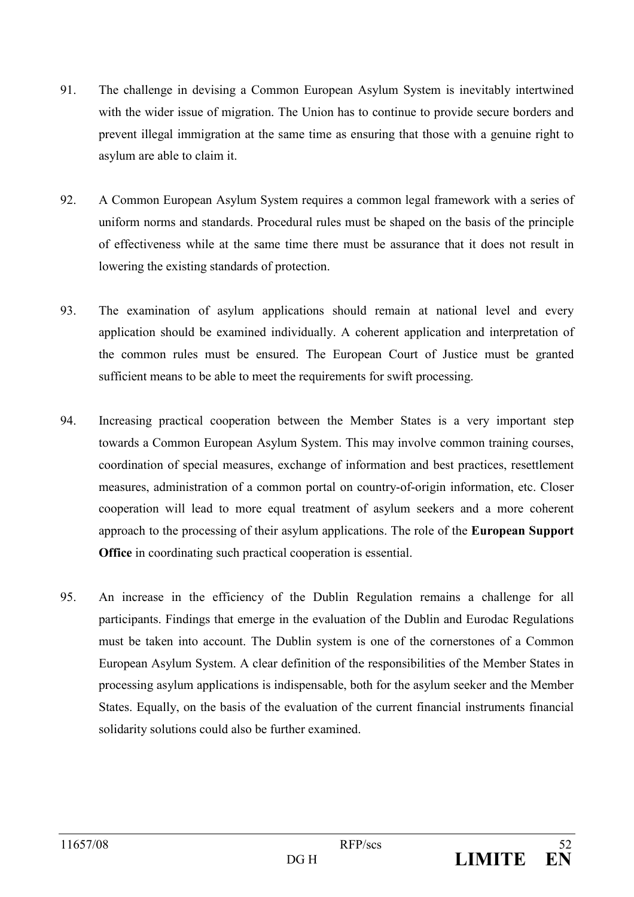- 91 The challenge in devising a Common European Asylum System is inevitably intertwined with the wider issue of migration. The Union has to continue to provide secure borders and prevent illegal immigration at the same time as ensuring that those with a genuine right to asylum are able to claim it.
- 92. A Common European Asylum System requires a common legal framework with a series of uniform norms and standards. Procedural rules must be shaped on the basis of the principle of effectiveness while at the same time there must be assurance that it does not result in lowering the existing standards of protection.
- 93. The examination of asylum applications should remain at national level and every application should be examined individually. A coherent application and interpretation of the common rules must be ensured. The European Court of Justice must be granted sufficient means to be able to meet the requirements for swift processing.
- 94. Increasing practical cooperation between the Member States is a very important step towards a Common European Asylum System. This may involve common training courses, coordination of special measures, exchange of information and best practices, resettlement measures, administration of a common portal on country-of-origin information, etc. Closer cooperation will lead to more equal treatment of asylum seekers and a more coherent approach to the processing of their asylum applications. The role of the European Support **Office** in coordinating such practical cooperation is essential.
- 95. An increase in the efficiency of the Dublin Regulation remains a challenge for all participants. Findings that emerge in the evaluation of the Dublin and Eurodac Regulations must be taken into account. The Dublin system is one of the cornerstones of a Common European Asylum System. A clear definition of the responsibilities of the Member States in processing asylum applications is indispensable, both for the asylum seeker and the Member States. Equally, on the basis of the evaluation of the current financial instruments financial solidarity solutions could also be further examined.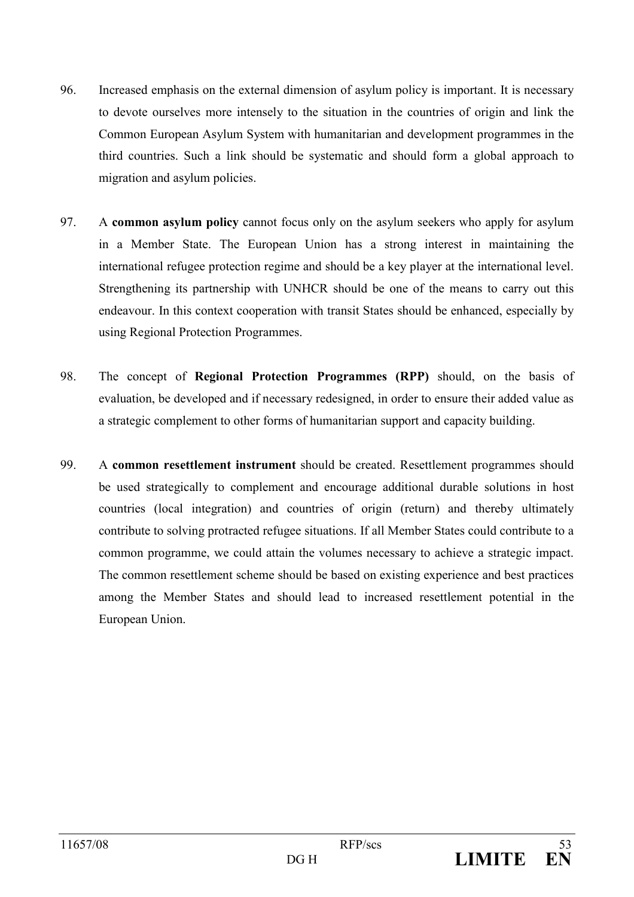- 96 Increased emphasis on the external dimension of asylum policy is important. It is necessary to devote ourselves more intensely to the situation in the countries of origin and link the Common European Asylum System with humanitarian and development programmes in the third countries. Such a link should be systematic and should form a global approach to migration and asylum policies.
- 97 A common asylum policy cannot focus only on the asylum seekers who apply for asylum in a Member State. The European Union has a strong interest in maintaining the international refugee protection regime and should be a key player at the international level. Strengthening its partnership with UNHCR should be one of the means to carry out this endeavour. In this context cooperation with transit States should be enhanced, especially by using Regional Protection Programmes.
- 98. The concept of Regional Protection Programmes (RPP) should, on the basis of evaluation, be developed and if necessary redesigned, in order to ensure their added value as a strategic complement to other forms of humanitarian support and capacity building.
- 99. A common resettlement instrument should be created. Resettlement programmes should be used strategically to complement and encourage additional durable solutions in host countries (local integration) and countries of origin (return) and thereby ultimately contribute to solving protracted refugee situations. If all Member States could contribute to a common programme, we could attain the volumes necessary to achieve a strategic impact. The common resettlement scheme should be based on existing experience and best practices among the Member States and should lead to increased resettlement potential in the European Union.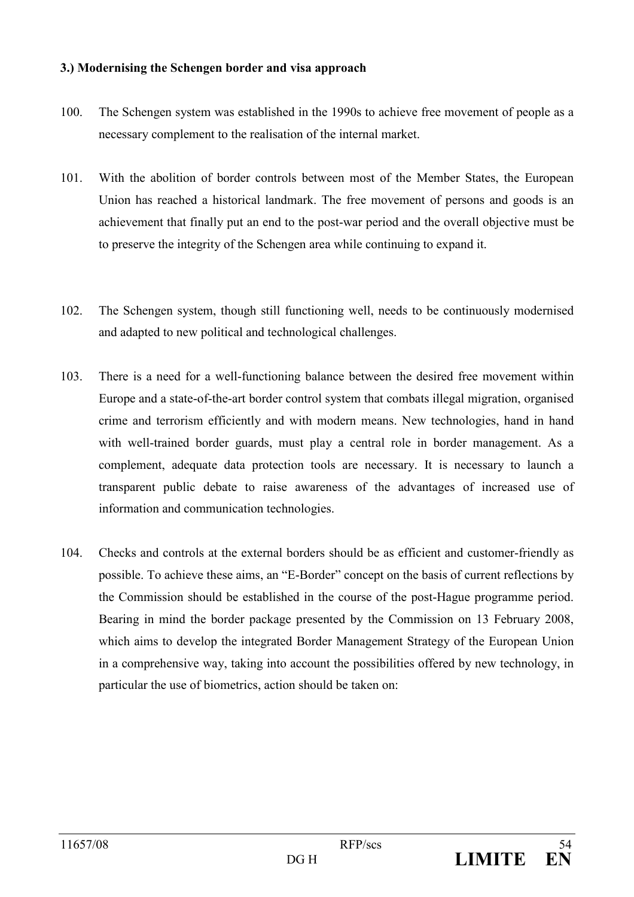## 3.) Modernising the Schengen border and visa approach

- $100.$ The Schengen system was established in the 1990s to achieve free movement of people as a necessary complement to the realisation of the internal market.
- $101.$ With the abolition of border controls between most of the Member States, the European Union has reached a historical landmark. The free movement of persons and goods is an achievement that finally put an end to the post-war period and the overall objective must be to preserve the integrity of the Schengen area while continuing to expand it.
- $102<sub>z</sub>$ The Schengen system, though still functioning well, needs to be continuously modernised and adapted to new political and technological challenges.
- 103. There is a need for a well-functioning balance between the desired free movement within Europe and a state-of-the-art border control system that combats illegal migration, organised crime and terrorism efficiently and with modern means. New technologies, hand in hand with well-trained border guards, must play a central role in border management. As a complement, adequate data protection tools are necessary. It is necessary to launch a transparent public debate to raise awareness of the advantages of increased use of information and communication technologies.
- 104. Checks and controls at the external borders should be as efficient and customer-friendly as possible. To achieve these aims, an "E-Border" concept on the basis of current reflections by the Commission should be established in the course of the post-Hague programme period. Bearing in mind the border package presented by the Commission on 13 February 2008, which aims to develop the integrated Border Management Strategy of the European Union in a comprehensive way, taking into account the possibilities offered by new technology, in particular the use of biometrics, action should be taken on: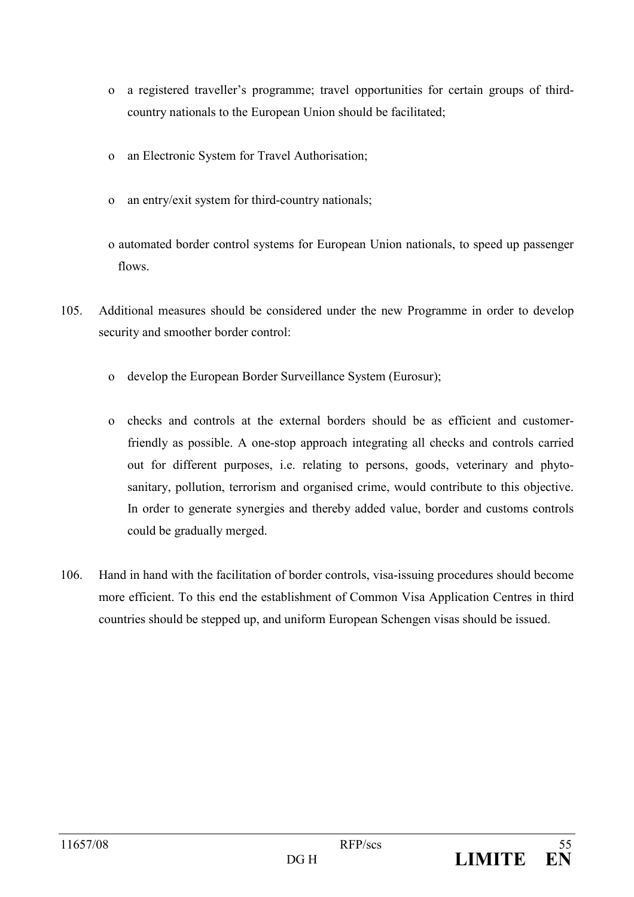- a registered traveller's programme; travel opportunities for certain groups of third- $\Omega$ country nationals to the European Union should be facilitated;
- an Electronic System for Travel Authorisation;  $\mathbf{O}$
- an entry/exit system for third-country nationals;  $\Omega$
- o automated border control systems for European Union nationals, to speed up passenger flows
- 105 Additional measures should be considered under the new Programme in order to develop security and smoother border control:
	- develop the European Border Surveillance System (Eurosur);  $\overline{O}$
	- checks and controls at the external borders should be as efficient and customer- $\overline{O}$ friendly as possible. A one-stop approach integrating all checks and controls carried out for different purposes, i.e. relating to persons, goods, veterinary and phytosanitary, pollution, terrorism and organised crime, would contribute to this objective. In order to generate synergies and thereby added value, border and customs controls could be gradually merged.
- 106. Hand in hand with the facilitation of border controls, visa-issuing procedures should become more efficient. To this end the establishment of Common Visa Application Centres in third countries should be stepped up, and uniform European Schengen visas should be issued.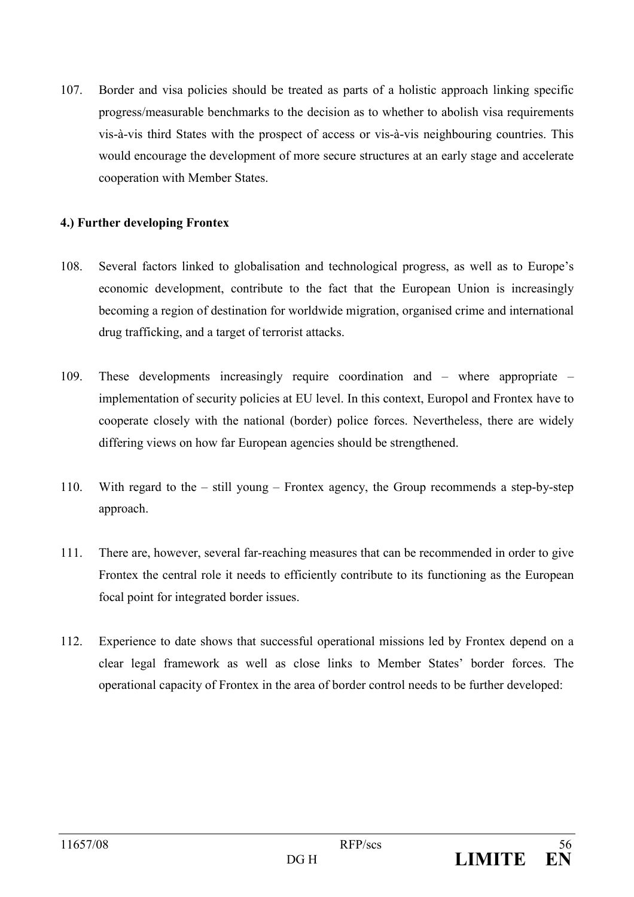107 Border and visa policies should be treated as parts of a holistic approach linking specific progress/measurable benchmarks to the decision as to whether to abolish visa requirements vis-à-vis third States with the prospect of access or vis-à-vis neighbouring countries. This would encourage the development of more secure structures at an early stage and accelerate cooperation with Member States.

## 4.) Further developing Frontex

- 108 Several factors linked to globalisation and technological progress, as well as to Europe's economic development, contribute to the fact that the European Union is increasingly becoming a region of destination for worldwide migration, organised crime and international drug trafficking, and a target of terrorist attacks.
- 109. These developments increasingly require coordination and  $-$  where appropriate  $$ implementation of security policies at EU level. In this context, Europol and Frontex have to cooperate closely with the national (border) police forces. Nevertheless, there are widely differing views on how far European agencies should be strengthened.
- 110. With regard to the  $-$  still young  $-$  Frontex agency, the Group recommends a step-by-step approach.
- $111.$ There are, however, several far-reaching measures that can be recommended in order to give Frontex the central role it needs to efficiently contribute to its functioning as the European focal point for integrated border issues.
- $112.$ Experience to date shows that successful operational missions led by Frontex depend on a clear legal framework as well as close links to Member States' border forces. The operational capacity of Frontex in the area of border control needs to be further developed: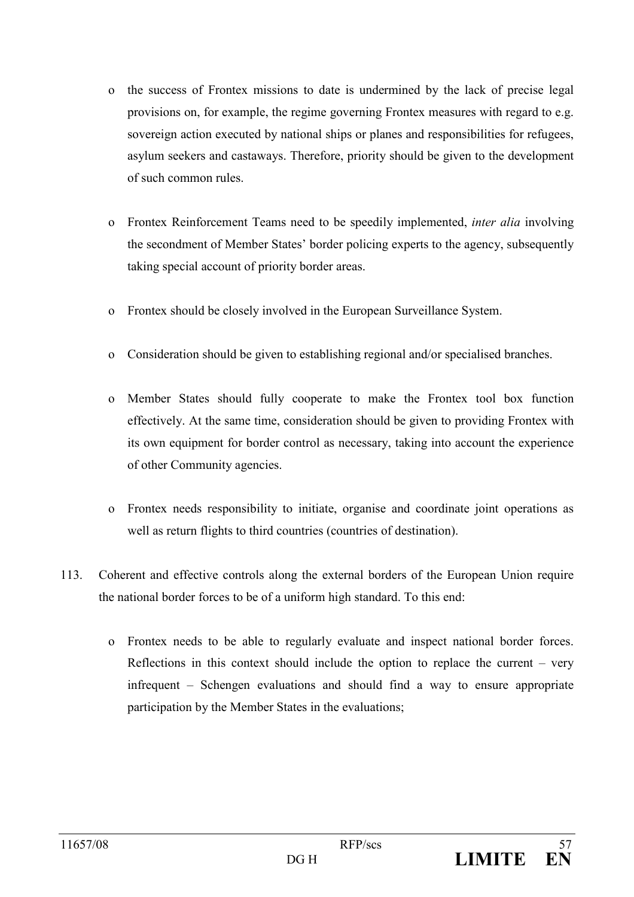- the success of Frontex missions to date is undermined by the lack of precise legal  $\Omega$ provisions on, for example, the regime governing Frontex measures with regard to e.g. sovereign action executed by national ships or planes and responsibilities for refugees, asylum seekers and castaways. Therefore, priority should be given to the development of such common rules.
- Frontex Reinforcement Teams need to be speedily implemented, *inter alia* involving  $\Omega$ the secondment of Member States' border policing experts to the agency, subsequently taking special account of priority border areas.
- Frontex should be closely involved in the European Surveillance System.  $\overline{O}$
- Consideration should be given to establishing regional and/or specialised branches.  $\overline{O}$
- o Member States should fully cooperate to make the Frontex tool box function effectively. At the same time, consideration should be given to providing Frontex with its own equipment for border control as necessary, taking into account the experience of other Community agencies.
- o Frontex needs responsibility to initiate, organise and coordinate joint operations as well as return flights to third countries (countries of destination).
- 113 Coherent and effective controls along the external borders of the European Union require the national border forces to be of a uniform high standard. To this end:
	- o Frontex needs to be able to regularly evaluate and inspect national border forces. Reflections in this context should include the option to replace the current  $-$  very infrequent – Schengen evaluations and should find a way to ensure appropriate participation by the Member States in the evaluations;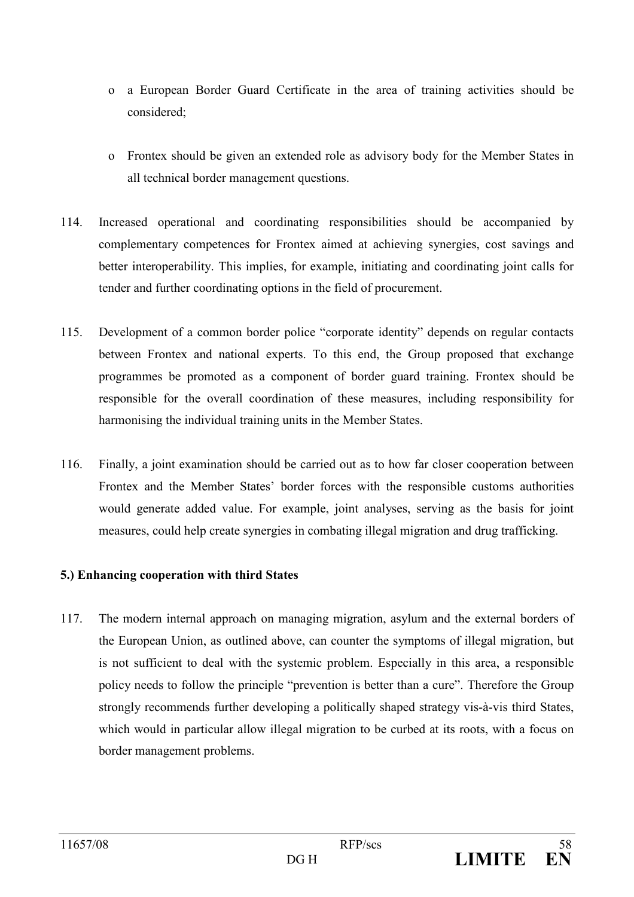- o a European Border Guard Certificate in the area of training activities should be considered:
- o Frontex should be given an extended role as advisory body for the Member States in all technical border management questions.
- 114 Increased operational and coordinating responsibilities should be accompanied by complementary competences for Frontex aimed at achieving synergies, cost savings and better interoperability. This implies, for example, initiating and coordinating joint calls for tender and further coordinating options in the field of procurement.
- $115.$ Development of a common border police "corporate identity" depends on regular contacts between Frontex and national experts. To this end, the Group proposed that exchange programmes be promoted as a component of border guard training. Frontex should be responsible for the overall coordination of these measures, including responsibility for harmonising the individual training units in the Member States.
- 116. Finally, a joint examination should be carried out as to how far closer cooperation between Frontex and the Member States' border forces with the responsible customs authorities would generate added value. For example, joint analyses, serving as the basis for joint measures, could help create synergies in combating illegal migration and drug trafficking.

# 5.) Enhancing cooperation with third States

117. The modern internal approach on managing migration, asylum and the external borders of the European Union, as outlined above, can counter the symptoms of illegal migration, but is not sufficient to deal with the systemic problem. Especially in this area, a responsible policy needs to follow the principle "prevention is better than a cure". Therefore the Group strongly recommends further developing a politically shaped strategy vis-à-vis third States, which would in particular allow illegal migration to be curbed at its roots, with a focus on border management problems.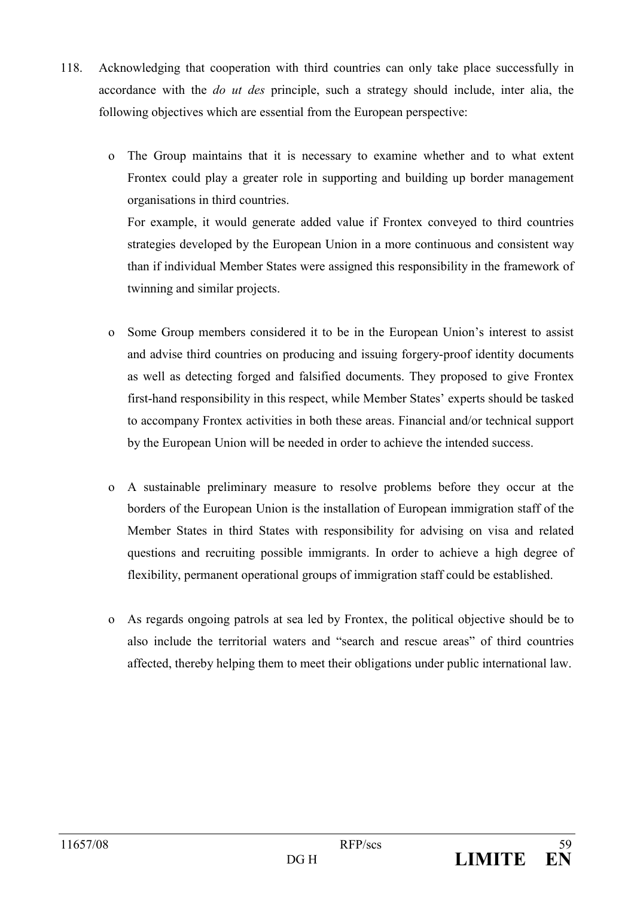- 118. Acknowledging that cooperation with third countries can only take place successfully in accordance with the *do ut des* principle, such a strategy should include, inter alia, the following objectives which are essential from the European perspective:
	- The Group maintains that it is necessary to examine whether and to what extent  $\mathbf{o}$ Frontex could play a greater role in supporting and building up border management organisations in third countries.

For example, it would generate added value if Frontex conveyed to third countries strategies developed by the European Union in a more continuous and consistent way than if individual Member States were assigned this responsibility in the framework of twinning and similar projects.

- Some Group members considered it to be in the European Union's interest to assist  $\overline{O}$ and advise third countries on producing and issuing forgery-proof identity documents as well as detecting forged and falsified documents. They proposed to give Frontex first-hand responsibility in this respect, while Member States' experts should be tasked to accompany Frontex activities in both these areas. Financial and/or technical support by the European Union will be needed in order to achieve the intended success.
- A sustainable preliminary measure to resolve problems before they occur at the  $\overline{O}$ borders of the European Union is the installation of European immigration staff of the Member States in third States with responsibility for advising on visa and related questions and recruiting possible immigrants. In order to achieve a high degree of flexibility, permanent operational groups of immigration staff could be established.
- o As regards ongoing patrols at sea led by Frontex, the political objective should be to also include the territorial waters and "search and rescue areas" of third countries affected, thereby helping them to meet their obligations under public international law.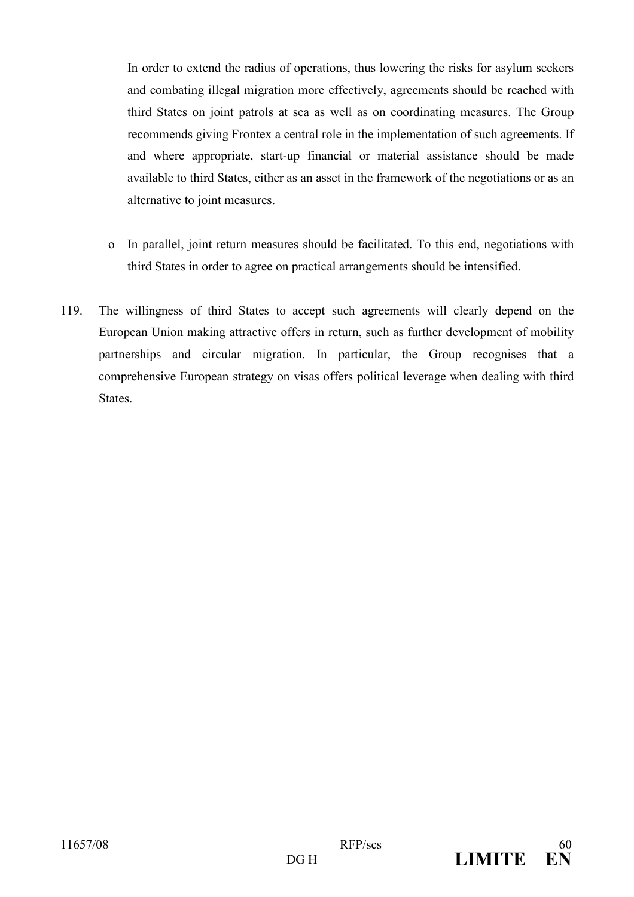In order to extend the radius of operations, thus lowering the risks for asylum seekers and combating illegal migration more effectively, agreements should be reached with third States on joint patrols at sea as well as on coordinating measures. The Group recommends giving Frontex a central role in the implementation of such agreements. If and where appropriate, start-up financial or material assistance should be made available to third States, either as an asset in the framework of the negotiations or as an alternative to joint measures.

- o In parallel, joint return measures should be facilitated. To this end, negotiations with third States in order to agree on practical arrangements should be intensified.
- 119. The willingness of third States to accept such agreements will clearly depend on the European Union making attractive offers in return, such as further development of mobility partnerships and circular migration. In particular, the Group recognises that a comprehensive European strategy on visas offers political leverage when dealing with third **States**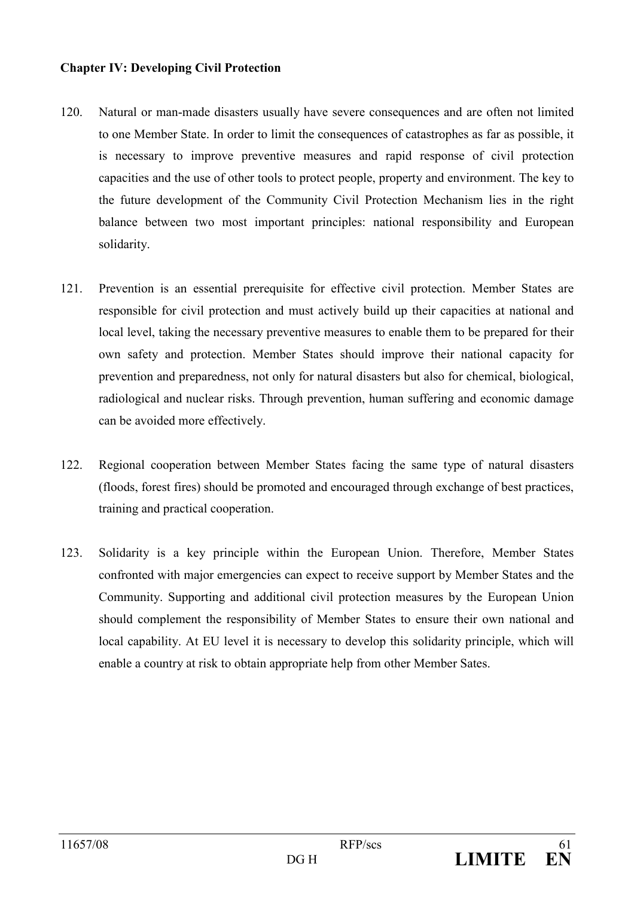### **Chapter IV: Developing Civil Protection**

- $120.$ Natural or man-made disasters usually have severe consequences and are often not limited to one Member State. In order to limit the consequences of catastrophes as far as possible, it is necessary to improve preventive measures and rapid response of civil protection capacities and the use of other tools to protect people, property and environment. The key to the future development of the Community Civil Protection Mechanism lies in the right balance between two most important principles: national responsibility and European solidarity.
- $121$ Prevention is an essential prerequisite for effective civil protection. Member States are responsible for civil protection and must actively build up their capacities at national and local level, taking the necessary preventive measures to enable them to be prepared for their own safety and protection. Member States should improve their national capacity for prevention and preparedness, not only for natural disasters but also for chemical, biological, radiological and nuclear risks. Through prevention, human suffering and economic damage can be avoided more effectively.
- $122.$ Regional cooperation between Member States facing the same type of natural disasters (floods, forest fires) should be promoted and encouraged through exchange of best practices, training and practical cooperation.
- $123.$ Solidarity is a key principle within the European Union. Therefore, Member States confronted with major emergencies can expect to receive support by Member States and the Community. Supporting and additional civil protection measures by the European Union should complement the responsibility of Member States to ensure their own national and local capability. At EU level it is necessary to develop this solidarity principle, which will enable a country at risk to obtain appropriate help from other Member Sates.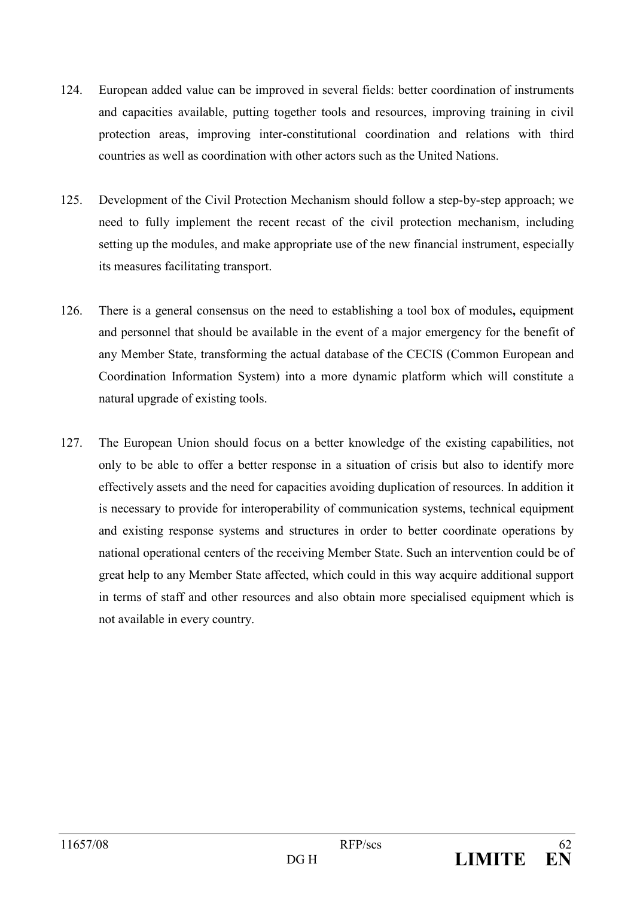- $124$ European added value can be improved in several fields: better coordination of instruments and capacities available, putting together tools and resources, improving training in civil protection areas, improving inter-constitutional coordination and relations with third countries as well as coordination with other actors such as the United Nations.
- $125.$ Development of the Civil Protection Mechanism should follow a step-by-step approach; we need to fully implement the recent recast of the civil protection mechanism, including setting up the modules, and make appropriate use of the new financial instrument, especially its measures facilitating transport.
- $126$ There is a general consensus on the need to establishing a tool box of modules, equipment and personnel that should be available in the event of a major emergency for the benefit of any Member State, transforming the actual database of the CECIS (Common European and Coordination Information System) into a more dynamic platform which will constitute a natural upgrade of existing tools.
- 127 The European Union should focus on a better knowledge of the existing capabilities, not only to be able to offer a better response in a situation of crisis but also to identify more effectively assets and the need for capacities avoiding duplication of resources. In addition it is necessary to provide for interoperability of communication systems, technical equipment and existing response systems and structures in order to better coordinate operations by national operational centers of the receiving Member State. Such an intervention could be of great help to any Member State affected, which could in this way acquire additional support in terms of staff and other resources and also obtain more specialised equipment which is not available in every country.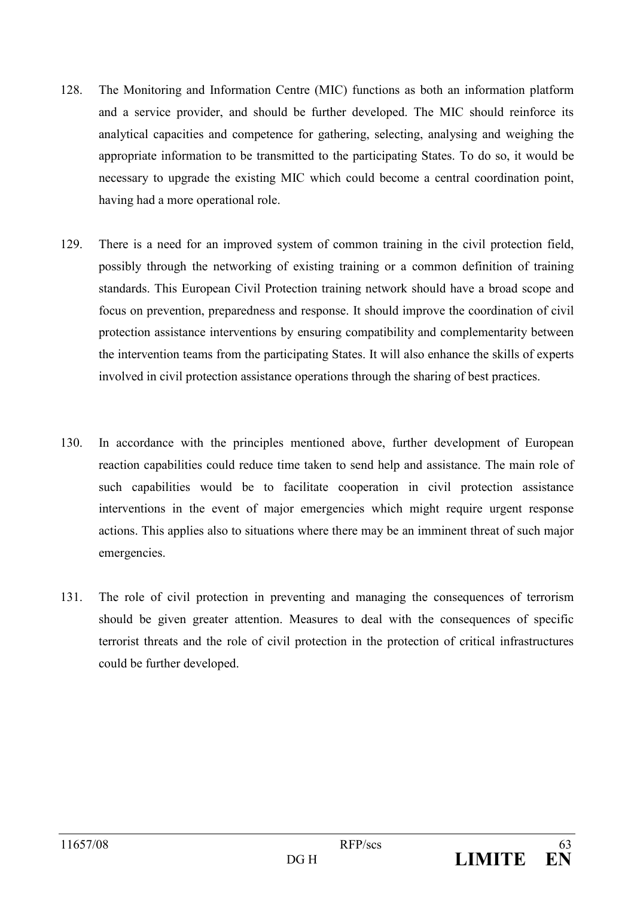- 128 The Monitoring and Information Centre (MIC) functions as both an information platform and a service provider, and should be further developed. The MIC should reinforce its analytical capacities and competence for gathering, selecting, analysing and weighing the appropriate information to be transmitted to the participating States. To do so, it would be necessary to upgrade the existing MIC which could become a central coordination point, having had a more operational role.
- 129. There is a need for an improved system of common training in the civil protection field, possibly through the networking of existing training or a common definition of training standards. This European Civil Protection training network should have a broad scope and focus on prevention, preparedness and response. It should improve the coordination of civil protection assistance interventions by ensuring compatibility and complementarity between the intervention teams from the participating States. It will also enhance the skills of experts involved in civil protection assistance operations through the sharing of best practices.
- In accordance with the principles mentioned above, further development of European 130. reaction capabilities could reduce time taken to send help and assistance. The main role of such capabilities would be to facilitate cooperation in civil protection assistance interventions in the event of major emergencies which might require urgent response actions. This applies also to situations where there may be an imminent threat of such major emergencies.
- 131. The role of civil protection in preventing and managing the consequences of terrorism should be given greater attention. Measures to deal with the consequences of specific terrorist threats and the role of civil protection in the protection of critical infrastructures could be further developed.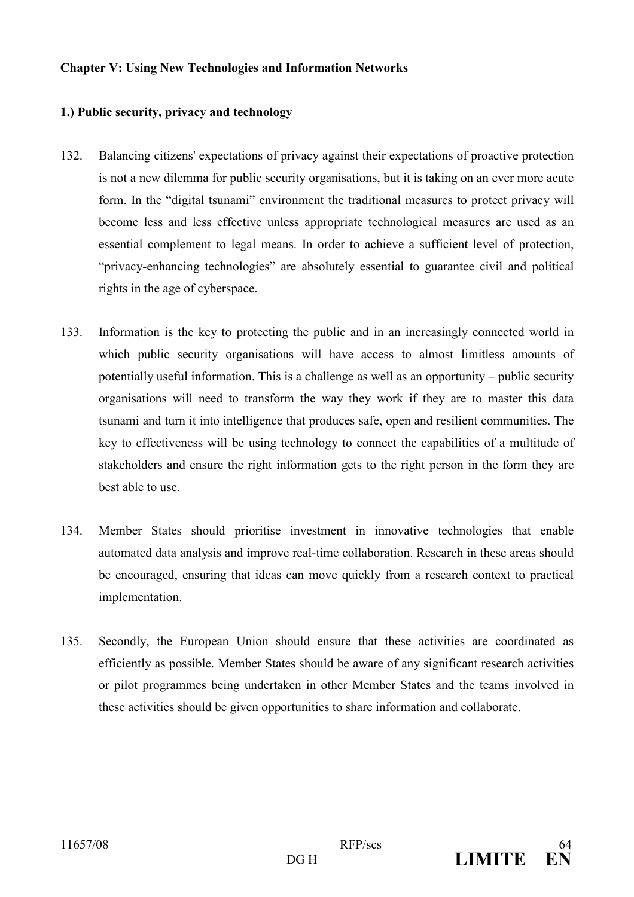### **Chapter V: Using New Technologies and Information Networks**

## 1.) Public security, privacy and technology

- 132. Balancing citizens' expectations of privacy against their expectations of proactive protection is not a new dilemma for public security organisations, but it is taking on an ever more acute form. In the "digital tsunami" environment the traditional measures to protect privacy will become less and less effective unless appropriate technological measures are used as an essential complement to legal means. In order to achieve a sufficient level of protection, "privacy-enhancing technologies" are absolutely essential to guarantee civil and political rights in the age of cyberspace.
- 133 Information is the key to protecting the public and in an increasingly connected world in which public security organisations will have access to almost limitless amounts of potentially useful information. This is a challenge as well as an opportunity – public security organisations will need to transform the way they work if they are to master this data tsunami and turn it into intelligence that produces safe, open and resilient communities. The key to effectiveness will be using technology to connect the capabilities of a multitude of stakeholders and ensure the right information gets to the right person in the form they are best able to use.
- 134. Member States should prioritise investment in innovative technologies that enable automated data analysis and improve real-time collaboration. Research in these areas should be encouraged, ensuring that ideas can move quickly from a research context to practical implementation.
- $135.$ Secondly, the European Union should ensure that these activities are coordinated as efficiently as possible. Member States should be aware of any significant research activities or pilot programmes being undertaken in other Member States and the teams involved in these activities should be given opportunities to share information and collaborate.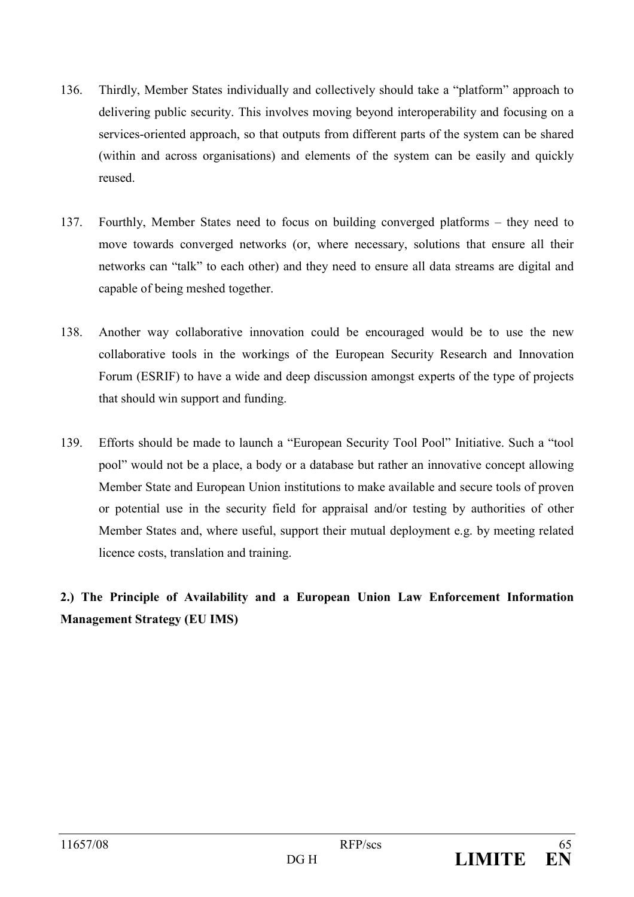- Thirdly, Member States individually and collectively should take a "platform" approach to 136 delivering public security. This involves moving beyond interoperability and focusing on a services-oriented approach, so that outputs from different parts of the system can be shared (within and across organisations) and elements of the system can be easily and quickly reused.
- 137 Fourthly, Member States need to focus on building converged platforms – they need to move towards converged networks (or, where necessary, solutions that ensure all their networks can "talk" to each other) and they need to ensure all data streams are digital and capable of being meshed together.
- Another way collaborative innovation could be encouraged would be to use the new 138 collaborative tools in the workings of the European Security Research and Innovation Forum (ESRIF) to have a wide and deep discussion amongst experts of the type of projects that should win support and funding.
- 139. Efforts should be made to launch a "European Security Tool Pool" Initiative. Such a "tool pool" would not be a place, a body or a database but rather an innovative concept allowing Member State and European Union institutions to make available and secure tools of proven or potential use in the security field for appraisal and/or testing by authorities of other Member States and, where useful, support their mutual deployment e.g. by meeting related licence costs, translation and training.

# 2.) The Principle of Availability and a European Union Law Enforcement Information **Management Strategy (EU IMS)**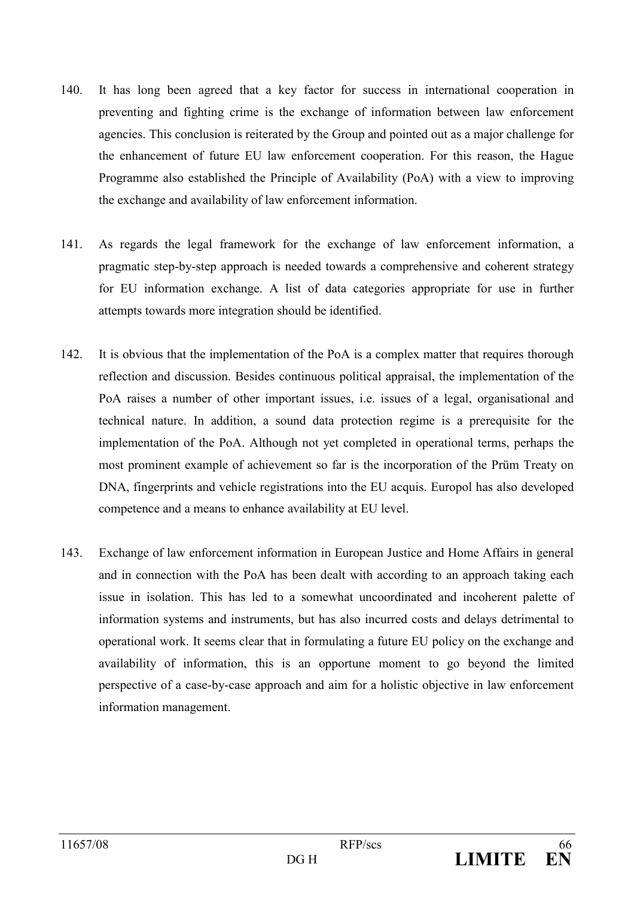- $140$ It has long been agreed that a key factor for success in international cooperation in preventing and fighting crime is the exchange of information between law enforcement agencies. This conclusion is reiterated by the Group and pointed out as a major challenge for the enhancement of future EU law enforcement cooperation. For this reason, the Hague Programme also established the Principle of Availability (PoA) with a view to improving the exchange and availability of law enforcement information.
- 141. As regards the legal framework for the exchange of law enforcement information, a pragmatic step-by-step approach is needed towards a comprehensive and coherent strategy for EU information exchange. A list of data categories appropriate for use in further attempts towards more integration should be identified.
- 142. It is obvious that the implementation of the PoA is a complex matter that requires thorough reflection and discussion. Besides continuous political appraisal, the implementation of the PoA raises a number of other important issues, i.e. issues of a legal, organisational and technical nature. In addition, a sound data protection regime is a prerequisite for the implementation of the PoA. Although not yet completed in operational terms, perhaps the most prominent example of achievement so far is the incorporation of the Prüm Treaty on DNA, fingerprints and vehicle registrations into the EU acquis. Europol has also developed competence and a means to enhance availability at EU level.
- 143. Exchange of law enforcement information in European Justice and Home Affairs in general and in connection with the PoA has been dealt with according to an approach taking each issue in isolation. This has led to a somewhat uncoordinated and incoherent palette of information systems and instruments, but has also incurred costs and delays detrimental to operational work. It seems clear that in formulating a future EU policy on the exchange and availability of information, this is an opportune moment to go beyond the limited perspective of a case-by-case approach and aim for a holistic objective in law enforcement information management.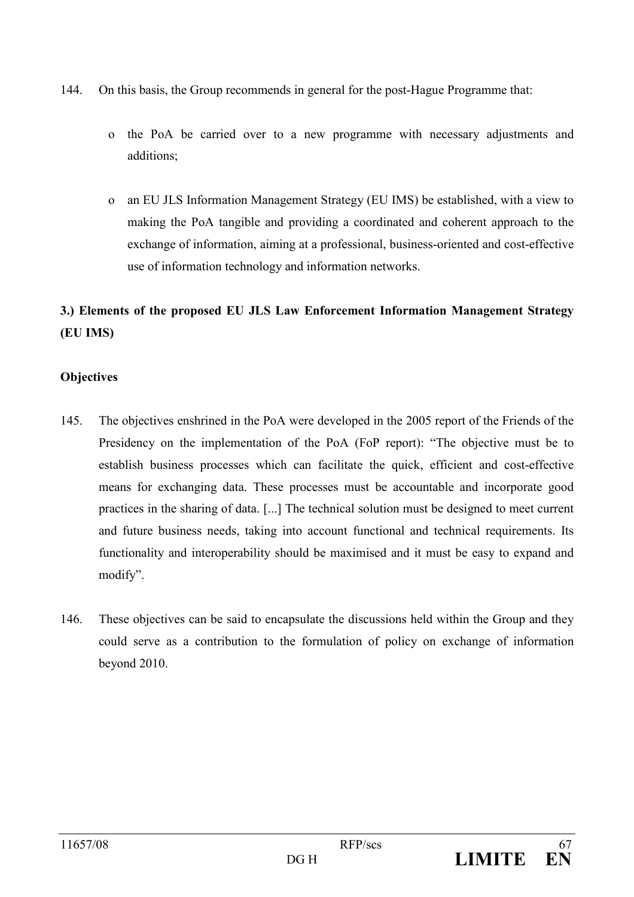- 144 On this basis, the Group recommends in general for the post-Hague Programme that:
	- the PoA be carried over to a new programme with necessary adjustments and  $\mathbf{o}$ additions:
	- an EU JLS Information Management Strategy (EU IMS) be established, with a view to  $\Omega$ making the PoA tangible and providing a coordinated and coherent approach to the exchange of information, aiming at a professional, business-oriented and cost-effective use of information technology and information networks.

# 3.) Elements of the proposed EU JLS Law Enforcement Information Management Strategy (EU IMS)

# **Objectives**

- 145. The objectives enshrined in the PoA were developed in the 2005 report of the Friends of the Presidency on the implementation of the PoA (FoP report): "The objective must be to establish business processes which can facilitate the quick, efficient and cost-effective means for exchanging data. These processes must be accountable and incorporate good practices in the sharing of data. [...] The technical solution must be designed to meet current and future business needs, taking into account functional and technical requirements. Its functionality and interoperability should be maximised and it must be easy to expand and modify".
- 146. These objectives can be said to encapsulate the discussions held within the Group and they could serve as a contribution to the formulation of policy on exchange of information beyond 2010.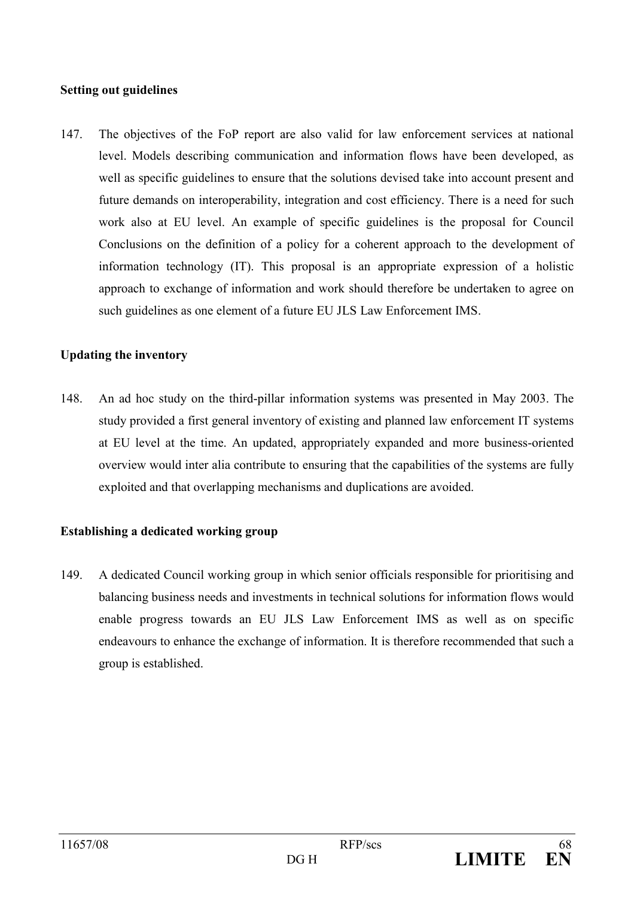## **Setting out guidelines**

147. The objectives of the FoP report are also valid for law enforcement services at national level. Models describing communication and information flows have been developed, as well as specific guidelines to ensure that the solutions devised take into account present and future demands on interoperability, integration and cost efficiency. There is a need for such work also at EU level. An example of specific guidelines is the proposal for Council Conclusions on the definition of a policy for a coherent approach to the development of information technology (IT). This proposal is an appropriate expression of a holistic approach to exchange of information and work should therefore be undertaken to agree on such guidelines as one element of a future EU JLS Law Enforcement IMS.

## **Updating the inventory**

148 An ad hoc study on the third-pillar information systems was presented in May 2003. The study provided a first general inventory of existing and planned law enforcement IT systems at EU level at the time. An updated, appropriately expanded and more business-oriented overview would inter alia contribute to ensuring that the capabilities of the systems are fully exploited and that overlapping mechanisms and duplications are avoided.

## Establishing a dedicated working group

149. A dedicated Council working group in which senior officials responsible for prioritising and balancing business needs and investments in technical solutions for information flows would enable progress towards an EU JLS Law Enforcement IMS as well as on specific endeavours to enhance the exchange of information. It is therefore recommended that such a group is established.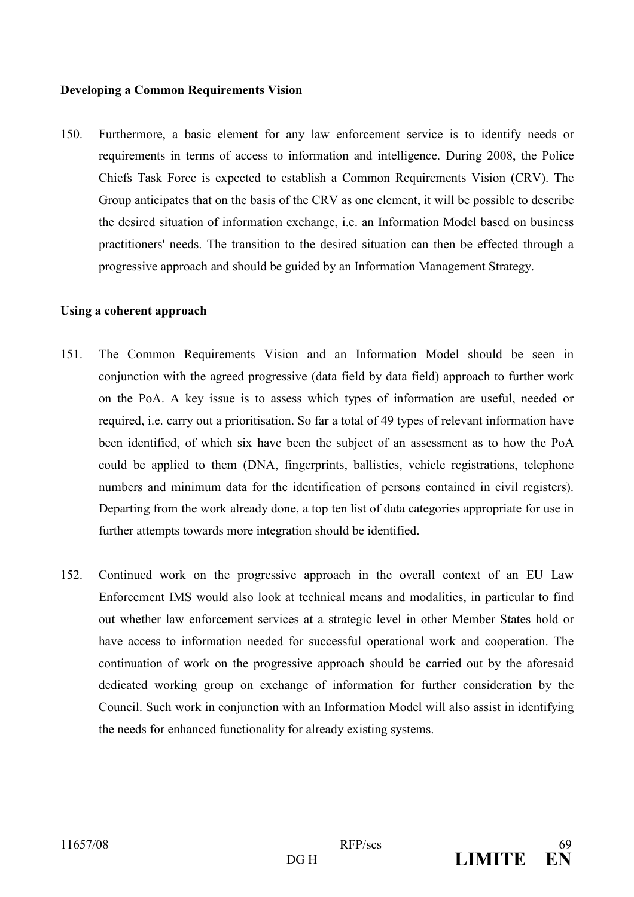### **Developing a Common Requirements Vision**

150. Furthermore, a basic element for any law enforcement service is to identify needs or requirements in terms of access to information and intelligence. During 2008, the Police Chiefs Task Force is expected to establish a Common Requirements Vision (CRV). The Group anticipates that on the basis of the CRV as one element, it will be possible to describe the desired situation of information exchange, *i.e.* an Information Model based on business practitioners' needs. The transition to the desired situation can then be effected through a progressive approach and should be guided by an Information Management Strategy.

### Using a coherent approach

- 151. The Common Requirements Vision and an Information Model should be seen in conjunction with the agreed progressive (data field by data field) approach to further work on the PoA. A key issue is to assess which types of information are useful, needed or required, i.e. carry out a prioritisation. So far a total of 49 types of relevant information have been identified, of which six have been the subject of an assessment as to how the PoA could be applied to them (DNA, fingerprints, ballistics, vehicle registrations, telephone numbers and minimum data for the identification of persons contained in civil registers). Departing from the work already done, a top ten list of data categories appropriate for use in further attempts towards more integration should be identified.
- 152. Continued work on the progressive approach in the overall context of an EU Law Enforcement IMS would also look at technical means and modalities, in particular to find out whether law enforcement services at a strategic level in other Member States hold or have access to information needed for successful operational work and cooperation. The continuation of work on the progressive approach should be carried out by the aforesaid dedicated working group on exchange of information for further consideration by the Council. Such work in conjunction with an Information Model will also assist in identifying the needs for enhanced functionality for already existing systems.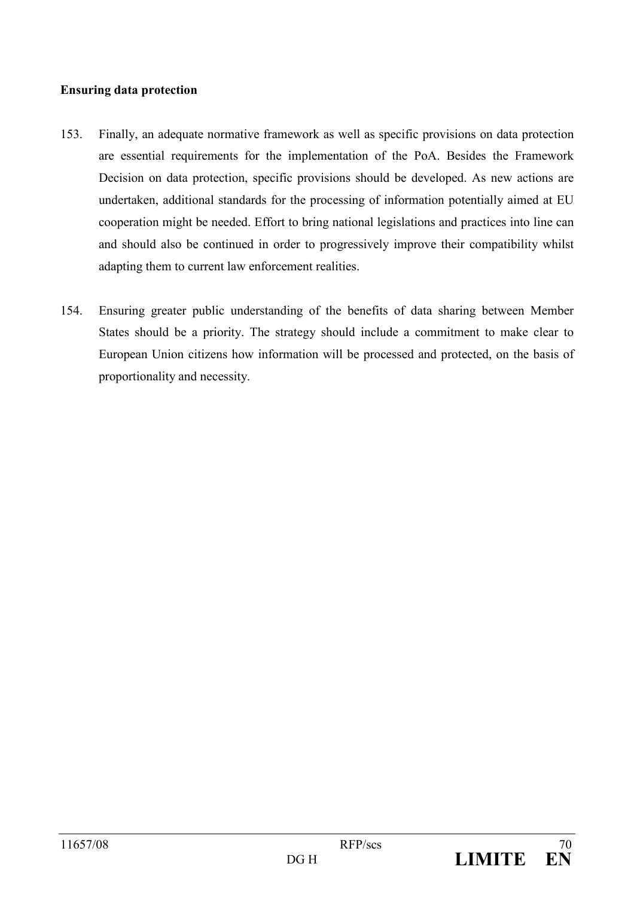## **Ensuring data protection**

- 153. Finally, an adequate normative framework as well as specific provisions on data protection are essential requirements for the implementation of the PoA. Besides the Framework Decision on data protection, specific provisions should be developed. As new actions are undertaken, additional standards for the processing of information potentially aimed at EU cooperation might be needed. Effort to bring national legislations and practices into line can and should also be continued in order to progressively improve their compatibility whilst adapting them to current law enforcement realities.
- 154. Ensuring greater public understanding of the benefits of data sharing between Member States should be a priority. The strategy should include a commitment to make clear to European Union citizens how information will be processed and protected, on the basis of proportionality and necessity.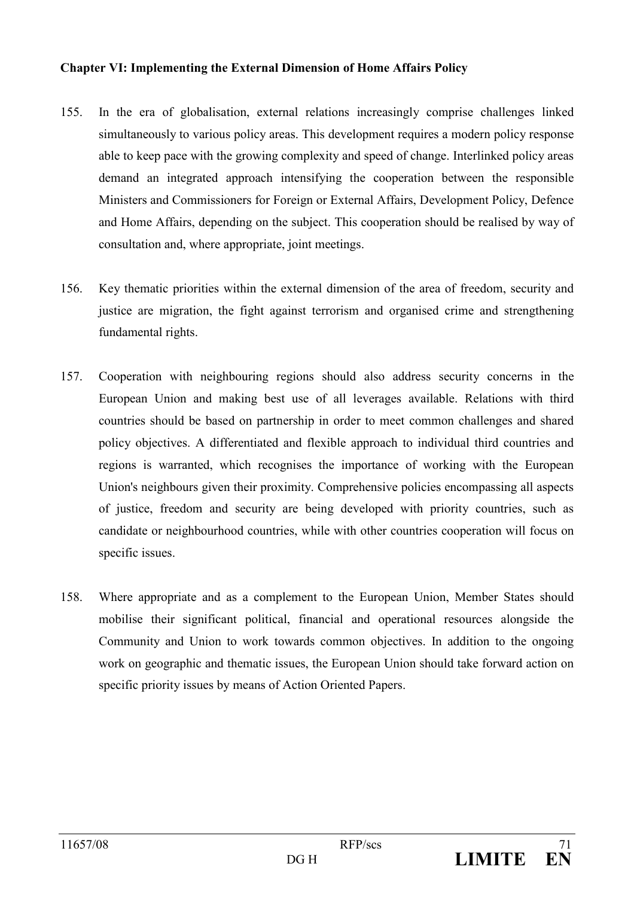## **Chapter VI: Implementing the External Dimension of Home Affairs Policy**

- $155.$ In the era of globalisation, external relations increasingly comprise challenges linked simultaneously to various policy areas. This development requires a modern policy response able to keep pace with the growing complexity and speed of change. Interlinked policy areas demand an integrated approach intensifying the cooperation between the responsible Ministers and Commissioners for Foreign or External Affairs, Development Policy, Defence and Home Affairs, depending on the subject. This cooperation should be realised by way of consultation and, where appropriate, joint meetings.
- 156. Key thematic priorities within the external dimension of the area of freedom, security and justice are migration, the fight against terrorism and organised crime and strengthening fundamental rights.
- 157. Cooperation with neighbouring regions should also address security concerns in the European Union and making best use of all leverages available. Relations with third countries should be based on partnership in order to meet common challenges and shared policy objectives. A differentiated and flexible approach to individual third countries and regions is warranted, which recognises the importance of working with the European Union's neighbours given their proximity. Comprehensive policies encompassing all aspects of justice, freedom and security are being developed with priority countries, such as candidate or neighbourhood countries, while with other countries cooperation will focus on specific issues.
- 158. Where appropriate and as a complement to the European Union, Member States should mobilise their significant political, financial and operational resources alongside the Community and Union to work towards common objectives. In addition to the ongoing work on geographic and thematic issues, the European Union should take forward action on specific priority issues by means of Action Oriented Papers.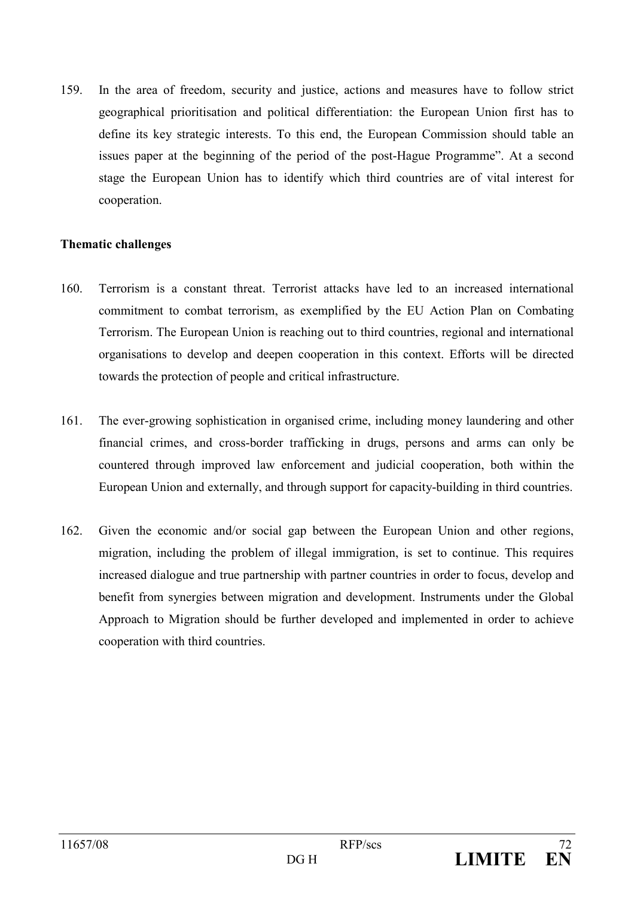159 In the area of freedom, security and justice, actions and measures have to follow strict geographical prioritisation and political differentiation: the European Union first has to define its key strategic interests. To this end, the European Commission should table an issues paper at the beginning of the period of the post-Hague Programme". At a second stage the European Union has to identify which third countries are of vital interest for cooperation.

## **Thematic challenges**

- 160 Terrorism is a constant threat. Terrorist attacks have led to an increased international commitment to combat terrorism, as exemplified by the EU Action Plan on Combating Terrorism. The European Union is reaching out to third countries, regional and international organisations to develop and deepen cooperation in this context. Efforts will be directed towards the protection of people and critical infrastructure.
- 161. The ever-growing sophistication in organised crime, including money laundering and other financial crimes, and cross-border trafficking in drugs, persons and arms can only be countered through improved law enforcement and judicial cooperation, both within the European Union and externally, and through support for capacity-building in third countries.
- 162. Given the economic and/or social gap between the European Union and other regions, migration, including the problem of illegal immigration, is set to continue. This requires increased dialogue and true partnership with partner countries in order to focus, develop and benefit from synergies between migration and development. Instruments under the Global Approach to Migration should be further developed and implemented in order to achieve cooperation with third countries.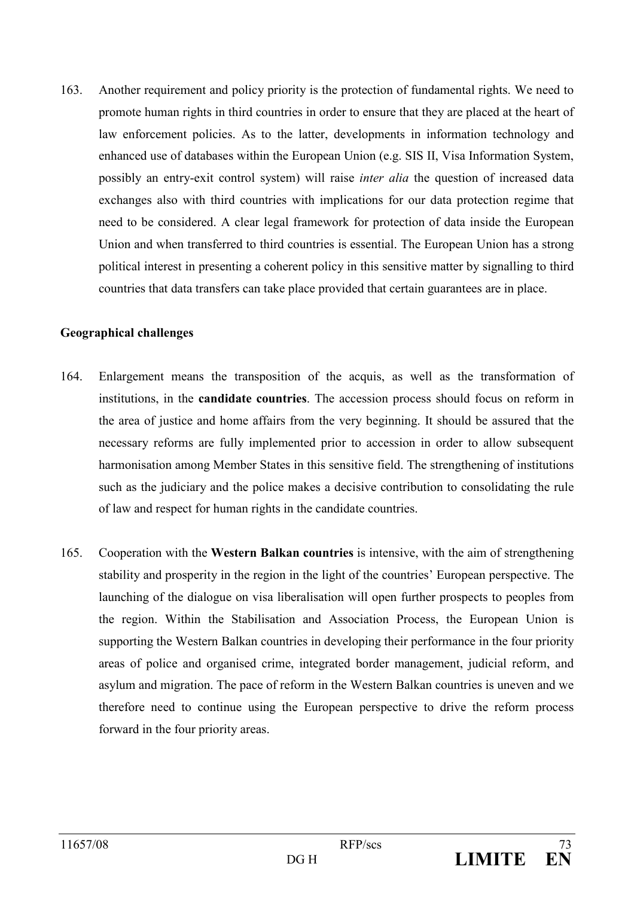163 Another requirement and policy priority is the protection of fundamental rights. We need to promote human rights in third countries in order to ensure that they are placed at the heart of law enforcement policies. As to the latter, developments in information technology and enhanced use of databases within the European Union (e.g. SIS II, Visa Information System, possibly an entry-exit control system) will raise *inter alia* the question of increased data exchanges also with third countries with implications for our data protection regime that need to be considered. A clear legal framework for protection of data inside the European Union and when transferred to third countries is essential. The European Union has a strong political interest in presenting a coherent policy in this sensitive matter by signalling to third countries that data transfers can take place provided that certain guarantees are in place.

### **Geographical challenges**

- 164. Enlargement means the transposition of the acquis, as well as the transformation of institutions, in the **candidate countries**. The accession process should focus on reform in the area of justice and home affairs from the very beginning. It should be assured that the necessary reforms are fully implemented prior to accession in order to allow subsequent harmonisation among Member States in this sensitive field. The strengthening of institutions such as the judiciary and the police makes a decisive contribution to consolidating the rule of law and respect for human rights in the candidate countries.
- $165.$ Cooperation with the Western Balkan countries is intensive, with the aim of strengthening stability and prosperity in the region in the light of the countries' European perspective. The launching of the dialogue on visa liberalisation will open further prospects to peoples from the region. Within the Stabilisation and Association Process, the European Union is supporting the Western Balkan countries in developing their performance in the four priority areas of police and organised crime, integrated border management, judicial reform, and asylum and migration. The pace of reform in the Western Balkan countries is uneven and we therefore need to continue using the European perspective to drive the reform process forward in the four priority areas.

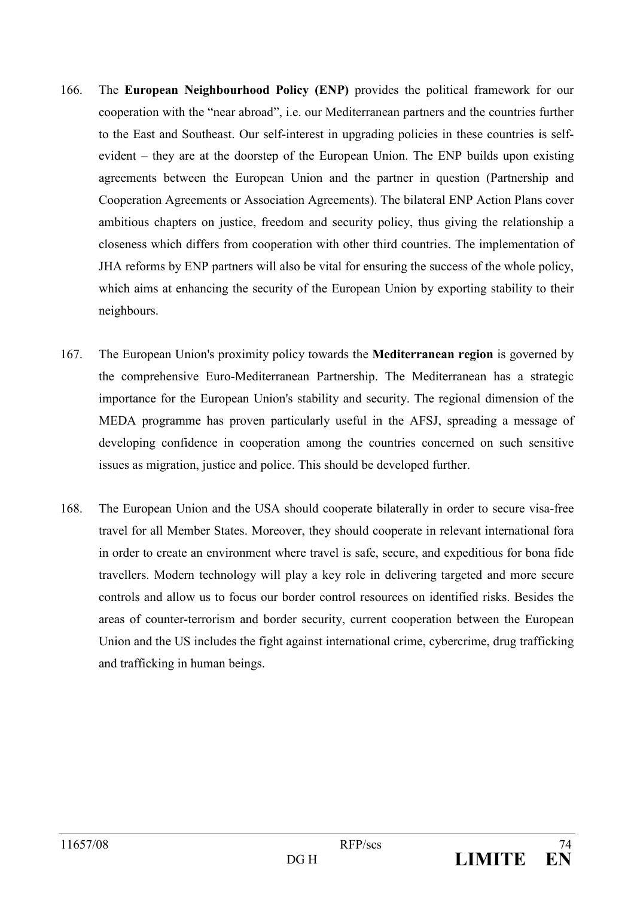- The European Neighbourhood Policy (ENP) provides the political framework for our 166 cooperation with the "near abroad", i.e. our Mediterranean partners and the countries further to the East and Southeast. Our self-interest in upgrading policies in these countries is selfevident – they are at the doorstep of the European Union. The ENP builds upon existing agreements between the European Union and the partner in question (Partnership and Cooperation Agreements or Association Agreements). The bilateral ENP Action Plans cover ambitious chapters on justice, freedom and security policy, thus giving the relationship a closeness which differs from cooperation with other third countries. The implementation of JHA reforms by ENP partners will also be vital for ensuring the success of the whole policy, which aims at enhancing the security of the European Union by exporting stability to their neighbours.
- 167. The European Union's proximity policy towards the **Mediterranean region** is governed by the comprehensive Euro-Mediterranean Partnership. The Mediterranean has a strategic importance for the European Union's stability and security. The regional dimension of the MEDA programme has proven particularly useful in the AFSJ, spreading a message of developing confidence in cooperation among the countries concerned on such sensitive issues as migration, justice and police. This should be developed further.
- 168 The European Union and the USA should cooperate bilaterally in order to secure visa-free travel for all Member States. Moreover, they should cooperate in relevant international fora in order to create an environment where travel is safe, secure, and expeditious for bona fide travellers. Modern technology will play a key role in delivering targeted and more secure controls and allow us to focus our border control resources on identified risks. Besides the areas of counter-terrorism and border security, current cooperation between the European Union and the US includes the fight against international crime, cybercrime, drug trafficking and trafficking in human beings.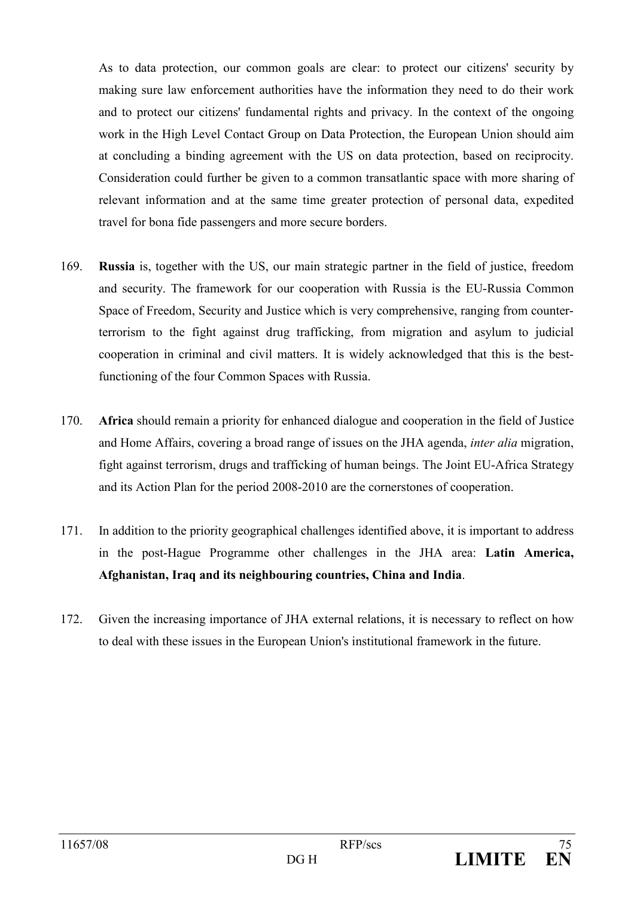As to data protection, our common goals are clear: to protect our citizens' security by making sure law enforcement authorities have the information they need to do their work and to protect our citizens' fundamental rights and privacy. In the context of the ongoing work in the High Level Contact Group on Data Protection, the European Union should aim at concluding a binding agreement with the US on data protection, based on reciprocity. Consideration could further be given to a common transatlantic space with more sharing of relevant information and at the same time greater protection of personal data, expedited travel for bona fide passengers and more secure borders.

- 169 **Russia** is, together with the US, our main strategic partner in the field of justice, freedom and security. The framework for our cooperation with Russia is the EU-Russia Common Space of Freedom, Security and Justice which is very comprehensive, ranging from counterterrorism to the fight against drug trafficking, from migration and asylum to judicial cooperation in criminal and civil matters. It is widely acknowledged that this is the bestfunctioning of the four Common Spaces with Russia.
- 170. Africa should remain a priority for enhanced dialogue and cooperation in the field of Justice and Home Affairs, covering a broad range of issues on the JHA agenda, *inter alia* migration, fight against terrorism, drugs and trafficking of human beings. The Joint EU-Africa Strategy and its Action Plan for the period 2008-2010 are the cornerstones of cooperation.
- 171. In addition to the priority geographical challenges identified above, it is important to address in the post-Hague Programme other challenges in the JHA area: Latin America, Afghanistan, Iraq and its neighbouring countries, China and India.
- 172. Given the increasing importance of JHA external relations, it is necessary to reflect on how to deal with these issues in the European Union's institutional framework in the future.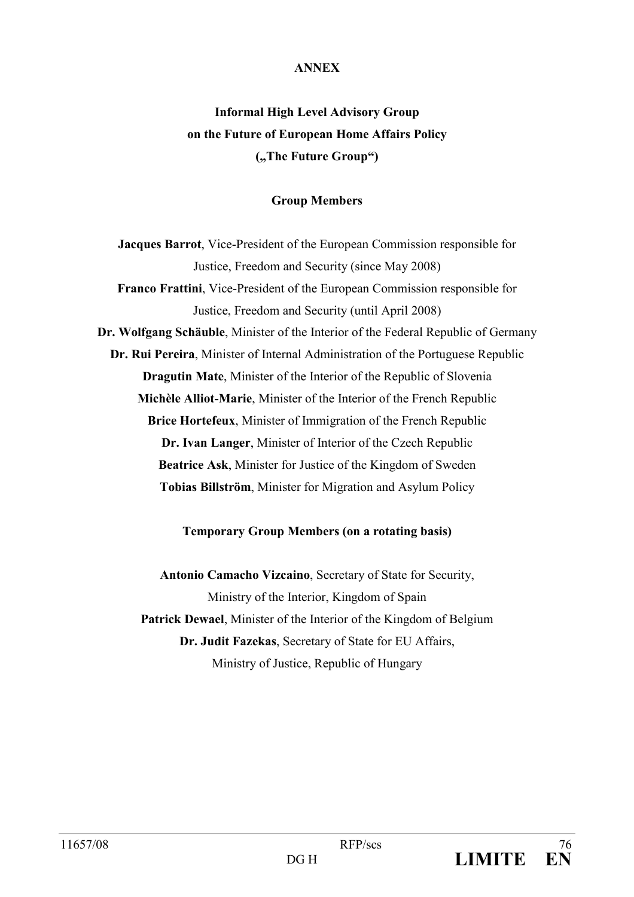## **ANNEX**

# **Informal High Level Advisory Group** on the Future of European Home Affairs Policy ("The Future Group")

## **Group Members**

Jacques Barrot, Vice-President of the European Commission responsible for Justice, Freedom and Security (since May 2008) Franco Frattini, Vice-President of the European Commission responsible for Justice, Freedom and Security (until April 2008) Dr. Wolfgang Schäuble, Minister of the Interior of the Federal Republic of Germany Dr. Rui Pereira, Minister of Internal Administration of the Portuguese Republic **Dragutin Mate, Minister of the Interior of the Republic of Slovenia** Michèle Alliot-Marie, Minister of the Interior of the French Republic Brice Hortefeux, Minister of Immigration of the French Republic Dr. Ivan Langer, Minister of Interior of the Czech Republic **Beatrice Ask, Minister for Justice of the Kingdom of Sweden** Tobias Billström, Minister for Migration and Asylum Policy

## **Temporary Group Members (on a rotating basis)**

Antonio Camacho Vizcaino, Secretary of State for Security, Ministry of the Interior, Kingdom of Spain Patrick Dewael, Minister of the Interior of the Kingdom of Belgium Dr. Judit Fazekas, Secretary of State for EU Affairs, Ministry of Justice, Republic of Hungary